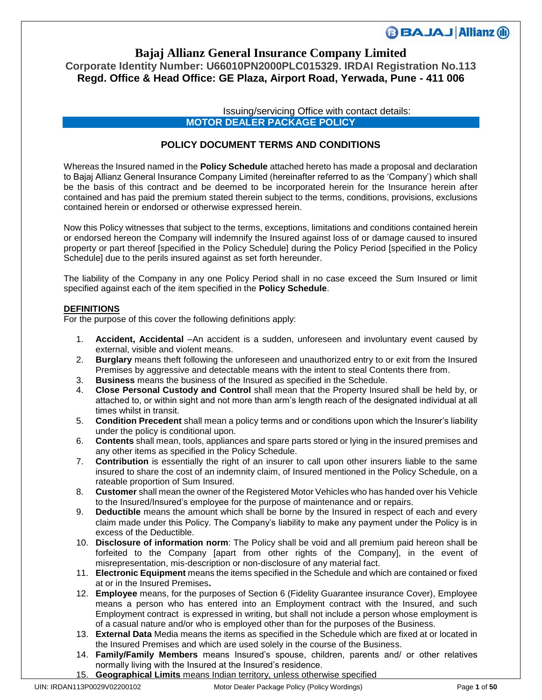### **Bajaj Allianz General Insurance Company Limited Corporate Identity Number: U66010PN2000PLC015329. IRDAI Registration No.113 Regd. Office & Head Office: GE Plaza, Airport Road, Yerwada, Pune - 411 006**

Issuing/servicing Office with contact details: **MOTOR DEALER PACKAGE POLICY** 

### **POLICY DOCUMENT TERMS AND CONDITIONS**

Whereas the Insured named in the **Policy Schedule** attached hereto has made a proposal and declaration to Bajaj Allianz General Insurance Company Limited (hereinafter referred to as the 'Company') which shall be the basis of this contract and be deemed to be incorporated herein for the Insurance herein after contained and has paid the premium stated therein subject to the terms, conditions, provisions, exclusions contained herein or endorsed or otherwise expressed herein.

Now this Policy witnesses that subject to the terms, exceptions, limitations and conditions contained herein or endorsed hereon the Company will indemnify the Insured against loss of or damage caused to insured property or part thereof [specified in the Policy Schedule] during the Policy Period [specified in the Policy Schedule] due to the perils insured against as set forth hereunder.

The liability of the Company in any one Policy Period shall in no case exceed the Sum Insured or limit specified against each of the item specified in the **Policy Schedule**.

### **DEFINITIONS**

For the purpose of this cover the following definitions apply:

- 1. **Accident, Accidental** –An accident is a sudden, unforeseen and involuntary event caused by external, visible and violent means.
- 2. **Burglary** means theft following the unforeseen and unauthorized entry to or exit from the Insured Premises by aggressive and detectable means with the intent to steal Contents there from.
- 3. **Business** means the business of the Insured as specified in the Schedule.
- 4. **Close Personal Custody and Control** shall mean that the Property Insured shall be held by, or attached to, or within sight and not more than arm's length reach of the designated individual at all times whilst in transit.
- 5. **Condition Precedent** shall mean a policy terms and or conditions upon which the Insurer's liability under the policy is conditional upon.
- 6. **Contents** shall mean, tools, appliances and spare parts stored or lying in the insured premises and any other items as specified in the Policy Schedule.
- 7. **Contribution** is essentially the right of an insurer to call upon other insurers liable to the same insured to share the cost of an indemnity claim, of Insured mentioned in the Policy Schedule, on a rateable proportion of Sum Insured.
- 8. **Customer** shall mean the owner of the Registered Motor Vehicles who has handed over his Vehicle to the Insured/Insured's employee for the purpose of maintenance and or repairs.
- 9. **Deductible** means the amount which shall be borne by the Insured in respect of each and every claim made under this Policy. The Company's liability to make any payment under the Policy is in excess of the Deductible.
- 10. **Disclosure of information norm**: The Policy shall be void and all premium paid hereon shall be forfeited to the Company [apart from other rights of the Company], in the event of misrepresentation, mis-description or non-disclosure of any material fact.
- 11. **Electronic Equipment** means the items specified in the Schedule and which are contained or fixed at or in the Insured Premises**.**
- 12. **Employee** means, for the purposes of Section 6 (Fidelity Guarantee insurance Cover), Employee means a person who has entered into an Employment contract with the Insured, and such Employment contract is expressed in writing, but shall not include a person whose employment is of a casual nature and/or who is employed other than for the purposes of the Business.
- 13. **External Data** Media means the items as specified in the Schedule which are fixed at or located in the Insured Premises and which are used solely in the course of the Business.
- 14. **Family/Family Members** means Insured's spouse, children, parents and/ or other relatives normally living with the Insured at the Insured's residence.
- 15. **Geographical Limits** means Indian territory, unless otherwise specified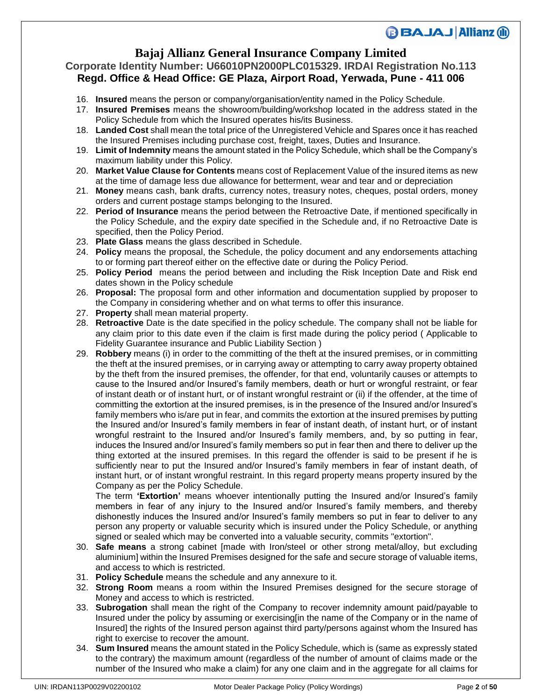## **Bajaj Allianz General Insurance Company Limited**

### **Corporate Identity Number: U66010PN2000PLC015329. IRDAI Registration No.113 Regd. Office & Head Office: GE Plaza, Airport Road, Yerwada, Pune - 411 006**

- 16. **Insured** means the person or company/organisation/entity named in the Policy Schedule.
- 17. **Insured Premises** means the showroom/building/workshop located in the address stated in the Policy Schedule from which the Insured operates his/its Business.
- 18. **Landed Cost** shall mean the total price of the Unregistered Vehicle and Spares once it has reached the Insured Premises including purchase cost, freight, taxes, Duties and Insurance.
- 19. **Limit of Indemnity** means the amount stated in the Policy Schedule, which shall be the Company's maximum liability under this Policy.
- 20. **Market Value Clause for Contents** means cost of Replacement Value of the insured items as new at the time of damage less due allowance for betterment, wear and tear and or depreciation
- 21. **Money** means cash, bank drafts, currency notes, treasury notes, cheques, postal orders, money orders and current postage stamps belonging to the Insured.
- 22. **Period of Insurance** means the period between the Retroactive Date, if mentioned specifically in the Policy Schedule, and the expiry date specified in the Schedule and, if no Retroactive Date is specified, then the Policy Period.
- 23. **Plate Glass** means the glass described in Schedule.
- 24. **Policy** means the proposal, the Schedule, the policy document and any endorsements attaching to or forming part thereof either on the effective date or during the Policy Period.
- 25. **Policy Period** means the period between and including the Risk Inception Date and Risk end dates shown in the Policy schedule
- 26. **Proposal:** The proposal form and other information and documentation supplied by proposer to the Company in considering whether and on what terms to offer this insurance.
- 27. **Property** shall mean material property.
- 28. **Retroactive** Date is the date specified in the policy schedule. The company shall not be liable for any claim prior to this date even if the claim is first made during the policy period ( Applicable to Fidelity Guarantee insurance and Public Liability Section )
- 29. **Robbery** means (i) in order to the committing of the theft at the insured premises, or in committing the theft at the insured premises, or in carrying away or attempting to carry away property obtained by the theft from the insured premises, the offender, for that end, voluntarily causes or attempts to cause to the Insured and/or Insured's family members, death or hurt or wrongful restraint, or fear of instant death or of instant hurt, or of instant wrongful restraint or (ii) if the offender, at the time of committing the extortion at the insured premises, is in the presence of the Insured and/or Insured's family members who is/are put in fear, and commits the extortion at the insured premises by putting the Insured and/or Insured's family members in fear of instant death, of instant hurt, or of instant wrongful restraint to the Insured and/or Insured's family members, and, by so putting in fear, induces the Insured and/or Insured's family members so put in fear then and there to deliver up the thing extorted at the insured premises. In this regard the offender is said to be present if he is sufficiently near to put the Insured and/or Insured's family members in fear of instant death, of instant hurt, or of instant wrongful restraint. In this regard property means property insured by the Company as per the Policy Schedule.

The term **'Extortion'** means whoever intentionally putting the Insured and/or Insured's family members in fear of any injury to the Insured and/or Insured's family members, and thereby dishonestly induces the Insured and/or Insured's family members so put in fear to deliver to any person any property or valuable security which is insured under the Policy Schedule, or anything signed or sealed which may be converted into a valuable security, commits "extortion".

- 30. **Safe means** a strong cabinet [made with Iron/steel or other strong metal/alloy, but excluding aluminium] within the Insured Premises designed for the safe and secure storage of valuable items, and access to which is restricted.
- 31. **Policy Schedule** means the schedule and any annexure to it.
- 32. **Strong Room** means a room within the Insured Premises designed for the secure storage of Money and access to which is restricted.
- 33. **Subrogation** shall mean the right of the Company to recover indemnity amount paid/payable to Insured under the policy by assuming or exercising[in the name of the Company or in the name of Insured] the rights of the Insured person against third party/persons against whom the Insured has right to exercise to recover the amount.
- 34. **Sum Insured** means the amount stated in the Policy Schedule, which is (same as expressly stated to the contrary) the maximum amount (regardless of the number of amount of claims made or the number of the Insured who make a claim) for any one claim and in the aggregate for all claims for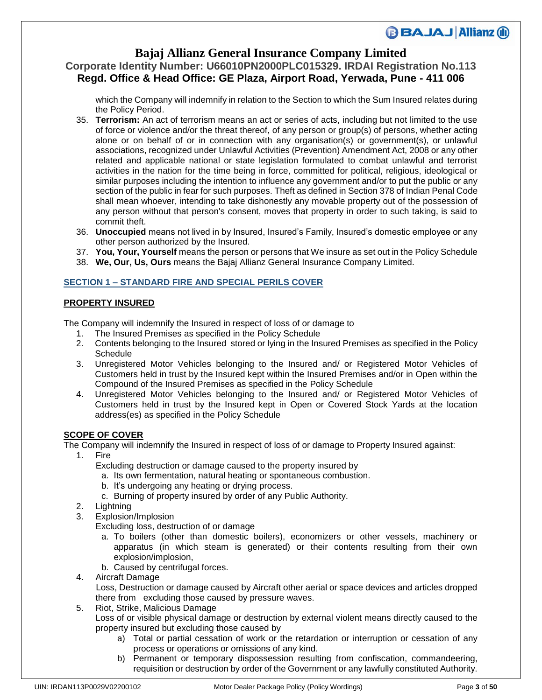## **Bajaj Allianz General Insurance Company Limited**

## **Corporate Identity Number: U66010PN2000PLC015329. IRDAI Registration No.113 Regd. Office & Head Office: GE Plaza, Airport Road, Yerwada, Pune - 411 006**

which the Company will indemnify in relation to the Section to which the Sum Insured relates during the Policy Period.

- 35. **Terrorism:** An act of terrorism means an act or series of acts, including but not limited to the use of force or violence and/or the threat thereof, of any person or group(s) of persons, whether acting alone or on behalf of or in connection with any organisation(s) or government(s), or unlawful associations, recognized under Unlawful Activities (Prevention) Amendment Act, 2008 or any other related and applicable national or state legislation formulated to combat unlawful and terrorist activities in the nation for the time being in force, committed for political, religious, ideological or similar purposes including the intention to influence any government and/or to put the public or any section of the public in fear for such purposes. Theft as defined in Section 378 of Indian Penal Code shall mean whoever, intending to take dishonestly any movable property out of the possession of any person without that person's consent, moves that property in order to such taking, is said to commit theft.
- 36. **Unoccupied** means not lived in by Insured, Insured's Family, Insured's domestic employee or any other person authorized by the Insured.
- 37. **You, Your, Yourself** means the person or persons that We insure as set out in the Policy Schedule
- 38. **We, Our, Us, Ours** means the Bajaj Allianz General Insurance Company Limited.

### **SECTION 1 – STANDARD FIRE AND SPECIAL PERILS COVER**

### **PROPERTY INSURED**

The Company will indemnify the Insured in respect of loss of or damage to

- 1. The Insured Premises as specified in the Policy Schedule
- 2. Contents belonging to the Insured stored or lying in the Insured Premises as specified in the Policy **Schedule**
- 3. Unregistered Motor Vehicles belonging to the Insured and/ or Registered Motor Vehicles of Customers held in trust by the Insured kept within the Insured Premises and/or in Open within the Compound of the Insured Premises as specified in the Policy Schedule
- 4. Unregistered Motor Vehicles belonging to the Insured and/ or Registered Motor Vehicles of Customers held in trust by the Insured kept in Open or Covered Stock Yards at the location address(es) as specified in the Policy Schedule

### **SCOPE OF COVER**

The Company will indemnify the Insured in respect of loss of or damage to Property Insured against:

- 1. Fire
	- Excluding destruction or damage caused to the property insured by
		- a. Its own fermentation, natural heating or spontaneous combustion.
		- b. It's undergoing any heating or drying process.
		- c. Burning of property insured by order of any Public Authority.
- 2. Lightning
- 3. Explosion/Implosion
	- Excluding loss, destruction of or damage
		- a. To boilers (other than domestic boilers), economizers or other vessels, machinery or apparatus (in which steam is generated) or their contents resulting from their own explosion/implosion,
		- b. Caused by centrifugal forces.
- 4. Aircraft Damage

 Loss, Destruction or damage caused by Aircraft other aerial or space devices and articles dropped there from excluding those caused by pressure waves.

- 5. Riot, Strike, Malicious Damage
	- Loss of or visible physical damage or destruction by external violent means directly caused to the property insured but excluding those caused by
		- a) Total or partial cessation of work or the retardation or interruption or cessation of any process or operations or omissions of any kind.
		- b) Permanent or temporary dispossession resulting from confiscation, commandeering, requisition or destruction by order of the Government or any lawfully constituted Authority.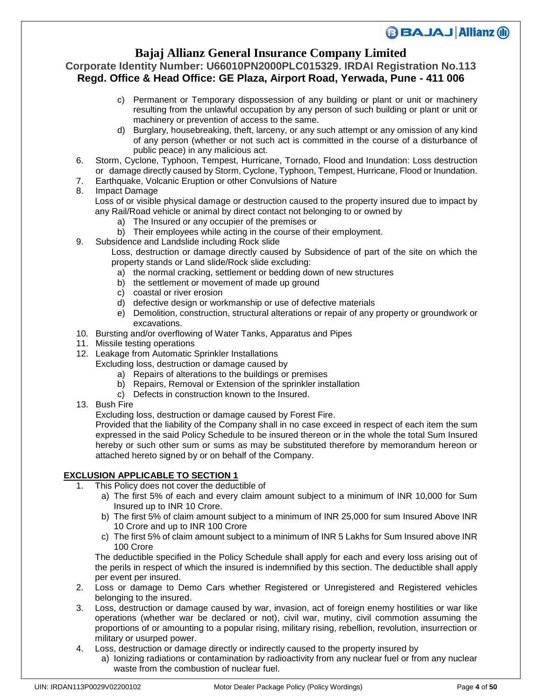## **Bajaj Allianz General Insurance Company Limited**

### **Corporate Identity Number: U66010PN2000PLC015329. IRDAI Registration No.113 Regd. Office & Head Office: GE Plaza, Airport Road, Yerwada, Pune - 411 006**

- c) Permanent or Temporary dispossession of any building or plant or unit or machinery resulting from the unlawful occupation by any person of such building or plant or unit or machinery or prevention of access to the same.
- d) Burglary, housebreaking, theft, larceny, or any such attempt or any omission of any kind of any person (whether or not such act is committed in the course of a disturbance of public peace) in any malicious act.
- 6. Storm, Cyclone, Typhoon, Tempest, Hurricane, Tornado, Flood and Inundation: Loss destruction or damage directly caused by Storm, Cyclone, Typhoon, Tempest, Hurricane, Flood or Inundation.
- 7. Earthquake, Volcanic Eruption or other Convulsions of Nature

### 8. Impact Damage

- Loss of or visible physical damage or destruction caused to the property insured due to impact by any Rail/Road vehicle or animal by direct contact not belonging to or owned by
	- a) The Insured or any occupier of the premises or
	- b) Their employees while acting in the course of their employment.
- 9. Subsidence and Landslide including Rock slide

Loss, destruction or damage directly caused by Subsidence of part of the site on which the property stands or Land slide/Rock slide excluding:

- a) the normal cracking, settlement or bedding down of new structures
- b) the settlement or movement of made up ground
- c) coastal or river erosion
- d) defective design or workmanship or use of defective materials
- e) Demolition, construction, structural alterations or repair of any property or groundwork or excavations.
- 10. Bursting and/or overflowing of Water Tanks, Apparatus and Pipes
- 11. Missile testing operations
- 12. Leakage from Automatic Sprinkler Installations
	- Excluding loss, destruction or damage caused by
		- a) Repairs of alterations to the buildings or premises
		- b) Repairs, Removal or Extension of the sprinkler installation
		- c) Defects in construction known to the Insured.
- 13. Bush Fire

Excluding loss, destruction or damage caused by Forest Fire.

Provided that the liability of the Company shall in no case exceed in respect of each item the sum expressed in the said Policy Schedule to be insured thereon or in the whole the total Sum Insured hereby or such other sum or sums as may be substituted therefore by memorandum hereon or attached hereto signed by or on behalf of the Company.

### **EXCLUSION APPLICABLE TO SECTION 1**

- 1. This Policy does not cover the deductible of
	- a) The first 5% of each and every claim amount subject to a minimum of INR 10,000 for Sum Insured up to INR 10 Crore.
	- b) The first 5% of claim amount subject to a minimum of INR 25,000 for sum Insured Above INR 10 Crore and up to INR 100 Crore
	- c) The first 5% of claim amount subject to a minimum of INR 5 Lakhs for Sum Insured above INR 100 Crore

The deductible specified in the Policy Schedule shall apply for each and every loss arising out of the perils in respect of which the insured is indemnified by this section. The deductible shall apply per event per insured.

- 2. Loss or damage to Demo Cars whether Registered or Unregistered and Registered vehicles belonging to the insured.
- 3. Loss, destruction or damage caused by war, invasion, act of foreign enemy hostilities or war like operations (whether war be declared or not), civil war, mutiny, civil commotion assuming the proportions of or amounting to a popular rising, military rising, rebellion, revolution, insurrection or military or usurped power.
- 4. Loss, destruction or damage directly or indirectly caused to the property insured by
	- a) Ionizing radiations or contamination by radioactivity from any nuclear fuel or from any nuclear waste from the combustion of nuclear fuel.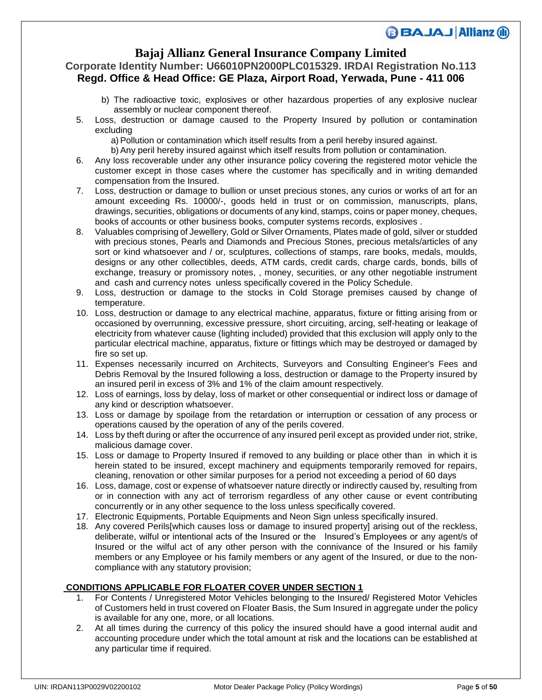### **Bajaj Allianz General Insurance Company Limited**

### **Corporate Identity Number: U66010PN2000PLC015329. IRDAI Registration No.113 Regd. Office & Head Office: GE Plaza, Airport Road, Yerwada, Pune - 411 006**

- b) The radioactive toxic, explosives or other hazardous properties of any explosive nuclear assembly or nuclear component thereof.
- 5. Loss, destruction or damage caused to the Property Insured by pollution or contamination excluding
	- a)Pollution or contamination which itself results from a peril hereby insured against.
	- b)Any peril hereby insured against which itself results from pollution or contamination.
- 6. Any loss recoverable under any other insurance policy covering the registered motor vehicle the customer except in those cases where the customer has specifically and in writing demanded compensation from the Insured.
- 7. Loss, destruction or damage to bullion or unset precious stones, any curios or works of art for an amount exceeding Rs. 10000/-, goods held in trust or on commission, manuscripts, plans, drawings, securities, obligations or documents of any kind, stamps, coins or paper money, cheques, books of accounts or other business books, computer systems records, explosives .
- 8. Valuables comprising of Jewellery, Gold or Silver Ornaments, Plates made of gold, silver or studded with precious stones, Pearls and Diamonds and Precious Stones, precious metals/articles of any sort or kind whatsoever and / or, sculptures, collections of stamps, rare books, medals, moulds, designs or any other collectibles, deeds, ATM cards, credit cards, charge cards, bonds, bills of exchange, treasury or promissory notes, , money, securities, or any other negotiable instrument and cash and currency notes unless specifically covered in the Policy Schedule.
- 9. Loss, destruction or damage to the stocks in Cold Storage premises caused by change of temperature.
- 10. Loss, destruction or damage to any electrical machine, apparatus, fixture or fitting arising from or occasioned by overrunning, excessive pressure, short circuiting, arcing, self-heating or leakage of electricity from whatever cause (lighting included) provided that this exclusion will apply only to the particular electrical machine, apparatus, fixture or fittings which may be destroyed or damaged by fire so set up.
- 11. Expenses necessarily incurred on Architects, Surveyors and Consulting Engineer's Fees and Debris Removal by the Insured following a loss, destruction or damage to the Property insured by an insured peril in excess of 3% and 1% of the claim amount respectively.
- 12. Loss of earnings, loss by delay, loss of market or other consequential or indirect loss or damage of any kind or description whatsoever.
- 13. Loss or damage by spoilage from the retardation or interruption or cessation of any process or operations caused by the operation of any of the perils covered.
- 14. Loss by theft during or after the occurrence of any insured peril except as provided under riot, strike, malicious damage cover.
- 15. Loss or damage to Property Insured if removed to any building or place other than in which it is herein stated to be insured, except machinery and equipments temporarily removed for repairs, cleaning, renovation or other similar purposes for a period not exceeding a period of 60 days
- 16. Loss, damage, cost or expense of whatsoever nature directly or indirectly caused by, resulting from or in connection with any act of terrorism regardless of any other cause or event contributing concurrently or in any other sequence to the loss unless specifically covered.
- 17. Electronic Equipments, Portable Equipments and Neon Sign unless specifically insured.
- 18. Any covered Perils[which causes loss or damage to insured property] arising out of the reckless, deliberate, wilful or intentional acts of the Insured or the Insured's Employees or any agent/s of Insured or the wilful act of any other person with the connivance of the Insured or his family members or any Employee or his family members or any agent of the Insured, or due to the noncompliance with any statutory provision;

### **CONDITIONS APPLICABLE FOR FLOATER COVER UNDER SECTION 1**

- 1. For Contents / Unregistered Motor Vehicles belonging to the Insured/ Registered Motor Vehicles of Customers held in trust covered on Floater Basis, the Sum Insured in aggregate under the policy is available for any one, more, or all locations.
- 2. At all times during the currency of this policy the insured should have a good internal audit and accounting procedure under which the total amount at risk and the locations can be established at any particular time if required.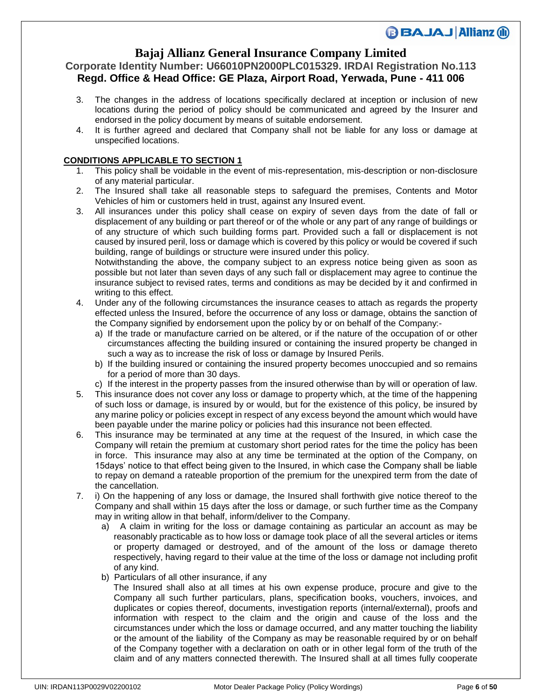## **Bajaj Allianz General Insurance Company Limited**

### **Corporate Identity Number: U66010PN2000PLC015329. IRDAI Registration No.113 Regd. Office & Head Office: GE Plaza, Airport Road, Yerwada, Pune - 411 006**

- 3. The changes in the address of locations specifically declared at inception or inclusion of new locations during the period of policy should be communicated and agreed by the Insurer and endorsed in the policy document by means of suitable endorsement.
- 4. It is further agreed and declared that Company shall not be liable for any loss or damage at unspecified locations.

### **CONDITIONS APPLICABLE TO SECTION 1**

- 1. This policy shall be voidable in the event of mis-representation, mis-description or non-disclosure of any material particular.
- 2. The Insured shall take all reasonable steps to safeguard the premises, Contents and Motor Vehicles of him or customers held in trust, against any Insured event.
- 3. All insurances under this policy shall cease on expiry of seven days from the date of fall or displacement of any building or part thereof or of the whole or any part of any range of buildings or of any structure of which such building forms part. Provided such a fall or displacement is not caused by insured peril, loss or damage which is covered by this policy or would be covered if such building, range of buildings or structure were insured under this policy.

Notwithstanding the above, the company subject to an express notice being given as soon as possible but not later than seven days of any such fall or displacement may agree to continue the insurance subject to revised rates, terms and conditions as may be decided by it and confirmed in writing to this effect.

- 4. Under any of the following circumstances the insurance ceases to attach as regards the property effected unless the Insured, before the occurrence of any loss or damage, obtains the sanction of the Company signified by endorsement upon the policy by or on behalf of the Company:
	- a) If the trade or manufacture carried on be altered, or if the nature of the occupation of or other circumstances affecting the building insured or containing the insured property be changed in such a way as to increase the risk of loss or damage by Insured Perils.
	- b) If the building insured or containing the insured property becomes unoccupied and so remains for a period of more than 30 days.
	- c) If the interest in the property passes from the insured otherwise than by will or operation of law.
- 5. This insurance does not cover any loss or damage to property which, at the time of the happening of such loss or damage, is insured by or would, but for the existence of this policy, be insured by any marine policy or policies except in respect of any excess beyond the amount which would have been payable under the marine policy or policies had this insurance not been effected.
- 6. This insurance may be terminated at any time at the request of the Insured, in which case the Company will retain the premium at customary short period rates for the time the policy has been in force. This insurance may also at any time be terminated at the option of the Company, on 15days' notice to that effect being given to the Insured, in which case the Company shall be liable to repay on demand a rateable proportion of the premium for the unexpired term from the date of the cancellation.
- 7. i) On the happening of any loss or damage, the Insured shall forthwith give notice thereof to the Company and shall within 15 days after the loss or damage, or such further time as the Company may in writing allow in that behalf, inform/deliver to the Company.
	- a) A claim in writing for the loss or damage containing as particular an account as may be reasonably practicable as to how loss or damage took place of all the several articles or items or property damaged or destroyed, and of the amount of the loss or damage thereto respectively, having regard to their value at the time of the loss or damage not including profit of any kind.
	- b) Particulars of all other insurance, if any

 The Insured shall also at all times at his own expense produce, procure and give to the Company all such further particulars, plans, specification books, vouchers, invoices, and duplicates or copies thereof, documents, investigation reports (internal/external), proofs and information with respect to the claim and the origin and cause of the loss and the circumstances under which the loss or damage occurred, and any matter touching the liability or the amount of the liability of the Company as may be reasonable required by or on behalf of the Company together with a declaration on oath or in other legal form of the truth of the claim and of any matters connected therewith. The Insured shall at all times fully cooperate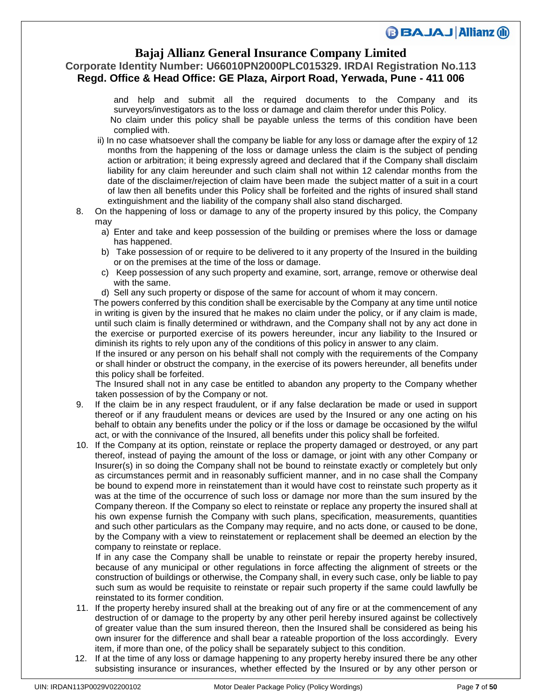### **Bajaj Allianz General Insurance Company Limited**

**Corporate Identity Number: U66010PN2000PLC015329. IRDAI Registration No.113 Regd. Office & Head Office: GE Plaza, Airport Road, Yerwada, Pune - 411 006**

> and help and submit all the required documents to the Company and its surveyors/investigators as to the loss or damage and claim therefor under this Policy. No claim under this policy shall be payable unless the terms of this condition have been complied with.

- ii) In no case whatsoever shall the company be liable for any loss or damage after the expiry of 12 months from the happening of the loss or damage unless the claim is the subject of pending action or arbitration; it being expressly agreed and declared that if the Company shall disclaim liability for any claim hereunder and such claim shall not within 12 calendar months from the date of the disclaimer/rejection of claim have been made the subject matter of a suit in a court of law then all benefits under this Policy shall be forfeited and the rights of insured shall stand extinguishment and the liability of the company shall also stand discharged.
- 8. On the happening of loss or damage to any of the property insured by this policy, the Company may
	- a) Enter and take and keep possession of the building or premises where the loss or damage has happened.
	- b) Take possession of or require to be delivered to it any property of the Insured in the building or on the premises at the time of the loss or damage.
	- c) Keep possession of any such property and examine, sort, arrange, remove or otherwise deal with the same.
	- d) Sell any such property or dispose of the same for account of whom it may concern.

 The powers conferred by this condition shall be exercisable by the Company at any time until notice in writing is given by the insured that he makes no claim under the policy, or if any claim is made, until such claim is finally determined or withdrawn, and the Company shall not by any act done in the exercise or purported exercise of its powers hereunder, incur any liability to the Insured or diminish its rights to rely upon any of the conditions of this policy in answer to any claim.

If the insured or any person on his behalf shall not comply with the requirements of the Company or shall hinder or obstruct the company, in the exercise of its powers hereunder, all benefits under this policy shall be forfeited.

The Insured shall not in any case be entitled to abandon any property to the Company whether taken possession of by the Company or not.

- 9. If the claim be in any respect fraudulent, or if any false declaration be made or used in support thereof or if any fraudulent means or devices are used by the Insured or any one acting on his behalf to obtain any benefits under the policy or if the loss or damage be occasioned by the wilful act, or with the connivance of the Insured, all benefits under this policy shall be forfeited.
- 10. If the Company at its option, reinstate or replace the property damaged or destroyed, or any part thereof, instead of paying the amount of the loss or damage, or joint with any other Company or Insurer(s) in so doing the Company shall not be bound to reinstate exactly or completely but only as circumstances permit and in reasonably sufficient manner, and in no case shall the Company be bound to expend more in reinstatement than it would have cost to reinstate such property as it was at the time of the occurrence of such loss or damage nor more than the sum insured by the Company thereon. If the Company so elect to reinstate or replace any property the insured shall at his own expense furnish the Company with such plans, specification, measurements, quantities and such other particulars as the Company may require, and no acts done, or caused to be done, by the Company with a view to reinstatement or replacement shall be deemed an election by the company to reinstate or replace.

If in any case the Company shall be unable to reinstate or repair the property hereby insured, because of any municipal or other regulations in force affecting the alignment of streets or the construction of buildings or otherwise, the Company shall, in every such case, only be liable to pay such sum as would be requisite to reinstate or repair such property if the same could lawfully be reinstated to its former condition.

- 11. If the property hereby insured shall at the breaking out of any fire or at the commencement of any destruction of or damage to the property by any other peril hereby insured against be collectively of greater value than the sum insured thereon, then the Insured shall be considered as being his own insurer for the difference and shall bear a rateable proportion of the loss accordingly. Every item, if more than one, of the policy shall be separately subject to this condition.
- 12. If at the time of any loss or damage happening to any property hereby insured there be any other subsisting insurance or insurances, whether effected by the Insured or by any other person or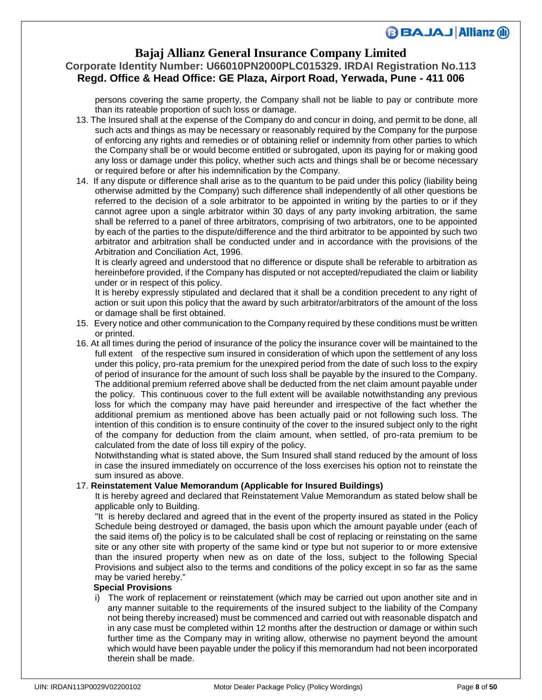### **Bajaj Allianz General Insurance Company Limited**

## **Corporate Identity Number: U66010PN2000PLC015329. IRDAI Registration No.113 Regd. Office & Head Office: GE Plaza, Airport Road, Yerwada, Pune - 411 006**

persons covering the same property, the Company shall not be liable to pay or contribute more than its rateable proportion of such loss or damage.

- 13. The Insured shall at the expense of the Company do and concur in doing, and permit to be done, all such acts and things as may be necessary or reasonably required by the Company for the purpose of enforcing any rights and remedies or of obtaining relief or indemnity from other parties to which the Company shall be or would become entitled or subrogated, upon its paying for or making good any loss or damage under this policy, whether such acts and things shall be or become necessary or required before or after his indemnification by the Company.
- 14. If any dispute or difference shall arise as to the quantum to be paid under this policy (liability being otherwise admitted by the Company) such difference shall independently of all other questions be referred to the decision of a sole arbitrator to be appointed in writing by the parties to or if they cannot agree upon a single arbitrator within 30 days of any party invoking arbitration, the same shall be referred to a panel of three arbitrators, comprising of two arbitrators, one to be appointed by each of the parties to the dispute/difference and the third arbitrator to be appointed by such two arbitrator and arbitration shall be conducted under and in accordance with the provisions of the Arbitration and Conciliation Act, 1996.

It is clearly agreed and understood that no difference or dispute shall be referable to arbitration as hereinbefore provided, if the Company has disputed or not accepted/repudiated the claim or liability under or in respect of this policy.

It is hereby expressly stipulated and declared that it shall be a condition precedent to any right of action or suit upon this policy that the award by such arbitrator/arbitrators of the amount of the loss or damage shall be first obtained.

- 15. Every notice and other communication to the Company required by these conditions must be written or printed.
- 16. At all times during the period of insurance of the policy the insurance cover will be maintained to the full extent of the respective sum insured in consideration of which upon the settlement of any loss under this policy, pro-rata premium for the unexpired period from the date of such loss to the expiry of period of insurance for the amount of such loss shall be payable by the insured to the Company. The additional premium referred above shall be deducted from the net claim amount payable under the policy. This continuous cover to the full extent will be available notwithstanding any previous loss for which the company may have paid hereunder and irrespective of the fact whether the additional premium as mentioned above has been actually paid or not following such loss. The intention of this condition is to ensure continuity of the cover to the insured subject only to the right of the company for deduction from the claim amount, when settled, of pro-rata premium to be calculated from the date of loss till expiry of the policy.

Notwithstanding what is stated above, the Sum Insured shall stand reduced by the amount of loss in case the insured immediately on occurrence of the loss exercises his option not to reinstate the sum insured as above.

### 17. **Reinstatement Value Memorandum (Applicable for Insured Buildings)**

It is hereby agreed and declared that Reinstatement Value Memorandum as stated below shall be applicable only to Building.

"It is hereby declared and agreed that in the event of the property insured as stated in the Policy Schedule being destroyed or damaged, the basis upon which the amount payable under (each of the said items of) the policy is to be calculated shall be cost of replacing or reinstating on the same site or any other site with property of the same kind or type but not superior to or more extensive than the insured property when new as on date of the loss, subject to the following Special Provisions and subject also to the terms and conditions of the policy except in so far as the same may be varied hereby."

#### **Special Provisions**

i) The work of replacement or reinstatement (which may be carried out upon another site and in any manner suitable to the requirements of the insured subject to the liability of the Company not being thereby increased) must be commenced and carried out with reasonable dispatch and in any case must be completed within 12 months after the destruction or damage or within such further time as the Company may in writing allow, otherwise no payment beyond the amount which would have been payable under the policy if this memorandum had not been incorporated therein shall be made.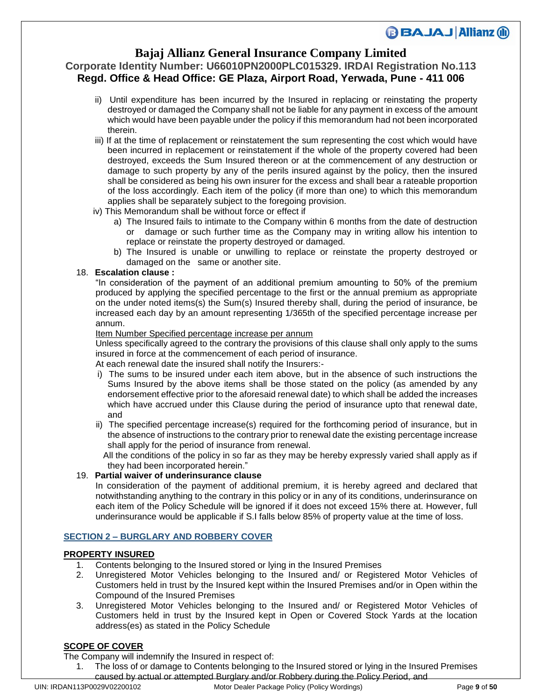## **Bajaj Allianz General Insurance Company Limited**

### **Corporate Identity Number: U66010PN2000PLC015329. IRDAI Registration No.113 Regd. Office & Head Office: GE Plaza, Airport Road, Yerwada, Pune - 411 006**

- ii) Until expenditure has been incurred by the Insured in replacing or reinstating the property destroyed or damaged the Company shall not be liable for any payment in excess of the amount which would have been payable under the policy if this memorandum had not been incorporated therein.
- iii) If at the time of replacement or reinstatement the sum representing the cost which would have been incurred in replacement or reinstatement if the whole of the property covered had been destroyed, exceeds the Sum Insured thereon or at the commencement of any destruction or damage to such property by any of the perils insured against by the policy, then the insured shall be considered as being his own insurer for the excess and shall bear a rateable proportion of the loss accordingly. Each item of the policy (if more than one) to which this memorandum applies shall be separately subject to the foregoing provision.
- iv) This Memorandum shall be without force or effect if
	- a) The Insured fails to intimate to the Company within 6 months from the date of destruction or damage or such further time as the Company may in writing allow his intention to replace or reinstate the property destroyed or damaged.
	- b) The Insured is unable or unwilling to replace or reinstate the property destroyed or damaged on the same or another site.

### 18. **Escalation clause :**

"In consideration of the payment of an additional premium amounting to 50% of the premium produced by applying the specified percentage to the first or the annual premium as appropriate on the under noted items(s) the Sum(s) Insured thereby shall, during the period of insurance, be increased each day by an amount representing 1/365th of the specified percentage increase per annum.

#### Item Number Specified percentage increase per annum

Unless specifically agreed to the contrary the provisions of this clause shall only apply to the sums insured in force at the commencement of each period of insurance.

At each renewal date the insured shall notify the Insurers:-

- i) The sums to be insured under each item above, but in the absence of such instructions the Sums Insured by the above items shall be those stated on the policy (as amended by any endorsement effective prior to the aforesaid renewal date) to which shall be added the increases which have accrued under this Clause during the period of insurance upto that renewal date, and
- ii) The specified percentage increase(s) required for the forthcoming period of insurance, but in the absence of instructions to the contrary prior to renewal date the existing percentage increase shall apply for the period of insurance from renewal.

 All the conditions of the policy in so far as they may be hereby expressly varied shall apply as if they had been incorporated herein."

### 19. **Partial waiver of underinsurance clause**

In consideration of the payment of additional premium, it is hereby agreed and declared that notwithstanding anything to the contrary in this policy or in any of its conditions, underinsurance on each item of the Policy Schedule will be ignored if it does not exceed 15% there at. However, full underinsurance would be applicable if S.I falls below 85% of property value at the time of loss.

### **SECTION 2 – BURGLARY AND ROBBERY COVER**

### **PROPERTY INSURED**

- 1. Contents belonging to the Insured stored or lying in the Insured Premises
- 2. Unregistered Motor Vehicles belonging to the Insured and/ or Registered Motor Vehicles of Customers held in trust by the Insured kept within the Insured Premises and/or in Open within the Compound of the Insured Premises
- 3. Unregistered Motor Vehicles belonging to the Insured and/ or Registered Motor Vehicles of Customers held in trust by the Insured kept in Open or Covered Stock Yards at the location address(es) as stated in the Policy Schedule

### **SCOPE OF COVER**

The Company will indemnify the Insured in respect of:

1. The loss of or damage to Contents belonging to the Insured stored or lying in the Insured Premises caused by actual or attempted Burglary and/or Robbery during the Policy Period, and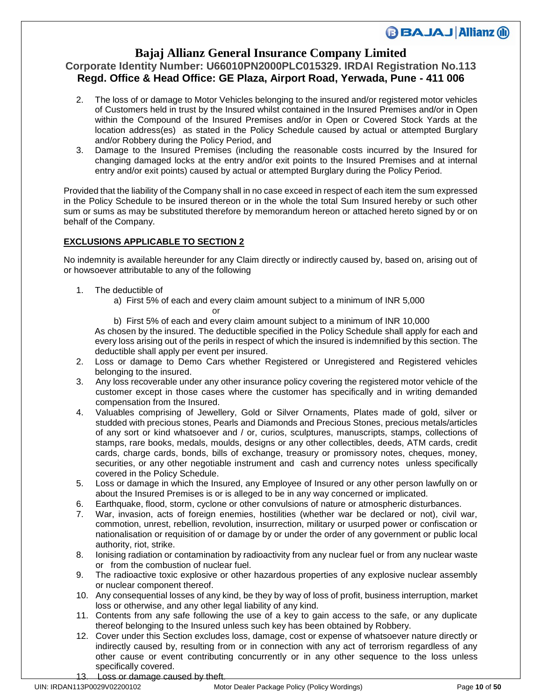## **Bajaj Allianz General Insurance Company Limited**

### **Corporate Identity Number: U66010PN2000PLC015329. IRDAI Registration No.113 Regd. Office & Head Office: GE Plaza, Airport Road, Yerwada, Pune - 411 006**

- 2. The loss of or damage to Motor Vehicles belonging to the insured and/or registered motor vehicles of Customers held in trust by the Insured whilst contained in the Insured Premises and/or in Open within the Compound of the Insured Premises and/or in Open or Covered Stock Yards at the location address(es) as stated in the Policy Schedule caused by actual or attempted Burglary and/or Robbery during the Policy Period, and
- 3. Damage to the Insured Premises (including the reasonable costs incurred by the Insured for changing damaged locks at the entry and/or exit points to the Insured Premises and at internal entry and/or exit points) caused by actual or attempted Burglary during the Policy Period.

Provided that the liability of the Company shall in no case exceed in respect of each item the sum expressed in the Policy Schedule to be insured thereon or in the whole the total Sum Insured hereby or such other sum or sums as may be substituted therefore by memorandum hereon or attached hereto signed by or on behalf of the Company.

### **EXCLUSIONS APPLICABLE TO SECTION 2**

No indemnity is available hereunder for any Claim directly or indirectly caused by, based on, arising out of or howsoever attributable to any of the following

- 1. The deductible of
	- a) First 5% of each and every claim amount subject to a minimum of INR 5,000 **or** *or a state of the state of the state*

b) First 5% of each and every claim amount subject to a minimum of INR 10,000 As chosen by the insured. The deductible specified in the Policy Schedule shall apply for each and every loss arising out of the perils in respect of which the insured is indemnified by this section. The deductible shall apply per event per insured.

- 2. Loss or damage to Demo Cars whether Registered or Unregistered and Registered vehicles belonging to the insured.
- 3. Any loss recoverable under any other insurance policy covering the registered motor vehicle of the customer except in those cases where the customer has specifically and in writing demanded compensation from the Insured.
- 4. Valuables comprising of Jewellery, Gold or Silver Ornaments, Plates made of gold, silver or studded with precious stones, Pearls and Diamonds and Precious Stones, precious metals/articles of any sort or kind whatsoever and / or, curios, sculptures, manuscripts, stamps, collections of stamps, rare books, medals, moulds, designs or any other collectibles, deeds, ATM cards, credit cards, charge cards, bonds, bills of exchange, treasury or promissory notes, cheques, money, securities, or any other negotiable instrument and cash and currency notes unless specifically covered in the Policy Schedule.
- 5. Loss or damage in which the Insured, any Employee of Insured or any other person lawfully on or about the Insured Premises is or is alleged to be in any way concerned or implicated.
- 6. Earthquake, flood, storm, cyclone or other convulsions of nature or atmospheric disturbances.
- 7. War, invasion, acts of foreign enemies, hostilities (whether war be declared or not), civil war, commotion, unrest, rebellion, revolution, insurrection, military or usurped power or confiscation or nationalisation or requisition of or damage by or under the order of any government or public local authority, riot, strike.
- 8. Ionising radiation or contamination by radioactivity from any nuclear fuel or from any nuclear waste or from the combustion of nuclear fuel.
- 9. The radioactive toxic explosive or other hazardous properties of any explosive nuclear assembly or nuclear component thereof.
- 10. Any consequential losses of any kind, be they by way of loss of profit, business interruption, market loss or otherwise, and any other legal liability of any kind.
- 11. Contents from any safe following the use of a key to gain access to the safe, or any duplicate thereof belonging to the Insured unless such key has been obtained by Robbery.
- 12. Cover under this Section excludes loss, damage, cost or expense of whatsoever nature directly or indirectly caused by, resulting from or in connection with any act of terrorism regardless of any other cause or event contributing concurrently or in any other sequence to the loss unless specifically covered.
- Loss or damage caused by theft.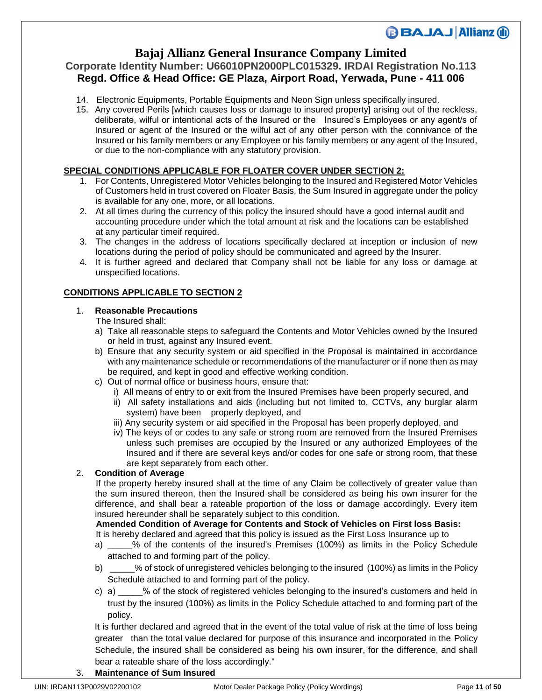## **Bajaj Allianz General Insurance Company Limited**

### **Corporate Identity Number: U66010PN2000PLC015329. IRDAI Registration No.113 Regd. Office & Head Office: GE Plaza, Airport Road, Yerwada, Pune - 411 006**

- 14. Electronic Equipments, Portable Equipments and Neon Sign unless specifically insured.
- 15. Any covered Perils [which causes loss or damage to insured property] arising out of the reckless, deliberate, wilful or intentional acts of the Insured or the Insured's Employees or any agent/s of Insured or agent of the Insured or the wilful act of any other person with the connivance of the Insured or his family members or any Employee or his family members or any agent of the Insured, or due to the non-compliance with any statutory provision.

### **SPECIAL CONDITIONS APPLICABLE FOR FLOATER COVER UNDER SECTION 2:**

- 1. For Contents, Unregistered Motor Vehicles belonging to the Insured and Registered Motor Vehicles of Customers held in trust covered on Floater Basis, the Sum Insured in aggregate under the policy is available for any one, more, or all locations.
- 2. At all times during the currency of this policy the insured should have a good internal audit and accounting procedure under which the total amount at risk and the locations can be established at any particular timeif required.
- 3. The changes in the address of locations specifically declared at inception or inclusion of new locations during the period of policy should be communicated and agreed by the Insurer.
- 4. It is further agreed and declared that Company shall not be liable for any loss or damage at unspecified locations.

### **CONDITIONS APPLICABLE TO SECTION 2**

### 1. **Reasonable Precautions**

The Insured shall:

- a) Take all reasonable steps to safeguard the Contents and Motor Vehicles owned by the Insured or held in trust, against any Insured event.
- b) Ensure that any security system or aid specified in the Proposal is maintained in accordance with any maintenance schedule or recommendations of the manufacturer or if none then as may be required, and kept in good and effective working condition.
- c) Out of normal office or business hours, ensure that:
	- i) All means of entry to or exit from the Insured Premises have been properly secured, and
	- ii) All safety installations and aids (including but not limited to, CCTVs, any burglar alarm system) have been properly deployed, and
	- iii) Any security system or aid specified in the Proposal has been properly deployed, and
	- iv) The keys of or codes to any safe or strong room are removed from the Insured Premises unless such premises are occupied by the Insured or any authorized Employees of the Insured and if there are several keys and/or codes for one safe or strong room, that these are kept separately from each other.

### 2. **Condition of Average**

 If the property hereby insured shall at the time of any Claim be collectively of greater value than the sum insured thereon, then the Insured shall be considered as being his own insurer for the difference, and shall bear a rateable proportion of the loss or damage accordingly. Every item insured hereunder shall be separately subject to this condition.

 **Amended Condition of Average for Contents and Stock of Vehicles on First loss Basis:** It is hereby declared and agreed that this policy is issued as the First Loss Insurance up to

- a) \_\_\_\_\_% of the contents of the insured's Premises (100%) as limits in the Policy Schedule attached to and forming part of the policy.
- b) \_\_\_\_\_% of stock of unregistered vehicles belonging to the insured (100%) as limits in the Policy Schedule attached to and forming part of the policy.
- c) a) \_\_\_\_\_% of the stock of registered vehicles belonging to the insured's customers and held in trust by the insured (100%) as limits in the Policy Schedule attached to and forming part of the policy.

 It is further declared and agreed that in the event of the total value of risk at the time of loss being greater than the total value declared for purpose of this insurance and incorporated in the Policy Schedule, the insured shall be considered as being his own insurer, for the difference, and shall bear a rateable share of the loss accordingly."

3. **Maintenance of Sum Insured**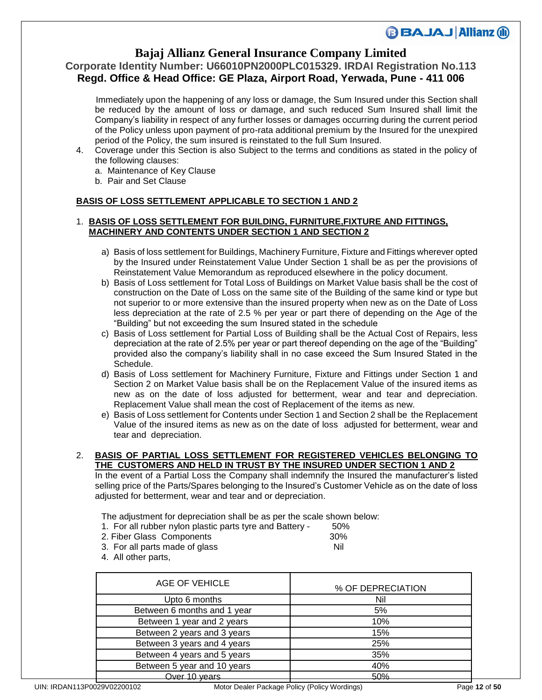## **Bajaj Allianz General Insurance Company Limited**

## **Corporate Identity Number: U66010PN2000PLC015329. IRDAI Registration No.113 Regd. Office & Head Office: GE Plaza, Airport Road, Yerwada, Pune - 411 006**

 Immediately upon the happening of any loss or damage, the Sum Insured under this Section shall be reduced by the amount of loss or damage, and such reduced Sum Insured shall limit the Company's liability in respect of any further losses or damages occurring during the current period of the Policy unless upon payment of pro-rata additional premium by the Insured for the unexpired period of the Policy, the sum insured is reinstated to the full Sum Insured.

- 4. Coverage under this Section is also Subject to the terms and conditions as stated in the policy of the following clauses:
	- a. Maintenance of Key Clause
	- b. Pair and Set Clause

### **BASIS OF LOSS SETTLEMENT APPLICABLE TO SECTION 1 AND 2**

### 1. **BASIS OF LOSS SETTLEMENT FOR BUILDING, FURNITURE,FIXTURE AND FITTINGS, MACHINERY AND CONTENTS UNDER SECTION 1 AND SECTION 2**

- a) Basis of loss settlement for Buildings, Machinery Furniture, Fixture and Fittings wherever opted by the Insured under Reinstatement Value Under Section 1 shall be as per the provisions of Reinstatement Value Memorandum as reproduced elsewhere in the policy document.
- b) Basis of Loss settlement for Total Loss of Buildings on Market Value basis shall be the cost of construction on the Date of Loss on the same site of the Building of the same kind or type but not superior to or more extensive than the insured property when new as on the Date of Loss less depreciation at the rate of 2.5 % per year or part there of depending on the Age of the "Building" but not exceeding the sum Insured stated in the schedule
- c) Basis of Loss settlement for Partial Loss of Building shall be the Actual Cost of Repairs, less depreciation at the rate of 2.5% per year or part thereof depending on the age of the "Building" provided also the company's liability shall in no case exceed the Sum Insured Stated in the Schedule.
- d) Basis of Loss settlement for Machinery Furniture, Fixture and Fittings under Section 1 and Section 2 on Market Value basis shall be on the Replacement Value of the insured items as new as on the date of loss adjusted for betterment, wear and tear and depreciation. Replacement Value shall mean the cost of Replacement of the items as new.
- e) Basis of Loss settlement for Contents under Section 1 and Section 2 shall be the Replacement Value of the insured items as new as on the date of loss adjusted for betterment, wear and tear and depreciation.

#### 2. **BASIS OF PARTIAL LOSS SETTLEMENT FOR REGISTERED VEHICLES BELONGING TO THE CUSTOMERS AND HELD IN TRUST BY THE INSURED UNDER SECTION 1 AND 2**

In the event of a Partial Loss the Company shall indemnify the Insured the manufacturer's listed selling price of the Parts/Spares belonging to the Insured's Customer Vehicle as on the date of loss adjusted for betterment, wear and tear and or depreciation.

The adjustment for depreciation shall be as per the scale shown below:

- 1. For all rubber nylon plastic parts tyre and Battery 50%
- 2. Fiber Glass Components 30%
- 3. For all parts made of glass Nil
- 4. All other parts,

| AGE OF VEHICLE              | % OF DEPRECIATION |
|-----------------------------|-------------------|
| Upto 6 months               | Nil               |
| Between 6 months and 1 year | 5%                |
| Between 1 year and 2 years  | 10%               |
| Between 2 years and 3 years | 15%               |
| Between 3 years and 4 years | 25%               |
| Between 4 years and 5 years | 35%               |
| Between 5 year and 10 years | 40%               |
| Over 10 years               | 50%               |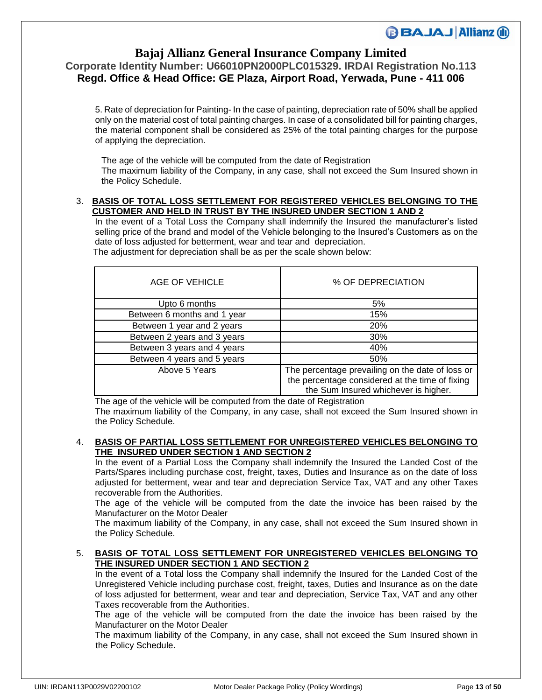### **Bajaj Allianz General Insurance Company Limited**

## **Corporate Identity Number: U66010PN2000PLC015329. IRDAI Registration No.113 Regd. Office & Head Office: GE Plaza, Airport Road, Yerwada, Pune - 411 006**

5. Rate of depreciation for Painting- In the case of painting, depreciation rate of 50% shall be applied only on the material cost of total painting charges. In case of a consolidated bill for painting charges, the material component shall be considered as 25% of the total painting charges for the purpose of applying the depreciation.

The age of the vehicle will be computed from the date of Registration The maximum liability of the Company, in any case, shall not exceed the Sum Insured shown in the Policy Schedule.

#### 3. **BASIS OF TOTAL LOSS SETTLEMENT FOR REGISTERED VEHICLES BELONGING TO THE CUSTOMER AND HELD IN TRUST BY THE INSURED UNDER SECTION 1 AND 2**

In the event of a Total Loss the Company shall indemnify the Insured the manufacturer's listed selling price of the brand and model of the Vehicle belonging to the Insured's Customers as on the date of loss adjusted for betterment, wear and tear and depreciation.

The adjustment for depreciation shall be as per the scale shown below:

| AGE OF VEHICLE              | % OF DEPRECIATION                                                                                                                           |
|-----------------------------|---------------------------------------------------------------------------------------------------------------------------------------------|
| Upto 6 months               | 5%                                                                                                                                          |
| Between 6 months and 1 year | 15%                                                                                                                                         |
| Between 1 year and 2 years  | <b>20%</b>                                                                                                                                  |
| Between 2 years and 3 years | 30%                                                                                                                                         |
| Between 3 years and 4 years | 40%                                                                                                                                         |
| Between 4 years and 5 years | 50%                                                                                                                                         |
| Above 5 Years               | The percentage prevailing on the date of loss or<br>the percentage considered at the time of fixing<br>the Sum Insured whichever is higher. |

The age of the vehicle will be computed from the date of Registration The maximum liability of the Company, in any case, shall not exceed the Sum Insured shown in the Policy Schedule.

### 4. **BASIS OF PARTIAL LOSS SETTLEMENT FOR UNREGISTERED VEHICLES BELONGING TO THE INSURED UNDER SECTION 1 AND SECTION 2**

In the event of a Partial Loss the Company shall indemnify the Insured the Landed Cost of the Parts/Spares including purchase cost, freight, taxes, Duties and Insurance as on the date of loss adjusted for betterment, wear and tear and depreciation Service Tax, VAT and any other Taxes recoverable from the Authorities.

The age of the vehicle will be computed from the date the invoice has been raised by the Manufacturer on the Motor Dealer

The maximum liability of the Company, in any case, shall not exceed the Sum Insured shown in the Policy Schedule.

### 5. **BASIS OF TOTAL LOSS SETTLEMENT FOR UNREGISTERED VEHICLES BELONGING TO THE INSURED UNDER SECTION 1 AND SECTION 2**

In the event of a Total loss the Company shall indemnify the Insured for the Landed Cost of the Unregistered Vehicle including purchase cost, freight, taxes, Duties and Insurance as on the date of loss adjusted for betterment, wear and tear and depreciation, Service Tax, VAT and any other Taxes recoverable from the Authorities.

The age of the vehicle will be computed from the date the invoice has been raised by the Manufacturer on the Motor Dealer

The maximum liability of the Company, in any case, shall not exceed the Sum Insured shown in the Policy Schedule.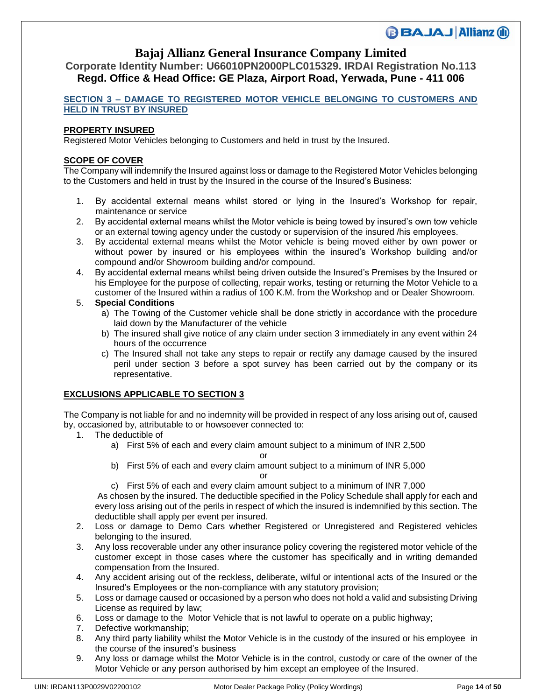### **Bajaj Allianz General Insurance Company Limited**

**Corporate Identity Number: U66010PN2000PLC015329. IRDAI Registration No.113 Regd. Office & Head Office: GE Plaza, Airport Road, Yerwada, Pune - 411 006**

### **SECTION 3 – DAMAGE TO REGISTERED MOTOR VEHICLE BELONGING TO CUSTOMERS AND HELD IN TRUST BY INSURED**

### **PROPERTY INSURED**

Registered Motor Vehicles belonging to Customers and held in trust by the Insured.

### **SCOPE OF COVER**

The Company will indemnify the Insured against loss or damage to the Registered Motor Vehicles belonging to the Customers and held in trust by the Insured in the course of the Insured's Business:

- 1. By accidental external means whilst stored or lying in the Insured's Workshop for repair, maintenance or service
- 2. By accidental external means whilst the Motor vehicle is being towed by insured's own tow vehicle or an external towing agency under the custody or supervision of the insured /his employees.
- 3. By accidental external means whilst the Motor vehicle is being moved either by own power or without power by insured or his employees within the insured's Workshop building and/or compound and/or Showroom building and/or compound.
- 4. By accidental external means whilst being driven outside the Insured's Premises by the Insured or his Employee for the purpose of collecting, repair works, testing or returning the Motor Vehicle to a customer of the Insured within a radius of 100 K.M. from the Workshop and or Dealer Showroom.

### 5. **Special Conditions**

- a) The Towing of the Customer vehicle shall be done strictly in accordance with the procedure laid down by the Manufacturer of the vehicle
- b) The insured shall give notice of any claim under section 3 immediately in any event within 24 hours of the occurrence
- c) The Insured shall not take any steps to repair or rectify any damage caused by the insured peril under section 3 before a spot survey has been carried out by the company or its representative.

### **EXCLUSIONS APPLICABLE TO SECTION 3**

The Company is not liable for and no indemnity will be provided in respect of any loss arising out of, caused by, occasioned by, attributable to or howsoever connected to:

- 1. The deductible of
	- a) First 5% of each and every claim amount subject to a minimum of INR 2,500

**or** *or a state of the state of the state of the state of the state of the state of the state of the state of the state of the state of the state of the state of the state of the state of the state of the state of the sta* b) First 5% of each and every claim amount subject to a minimum of INR 5,000

**or** *or* 

c) First 5% of each and every claim amount subject to a minimum of INR 7,000

As chosen by the insured. The deductible specified in the Policy Schedule shall apply for each and every loss arising out of the perils in respect of which the insured is indemnified by this section. The deductible shall apply per event per insured.

- 2. Loss or damage to Demo Cars whether Registered or Unregistered and Registered vehicles belonging to the insured.
- 3. Any loss recoverable under any other insurance policy covering the registered motor vehicle of the customer except in those cases where the customer has specifically and in writing demanded compensation from the Insured.
- 4. Any accident arising out of the reckless, deliberate, wilful or intentional acts of the Insured or the Insured's Employees or the non-compliance with any statutory provision;
- 5. Loss or damage caused or occasioned by a person who does not hold a valid and subsisting Driving License as required by law;
- 6. Loss or damage to the Motor Vehicle that is not lawful to operate on a public highway;
- 7. Defective workmanship;
- 8. Any third party liability whilst the Motor Vehicle is in the custody of the insured or his employee in the course of the insured's business
- 9. Any loss or damage whilst the Motor Vehicle is in the control, custody or care of the owner of the Motor Vehicle or any person authorised by him except an employee of the Insured.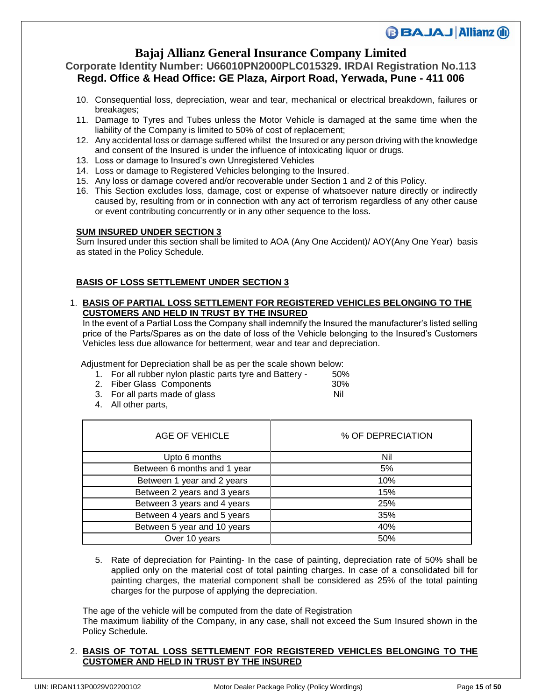# **Bajaj Allianz General Insurance Company Limited**

### **Corporate Identity Number: U66010PN2000PLC015329. IRDAI Registration No.113 Regd. Office & Head Office: GE Plaza, Airport Road, Yerwada, Pune - 411 006**

- 10. Consequential loss, depreciation, wear and tear, mechanical or electrical breakdown, failures or breakages;
- 11. Damage to Tyres and Tubes unless the Motor Vehicle is damaged at the same time when the liability of the Company is limited to 50% of cost of replacement;
- 12. Any accidental loss or damage suffered whilst the Insured or any person driving with the knowledge and consent of the Insured is under the influence of intoxicating liquor or drugs.
- 13. Loss or damage to Insured's own Unregistered Vehicles
- 14. Loss or damage to Registered Vehicles belonging to the Insured.
- 15. Any loss or damage covered and/or recoverable under Section 1 and 2 of this Policy.
- 16. This Section excludes loss, damage, cost or expense of whatsoever nature directly or indirectly caused by, resulting from or in connection with any act of terrorism regardless of any other cause or event contributing concurrently or in any other sequence to the loss.

#### **SUM INSURED UNDER SECTION 3**

Sum Insured under this section shall be limited to AOA (Any One Accident)/ AOY(Any One Year) basis as stated in the Policy Schedule.

### **BASIS OF LOSS SETTLEMENT UNDER SECTION 3**

#### 1. **BASIS OF PARTIAL LOSS SETTLEMENT FOR REGISTERED VEHICLES BELONGING TO THE CUSTOMERS AND HELD IN TRUST BY THE INSURED**

In the event of a Partial Loss the Company shall indemnify the Insured the manufacturer's listed selling price of the Parts/Spares as on the date of loss of the Vehicle belonging to the Insured's Customers Vehicles less due allowance for betterment, wear and tear and depreciation.

Adjustment for Depreciation shall be as per the scale shown below:

- 1. For all rubber nylon plastic parts tyre and Battery 50%
- 2. Fiber Glass Components 30%
- 3. For all parts made of glass Nil
- 4. All other parts,

| AGE OF VEHICLE              | % OF DEPRECIATION |
|-----------------------------|-------------------|
| Upto 6 months               | Nil               |
| Between 6 months and 1 year | 5%                |
| Between 1 year and 2 years  | 10%               |
| Between 2 years and 3 years | 15%               |
| Between 3 years and 4 years | 25%               |
| Between 4 years and 5 years | 35%               |
| Between 5 year and 10 years | 40%               |
| Over 10 years               | 50%               |

5. Rate of depreciation for Painting- In the case of painting, depreciation rate of 50% shall be applied only on the material cost of total painting charges. In case of a consolidated bill for painting charges, the material component shall be considered as 25% of the total painting charges for the purpose of applying the depreciation.

The age of the vehicle will be computed from the date of Registration The maximum liability of the Company, in any case, shall not exceed the Sum Insured shown in the Policy Schedule.

### 2. **BASIS OF TOTAL LOSS SETTLEMENT FOR REGISTERED VEHICLES BELONGING TO THE CUSTOMER AND HELD IN TRUST BY THE INSURED**

**BBAJAJ Allianz (ii)**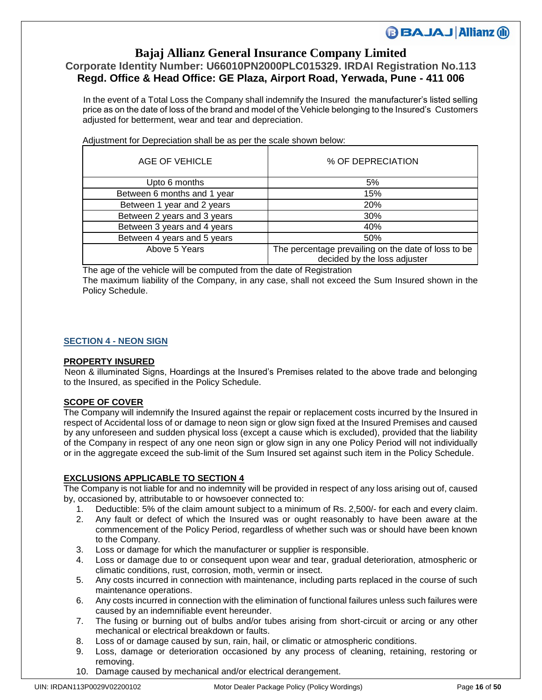# **Bajaj Allianz General Insurance Company Limited**

# **Corporate Identity Number: U66010PN2000PLC015329. IRDAI Registration No.113 Regd. Office & Head Office: GE Plaza, Airport Road, Yerwada, Pune - 411 006**

 In the event of a Total Loss the Company shall indemnify the Insured the manufacturer's listed selling price as on the date of loss of the brand and model of the Vehicle belonging to the Insured's Customers adjusted for betterment, wear and tear and depreciation.

| AGE OF VEHICLE              | % OF DEPRECIATION                                                                   |
|-----------------------------|-------------------------------------------------------------------------------------|
| Upto 6 months               | 5%                                                                                  |
| Between 6 months and 1 year | 15%                                                                                 |
| Between 1 year and 2 years  | 20%                                                                                 |
| Between 2 years and 3 years | 30%                                                                                 |
| Between 3 years and 4 years | 40%                                                                                 |
| Between 4 years and 5 years | 50%                                                                                 |
| Above 5 Years               | The percentage prevailing on the date of loss to be<br>decided by the loss adjuster |

Adjustment for Depreciation shall be as per the scale shown below:

The age of the vehicle will be computed from the date of Registration The maximum liability of the Company, in any case, shall not exceed the Sum Insured shown in the Policy Schedule.

### **SECTION 4 - NEON SIGN**

#### **PROPERTY INSURED**

 Neon & illuminated Signs, Hoardings at the Insured's Premises related to the above trade and belonging to the Insured, as specified in the Policy Schedule.

#### **SCOPE OF COVER**

The Company will indemnify the Insured against the repair or replacement costs incurred by the Insured in respect of Accidental loss of or damage to neon sign or glow sign fixed at the Insured Premises and caused by any unforeseen and sudden physical loss (except a cause which is excluded), provided that the liability of the Company in respect of any one neon sign or glow sign in any one Policy Period will not individually or in the aggregate exceed the sub-limit of the Sum Insured set against such item in the Policy Schedule.

#### **EXCLUSIONS APPLICABLE TO SECTION 4**

The Company is not liable for and no indemnity will be provided in respect of any loss arising out of, caused by, occasioned by, attributable to or howsoever connected to:

- 1. Deductible: 5% of the claim amount subject to a minimum of Rs. 2,500/- for each and every claim.
- 2. Any fault or defect of which the Insured was or ought reasonably to have been aware at the commencement of the Policy Period, regardless of whether such was or should have been known to the Company.
- 3. Loss or damage for which the manufacturer or supplier is responsible.
- 4. Loss or damage due to or consequent upon wear and tear, gradual deterioration, atmospheric or climatic conditions, rust, corrosion, moth, vermin or insect.
- 5. Any costs incurred in connection with maintenance, including parts replaced in the course of such maintenance operations.
- 6. Any costs incurred in connection with the elimination of functional failures unless such failures were caused by an indemnifiable event hereunder.
- 7. The fusing or burning out of bulbs and/or tubes arising from short-circuit or arcing or any other mechanical or electrical breakdown or faults.
- 8. Loss of or damage caused by sun, rain, hail, or climatic or atmospheric conditions.
- 9. Loss, damage or deterioration occasioned by any process of cleaning, retaining, restoring or removing.
- 10. Damage caused by mechanical and/or electrical derangement.

**BBAJAJ Allianz (ii)**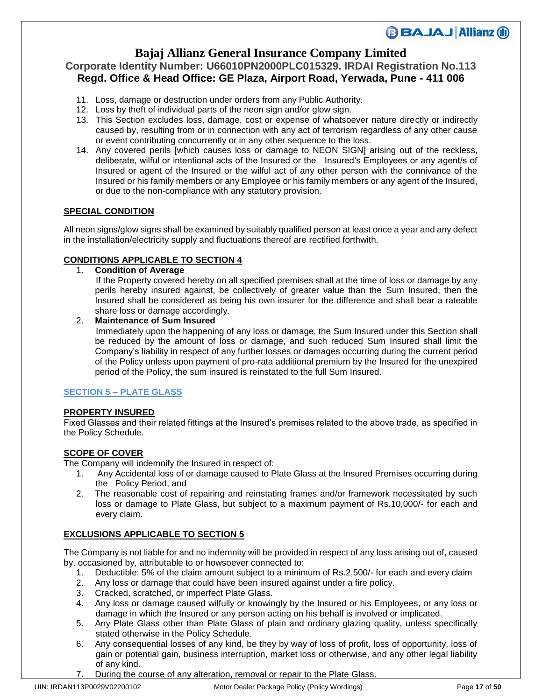## **Bajaj Allianz General Insurance Company Limited**

### **Corporate Identity Number: U66010PN2000PLC015329. IRDAI Registration No.113 Regd. Office & Head Office: GE Plaza, Airport Road, Yerwada, Pune - 411 006**

- 11. Loss, damage or destruction under orders from any Public Authority.
- 12. Loss by theft of individual parts of the neon sign and/or glow sign.
- 13. This Section excludes loss, damage, cost or expense of whatsoever nature directly or indirectly caused by, resulting from or in connection with any act of terrorism regardless of any other cause or event contributing concurrently or in any other sequence to the loss.
- 14. Any covered perils [which causes loss or damage to NEON SIGN] arising out of the reckless, deliberate, wilful or intentional acts of the Insured or the Insured's Employees or any agent/s of Insured or agent of the Insured or the wilful act of any other person with the connivance of the Insured or his family members or any Employee or his family members or any agent of the Insured, or due to the non-compliance with any statutory provision.

### **SPECIAL CONDITION**

All neon signs/glow signs shall be examined by suitably qualified person at least once a year and any defect in the installation/electricity supply and fluctuations thereof are rectified forthwith.

### **CONDITIONS APPLICABLE TO SECTION 4**

1. **Condition of Average**

 If the Property covered hereby on all specified premises shall at the time of loss or damage by any perils hereby insured against, be collectively of greater value than the Sum Insured, then the Insured shall be considered as being his own insurer for the difference and shall bear a rateable share loss or damage accordingly.

### 2. **Maintenance of Sum Insured**

 Immediately upon the happening of any loss or damage, the Sum Insured under this Section shall be reduced by the amount of loss or damage, and such reduced Sum Insured shall limit the Company's liability in respect of any further losses or damages occurring during the current period of the Policy unless upon payment of pro-rata additional premium by the Insured for the unexpired period of the Policy, the sum insured is reinstated to the full Sum Insured.

### **SECTION 5 – PLATE GLASS**

### **PROPERTY INSURED**

Fixed Glasses and their related fittings at the Insured's premises related to the above trade, as specified in the Policy Schedule.

### **SCOPE OF COVER**

The Company will indemnify the Insured in respect of:

- 1. Any Accidental loss of or damage caused to Plate Glass at the Insured Premises occurring during the Policy Period, and
- 2. The reasonable cost of repairing and reinstating frames and/or framework necessitated by such loss or damage to Plate Glass, but subject to a maximum payment of Rs.10,000/- for each and every claim.

### **EXCLUSIONS APPLICABLE TO SECTION 5**

The Company is not liable for and no indemnity will be provided in respect of any loss arising out of, caused by, occasioned by, attributable to or howsoever connected to:

- 1. Deductible: 5% of the claim amount subject to a minimum of Rs.2,500/- for each and every claim
- 2. Any loss or damage that could have been insured against under a fire policy.
- 3. Cracked, scratched, or imperfect Plate Glass.
- 4. Any loss or damage caused wilfully or knowingly by the Insured or his Employees, or any loss or damage in which the Insured or any person acting on his behalf is involved or implicated.
- 5. Any Plate Glass other than Plate Glass of plain and ordinary glazing quality, unless specifically stated otherwise in the Policy Schedule.
- 6. Any consequential losses of any kind, be they by way of loss of profit, loss of opportunity, loss of gain or potential gain, business interruption, market loss or otherwise, and any other legal liability of any kind.
- 7. During the course of any alteration, removal or repair to the Plate Glass.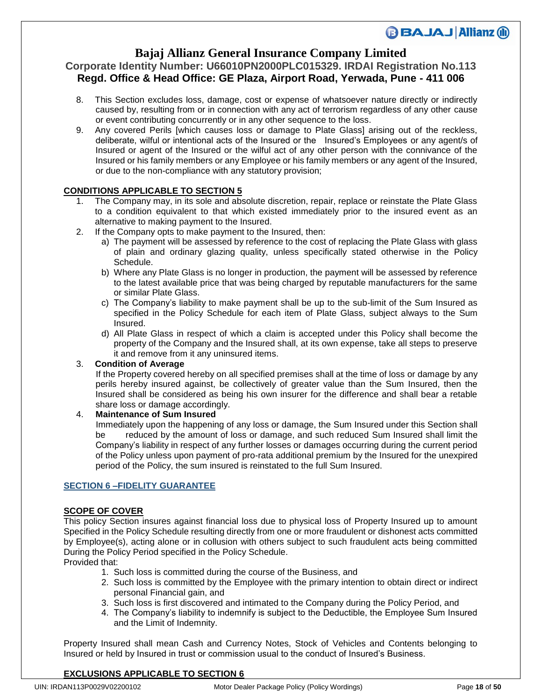## **Bajaj Allianz General Insurance Company Limited**

### **Corporate Identity Number: U66010PN2000PLC015329. IRDAI Registration No.113 Regd. Office & Head Office: GE Plaza, Airport Road, Yerwada, Pune - 411 006**

- 8. This Section excludes loss, damage, cost or expense of whatsoever nature directly or indirectly caused by, resulting from or in connection with any act of terrorism regardless of any other cause or event contributing concurrently or in any other sequence to the loss.
- 9. Any covered Perils [which causes loss or damage to Plate Glass] arising out of the reckless, deliberate, wilful or intentional acts of the Insured or the Insured's Employees or any agent/s of Insured or agent of the Insured or the wilful act of any other person with the connivance of the Insured or his family members or any Employee or his family members or any agent of the Insured, or due to the non-compliance with any statutory provision;

### **CONDITIONS APPLICABLE TO SECTION 5**

- The Company may, in its sole and absolute discretion, repair, replace or reinstate the Plate Glass to a condition equivalent to that which existed immediately prior to the insured event as an alternative to making payment to the Insured.
- 2. If the Company opts to make payment to the Insured, then:
	- a) The payment will be assessed by reference to the cost of replacing the Plate Glass with glass of plain and ordinary glazing quality, unless specifically stated otherwise in the Policy Schedule.
	- b) Where any Plate Glass is no longer in production, the payment will be assessed by reference to the latest available price that was being charged by reputable manufacturers for the same or similar Plate Glass.
	- c) The Company's liability to make payment shall be up to the sub-limit of the Sum Insured as specified in the Policy Schedule for each item of Plate Glass, subject always to the Sum Insured.
	- d) All Plate Glass in respect of which a claim is accepted under this Policy shall become the property of the Company and the Insured shall, at its own expense, take all steps to preserve it and remove from it any uninsured items.

### 3. **Condition of Average**

 If the Property covered hereby on all specified premises shall at the time of loss or damage by any perils hereby insured against, be collectively of greater value than the Sum Insured, then the Insured shall be considered as being his own insurer for the difference and shall bear a retable share loss or damage accordingly.

### 4. **Maintenance of Sum Insured**

 Immediately upon the happening of any loss or damage, the Sum Insured under this Section shall be reduced by the amount of loss or damage, and such reduced Sum Insured shall limit the Company's liability in respect of any further losses or damages occurring during the current period of the Policy unless upon payment of pro-rata additional premium by the Insured for the unexpired period of the Policy, the sum insured is reinstated to the full Sum Insured.

### **SECTION 6 –FIDELITY GUARANTEE**

### **SCOPE OF COVER**

This policy Section insures against financial loss due to physical loss of Property Insured up to amount Specified in the Policy Schedule resulting directly from one or more fraudulent or dishonest acts committed by Employee(s), acting alone or in collusion with others subject to such fraudulent acts being committed During the Policy Period specified in the Policy Schedule.

Provided that:

- 1. Such loss is committed during the course of the Business, and
- 2. Such loss is committed by the Employee with the primary intention to obtain direct or indirect personal Financial gain, and
- 3. Such loss is first discovered and intimated to the Company during the Policy Period, and
- 4. The Company's liability to indemnify is subject to the Deductible, the Employee Sum Insured and the Limit of Indemnity.

Property Insured shall mean Cash and Currency Notes, Stock of Vehicles and Contents belonging to Insured or held by Insured in trust or commission usual to the conduct of Insured's Business.

### **EXCLUSIONS APPLICABLE TO SECTION 6**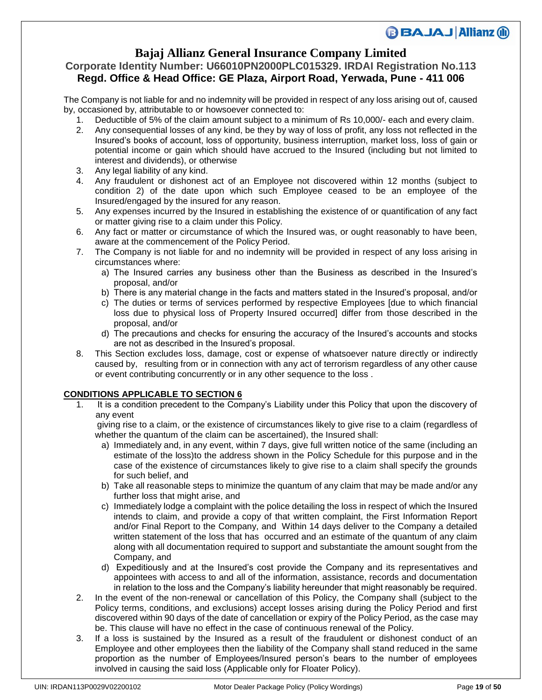## **Bajaj Allianz General Insurance Company Limited**

## **Corporate Identity Number: U66010PN2000PLC015329. IRDAI Registration No.113 Regd. Office & Head Office: GE Plaza, Airport Road, Yerwada, Pune - 411 006**

The Company is not liable for and no indemnity will be provided in respect of any loss arising out of, caused by, occasioned by, attributable to or howsoever connected to:

- 1. Deductible of 5% of the claim amount subject to a minimum of Rs 10,000/- each and every claim.
- 2. Any consequential losses of any kind, be they by way of loss of profit, any loss not reflected in the Insured's books of account, loss of opportunity, business interruption, market loss, loss of gain or potential income or gain which should have accrued to the Insured (including but not limited to interest and dividends), or otherwise
- 3. Any legal liability of any kind.
- 4. Any fraudulent or dishonest act of an Employee not discovered within 12 months (subject to condition 2) of the date upon which such Employee ceased to be an employee of the Insured/engaged by the insured for any reason.
- 5. Any expenses incurred by the Insured in establishing the existence of or quantification of any fact or matter giving rise to a claim under this Policy.
- 6. Any fact or matter or circumstance of which the Insured was, or ought reasonably to have been, aware at the commencement of the Policy Period.
- 7. The Company is not liable for and no indemnity will be provided in respect of any loss arising in circumstances where:
	- a) The Insured carries any business other than the Business as described in the Insured's proposal, and/or
	- b) There is any material change in the facts and matters stated in the Insured's proposal, and/or
	- c) The duties or terms of services performed by respective Employees [due to which financial loss due to physical loss of Property Insured occurred] differ from those described in the proposal, and/or
	- d) The precautions and checks for ensuring the accuracy of the Insured's accounts and stocks are not as described in the Insured's proposal.
- 8. This Section excludes loss, damage, cost or expense of whatsoever nature directly or indirectly caused by, resulting from or in connection with any act of terrorism regardless of any other cause or event contributing concurrently or in any other sequence to the loss .

### **CONDITIONS APPLICABLE TO SECTION 6**

1. It is a condition precedent to the Company's Liability under this Policy that upon the discovery of any event

 giving rise to a claim, or the existence of circumstances likely to give rise to a claim (regardless of whether the quantum of the claim can be ascertained), the Insured shall:

- a) Immediately and, in any event, within 7 days, give full written notice of the same (including an estimate of the loss)to the address shown in the Policy Schedule for this purpose and in the case of the existence of circumstances likely to give rise to a claim shall specify the grounds for such belief, and
- b) Take all reasonable steps to minimize the quantum of any claim that may be made and/or any further loss that might arise, and
- c) Immediately lodge a complaint with the police detailing the loss in respect of which the Insured intends to claim, and provide a copy of that written complaint, the First Information Report and/or Final Report to the Company, and Within 14 days deliver to the Company a detailed written statement of the loss that has occurred and an estimate of the quantum of any claim along with all documentation required to support and substantiate the amount sought from the Company, and
- d) Expeditiously and at the Insured's cost provide the Company and its representatives and appointees with access to and all of the information, assistance, records and documentation in relation to the loss and the Company's liability hereunder that might reasonably be required.
- 2. In the event of the non-renewal or cancellation of this Policy, the Company shall (subject to the Policy terms, conditions, and exclusions) accept losses arising during the Policy Period and first discovered within 90 days of the date of cancellation or expiry of the Policy Period, as the case may be. This clause will have no effect in the case of continuous renewal of the Policy.
- 3. If a loss is sustained by the Insured as a result of the fraudulent or dishonest conduct of an Employee and other employees then the liability of the Company shall stand reduced in the same proportion as the number of Employees/Insured person's bears to the number of employees involved in causing the said loss (Applicable only for Floater Policy).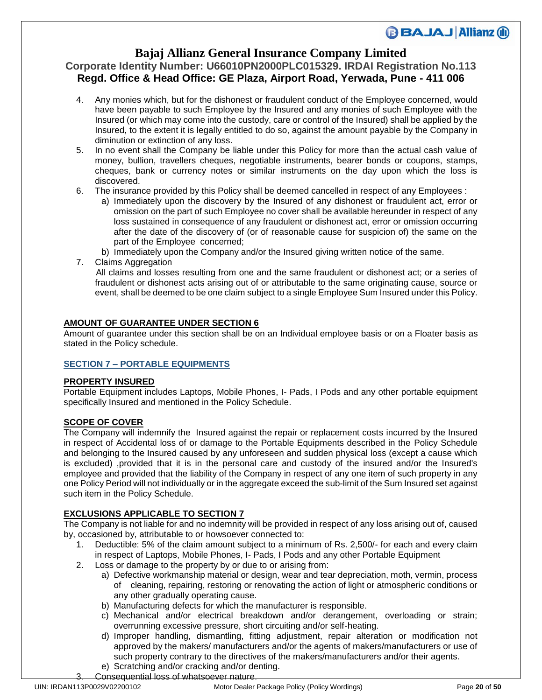## **Bajaj Allianz General Insurance Company Limited**

### **Corporate Identity Number: U66010PN2000PLC015329. IRDAI Registration No.113 Regd. Office & Head Office: GE Plaza, Airport Road, Yerwada, Pune - 411 006**

- 4. Any monies which, but for the dishonest or fraudulent conduct of the Employee concerned, would have been payable to such Employee by the Insured and any monies of such Employee with the Insured (or which may come into the custody, care or control of the Insured) shall be applied by the Insured, to the extent it is legally entitled to do so, against the amount payable by the Company in diminution or extinction of any loss.
- 5. In no event shall the Company be liable under this Policy for more than the actual cash value of money, bullion, travellers cheques, negotiable instruments, bearer bonds or coupons, stamps, cheques, bank or currency notes or similar instruments on the day upon which the loss is discovered.
- 6. The insurance provided by this Policy shall be deemed cancelled in respect of any Employees :
	- a) Immediately upon the discovery by the Insured of any dishonest or fraudulent act, error or omission on the part of such Employee no cover shall be available hereunder in respect of any loss sustained in consequence of any fraudulent or dishonest act, error or omission occurring after the date of the discovery of (or of reasonable cause for suspicion of) the same on the part of the Employee concerned;
	- b) Immediately upon the Company and/or the Insured giving written notice of the same.
- 7. Claims Aggregation

 All claims and losses resulting from one and the same fraudulent or dishonest act; or a series of fraudulent or dishonest acts arising out of or attributable to the same originating cause, source or event, shall be deemed to be one claim subject to a single Employee Sum Insured under this Policy.

### **AMOUNT OF GUARANTEE UNDER SECTION 6**

Amount of guarantee under this section shall be on an Individual employee basis or on a Floater basis as stated in the Policy schedule.

#### **SECTION 7 – PORTABLE EQUIPMENTS**

#### **PROPERTY INSURED**

Portable Equipment includes Laptops, Mobile Phones, I- Pads, I Pods and any other portable equipment specifically Insured and mentioned in the Policy Schedule.

#### **SCOPE OF COVER**

The Company will indemnify the Insured against the repair or replacement costs incurred by the Insured in respect of Accidental loss of or damage to the Portable Equipments described in the Policy Schedule and belonging to the Insured caused by any unforeseen and sudden physical loss (except a cause which is excluded) ,provided that it is in the personal care and custody of the insured and/or the Insured's employee and provided that the liability of the Company in respect of any one item of such property in any one Policy Period will not individually or in the aggregate exceed the sub-limit of the Sum Insured set against such item in the Policy Schedule.

#### **EXCLUSIONS APPLICABLE TO SECTION 7**

The Company is not liable for and no indemnity will be provided in respect of any loss arising out of, caused by, occasioned by, attributable to or howsoever connected to:

- 1. Deductible: 5% of the claim amount subject to a minimum of Rs. 2,500/- for each and every claim in respect of Laptops, Mobile Phones, I- Pads, I Pods and any other Portable Equipment
- 2. Loss or damage to the property by or due to or arising from:
	- a) Defective workmanship material or design, wear and tear depreciation, moth, vermin, process of cleaning, repairing, restoring or renovating the action of light or atmospheric conditions or any other gradually operating cause.
	- b) Manufacturing defects for which the manufacturer is responsible.
	- c) Mechanical and/or electrical breakdown and/or derangement, overloading or strain; overrunning excessive pressure, short circuiting and/or self-heating.
	- d) Improper handling, dismantling, fitting adjustment, repair alteration or modification not approved by the makers/ manufacturers and/or the agents of makers/manufacturers or use of such property contrary to the directives of the makers/manufacturers and/or their agents.
	- e) Scratching and/or cracking and/or denting. Consequential loss of whatsoever nature.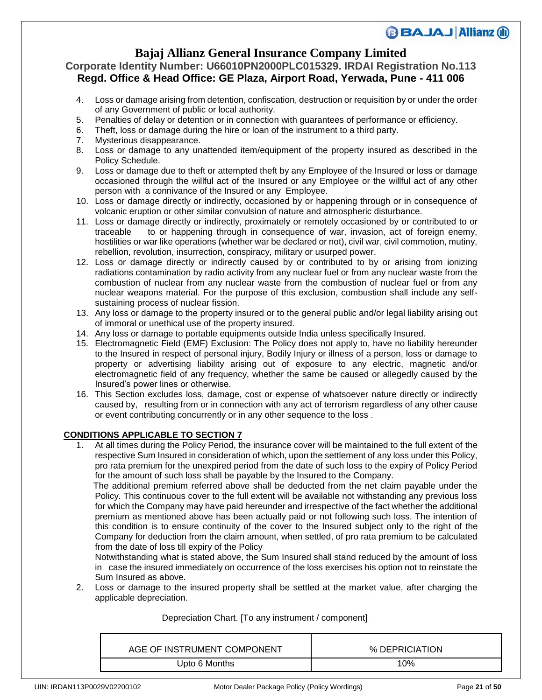## **Bajaj Allianz General Insurance Company Limited**

### **Corporate Identity Number: U66010PN2000PLC015329. IRDAI Registration No.113 Regd. Office & Head Office: GE Plaza, Airport Road, Yerwada, Pune - 411 006**

- 4. Loss or damage arising from detention, confiscation, destruction or requisition by or under the order of any Government of public or local authority.
- 5. Penalties of delay or detention or in connection with guarantees of performance or efficiency.
- 6. Theft, loss or damage during the hire or loan of the instrument to a third party.
- 7. Mysterious disappearance.
- 8. Loss or damage to any unattended item/equipment of the property insured as described in the Policy Schedule.
- 9. Loss or damage due to theft or attempted theft by any Employee of the Insured or loss or damage occasioned through the willful act of the Insured or any Employee or the willful act of any other person with a connivance of the Insured or any Employee.
- 10. Loss or damage directly or indirectly, occasioned by or happening through or in consequence of volcanic eruption or other similar convulsion of nature and atmospheric disturbance.
- 11. Loss or damage directly or indirectly, proximately or remotely occasioned by or contributed to or traceable to or happening through in consequence of war, invasion, act of foreign enemy, hostilities or war like operations (whether war be declared or not), civil war, civil commotion, mutiny, rebellion, revolution, insurrection, conspiracy, military or usurped power.
- 12. Loss or damage directly or indirectly caused by or contributed to by or arising from ionizing radiations contamination by radio activity from any nuclear fuel or from any nuclear waste from the combustion of nuclear from any nuclear waste from the combustion of nuclear fuel or from any nuclear weapons material. For the purpose of this exclusion, combustion shall include any selfsustaining process of nuclear fission.
- 13. Any loss or damage to the property insured or to the general public and/or legal liability arising out of immoral or unethical use of the property insured.
- 14. Any loss or damage to portable equipments outside India unless specifically Insured.
- 15. Electromagnetic Field (EMF) Exclusion: The Policy does not apply to, have no liability hereunder to the Insured in respect of personal injury, Bodily Injury or illness of a person, loss or damage to property or advertising liability arising out of exposure to any electric, magnetic and/or electromagnetic field of any frequency, whether the same be caused or allegedly caused by the Insured's power lines or otherwise.
- 16. This Section excludes loss, damage, cost or expense of whatsoever nature directly or indirectly caused by, resulting from or in connection with any act of terrorism regardless of any other cause or event contributing concurrently or in any other sequence to the loss .

### **CONDITIONS APPLICABLE TO SECTION 7**

1. At all times during the Policy Period, the insurance cover will be maintained to the full extent of the respective Sum Insured in consideration of which, upon the settlement of any loss under this Policy, pro rata premium for the unexpired period from the date of such loss to the expiry of Policy Period for the amount of such loss shall be payable by the Insured to the Company.

 The additional premium referred above shall be deducted from the net claim payable under the Policy. This continuous cover to the full extent will be available not withstanding any previous loss for which the Company may have paid hereunder and irrespective of the fact whether the additional premium as mentioned above has been actually paid or not following such loss. The intention of this condition is to ensure continuity of the cover to the Insured subject only to the right of the Company for deduction from the claim amount, when settled, of pro rata premium to be calculated from the date of loss till expiry of the Policy

Notwithstanding what is stated above, the Sum Insured shall stand reduced by the amount of loss in case the insured immediately on occurrence of the loss exercises his option not to reinstate the Sum Insured as above.

2. Loss or damage to the insured property shall be settled at the market value, after charging the applicable depreciation.

### Depreciation Chart. [To any instrument / component]

| AGE OF INSTRUMENT COMPONENT | % DEPRICIATION |
|-----------------------------|----------------|
| Upto 6 Months               | 10%            |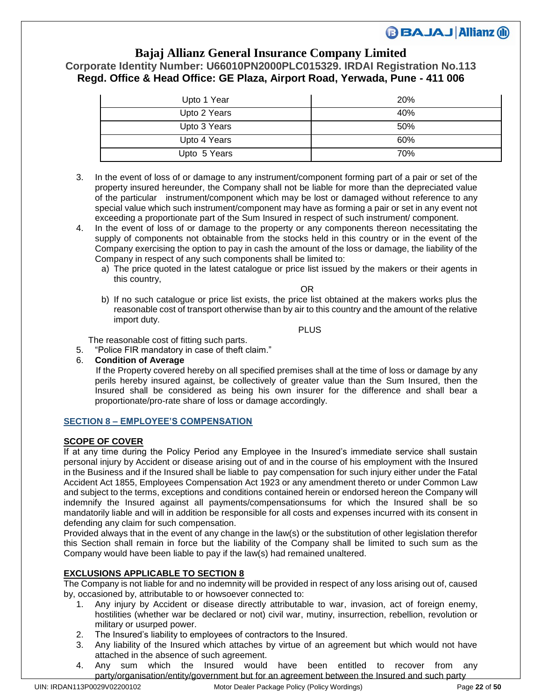### **Bajaj Allianz General Insurance Company Limited Corporate Identity Number: U66010PN2000PLC015329. IRDAI Registration No.113 Regd. Office & Head Office: GE Plaza, Airport Road, Yerwada, Pune - 411 006**

| Upto 1 Year  | <b>20%</b> |
|--------------|------------|
| Upto 2 Years | 40%        |
| Upto 3 Years | 50%        |
| Upto 4 Years | 60%        |
| Upto 5 Years | 70%        |

- 3. In the event of loss of or damage to any instrument/component forming part of a pair or set of the property insured hereunder, the Company shall not be liable for more than the depreciated value of the particular instrument/component which may be lost or damaged without reference to any special value which such instrument/component may have as forming a pair or set in any event not exceeding a proportionate part of the Sum Insured in respect of such instrument/ component.
- 4. In the event of loss of or damage to the property or any components thereon necessitating the supply of components not obtainable from the stocks held in this country or in the event of the Company exercising the option to pay in cash the amount of the loss or damage, the liability of the Company in respect of any such components shall be limited to:
	- a) The price quoted in the latest catalogue or price list issued by the makers or their agents in this country,

**OR** Service of the contract of the contract of the contract of the contract of the contract of the contract of the contract of the contract of the contract of the contract of the contract of the contract of the contract o

b) If no such catalogue or price list exists, the price list obtained at the makers works plus the reasonable cost of transport otherwise than by air to this country and the amount of the relative import duty.

**PLUS PLUS** 

The reasonable cost of fitting such parts.

- 5. "Police FIR mandatory in case of theft claim."
- 6. **Condition of Average**

 If the Property covered hereby on all specified premises shall at the time of loss or damage by any perils hereby insured against, be collectively of greater value than the Sum Insured, then the Insured shall be considered as being his own insurer for the difference and shall bear a proportionate/pro-rate share of loss or damage accordingly.

### **SECTION 8 – EMPLOYEE'S COMPENSATION**

### **SCOPE OF COVER**

If at any time during the Policy Period any Employee in the Insured's immediate service shall sustain personal injury by Accident or disease arising out of and in the course of his employment with the Insured in the Business and if the Insured shall be liable to pay compensation for such injury either under the Fatal Accident Act 1855, Employees Compensation Act 1923 or any amendment thereto or under Common Law and subject to the terms, exceptions and conditions contained herein or endorsed hereon the Company will indemnify the Insured against all payments/compensationsums for which the Insured shall be so mandatorily liable and will in addition be responsible for all costs and expenses incurred with its consent in defending any claim for such compensation.

Provided always that in the event of any change in the law(s) or the substitution of other legislation therefor this Section shall remain in force but the liability of the Company shall be limited to such sum as the Company would have been liable to pay if the law(s) had remained unaltered.

### **EXCLUSIONS APPLICABLE TO SECTION 8**

The Company is not liable for and no indemnity will be provided in respect of any loss arising out of, caused by, occasioned by, attributable to or howsoever connected to:

- 1. Any injury by Accident or disease directly attributable to war, invasion, act of foreign enemy, hostilities (whether war be declared or not) civil war, mutiny, insurrection, rebellion, revolution or military or usurped power.
- 2. The Insured's liability to employees of contractors to the Insured.
- 3. Any liability of the Insured which attaches by virtue of an agreement but which would not have attached in the absence of such agreement.
- 4. Any sum which the Insured would have been entitled to recover from any party/organisation/entity/government but for an agreement between the Insured and such party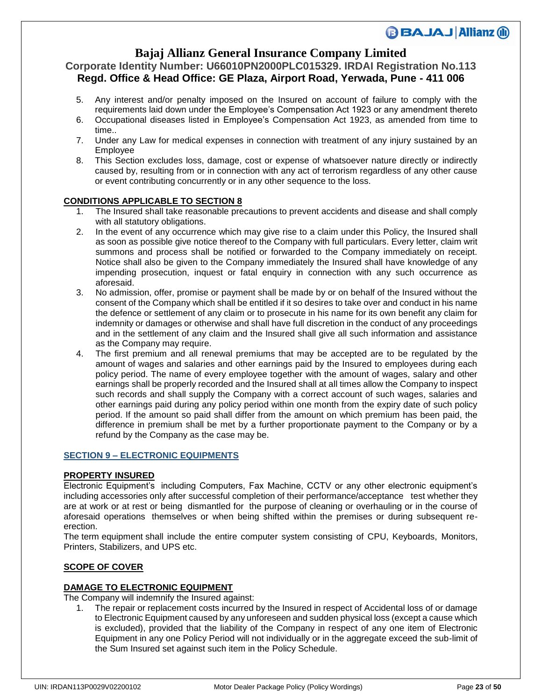## **Bajaj Allianz General Insurance Company Limited**

### **Corporate Identity Number: U66010PN2000PLC015329. IRDAI Registration No.113 Regd. Office & Head Office: GE Plaza, Airport Road, Yerwada, Pune - 411 006**

- 5. Any interest and/or penalty imposed on the Insured on account of failure to comply with the requirements laid down under the Employee's Compensation Act 1923 or any amendment thereto
- 6. Occupational diseases listed in Employee's Compensation Act 1923, as amended from time to time..
- 7. Under any Law for medical expenses in connection with treatment of any injury sustained by an Employee
- 8. This Section excludes loss, damage, cost or expense of whatsoever nature directly or indirectly caused by, resulting from or in connection with any act of terrorism regardless of any other cause or event contributing concurrently or in any other sequence to the loss.

### **CONDITIONS APPLICABLE TO SECTION 8**

- 1. The Insured shall take reasonable precautions to prevent accidents and disease and shall comply with all statutory obligations.
- 2. In the event of any occurrence which may give rise to a claim under this Policy, the Insured shall as soon as possible give notice thereof to the Company with full particulars. Every letter, claim writ summons and process shall be notified or forwarded to the Company immediately on receipt. Notice shall also be given to the Company immediately the Insured shall have knowledge of any impending prosecution, inquest or fatal enquiry in connection with any such occurrence as aforesaid.
- 3. No admission, offer, promise or payment shall be made by or on behalf of the Insured without the consent of the Company which shall be entitled if it so desires to take over and conduct in his name the defence or settlement of any claim or to prosecute in his name for its own benefit any claim for indemnity or damages or otherwise and shall have full discretion in the conduct of any proceedings and in the settlement of any claim and the Insured shall give all such information and assistance as the Company may require.
- 4. The first premium and all renewal premiums that may be accepted are to be regulated by the amount of wages and salaries and other earnings paid by the Insured to employees during each policy period. The name of every employee together with the amount of wages, salary and other earnings shall be properly recorded and the Insured shall at all times allow the Company to inspect such records and shall supply the Company with a correct account of such wages, salaries and other earnings paid during any policy period within one month from the expiry date of such policy period. If the amount so paid shall differ from the amount on which premium has been paid, the difference in premium shall be met by a further proportionate payment to the Company or by a refund by the Company as the case may be.

### **SECTION 9 – ELECTRONIC EQUIPMENTS**

### **PROPERTY INSURED**

Electronic Equipment's including Computers, Fax Machine, CCTV or any other electronic equipment's including accessories only after successful completion of their performance/acceptance test whether they are at work or at rest or being dismantled for the purpose of cleaning or overhauling or in the course of aforesaid operations themselves or when being shifted within the premises or during subsequent reerection.

The term equipment shall include the entire computer system consisting of CPU, Keyboards, Monitors, Printers, Stabilizers, and UPS etc.

### **SCOPE OF COVER**

### **DAMAGE TO ELECTRONIC EQUIPMENT**

The Company will indemnify the Insured against:

1. The repair or replacement costs incurred by the Insured in respect of Accidental loss of or damage to Electronic Equipment caused by any unforeseen and sudden physical loss (except a cause which is excluded), provided that the liability of the Company in respect of any one item of Electronic Equipment in any one Policy Period will not individually or in the aggregate exceed the sub-limit of the Sum Insured set against such item in the Policy Schedule.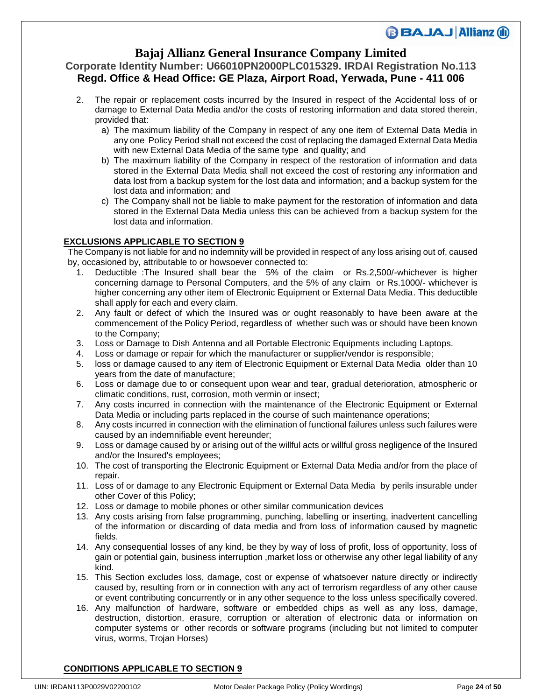## **Bajaj Allianz General Insurance Company Limited**

### **Corporate Identity Number: U66010PN2000PLC015329. IRDAI Registration No.113 Regd. Office & Head Office: GE Plaza, Airport Road, Yerwada, Pune - 411 006**

- 2. The repair or replacement costs incurred by the Insured in respect of the Accidental loss of or damage to External Data Media and/or the costs of restoring information and data stored therein, provided that:
	- a) The maximum liability of the Company in respect of any one item of External Data Media in any one Policy Period shall not exceed the cost of replacing the damaged External Data Media with new External Data Media of the same type and quality; and
	- b) The maximum liability of the Company in respect of the restoration of information and data stored in the External Data Media shall not exceed the cost of restoring any information and data lost from a backup system for the lost data and information; and a backup system for the lost data and information; and
	- c) The Company shall not be liable to make payment for the restoration of information and data stored in the External Data Media unless this can be achieved from a backup system for the lost data and information.

### **EXCLUSIONS APPLICABLE TO SECTION 9**

The Company is not liable for and no indemnity will be provided in respect of any loss arising out of, caused by, occasioned by, attributable to or howsoever connected to:

- 1. Deductible :The Insured shall bear the 5% of the claim or Rs.2,500/-whichever is higher concerning damage to Personal Computers, and the 5% of any claim or Rs.1000/- whichever is higher concerning any other item of Electronic Equipment or External Data Media. This deductible shall apply for each and every claim.
- 2. Any fault or defect of which the Insured was or ought reasonably to have been aware at the commencement of the Policy Period, regardless of whether such was or should have been known to the Company;
- 3. Loss or Damage to Dish Antenna and all Portable Electronic Equipments including Laptops.
- 4. Loss or damage or repair for which the manufacturer or supplier/vendor is responsible;
- 5. loss or damage caused to any item of Electronic Equipment or External Data Media older than 10 years from the date of manufacture;
- 6. Loss or damage due to or consequent upon wear and tear, gradual deterioration, atmospheric or climatic conditions, rust, corrosion, moth vermin or insect;
- 7. Any costs incurred in connection with the maintenance of the Electronic Equipment or External Data Media or including parts replaced in the course of such maintenance operations;
- 8. Any costs incurred in connection with the elimination of functional failures unless such failures were caused by an indemnifiable event hereunder;
- 9. Loss or damage caused by or arising out of the willful acts or willful gross negligence of the Insured and/or the Insured's employees;
- 10. The cost of transporting the Electronic Equipment or External Data Media and/or from the place of repair.
- 11. Loss of or damage to any Electronic Equipment or External Data Media by perils insurable under other Cover of this Policy;
- 12. Loss or damage to mobile phones or other similar communication devices
- 13. Any costs arising from false programming, punching, labelling or inserting, inadvertent cancelling of the information or discarding of data media and from loss of information caused by magnetic fields.
- 14. Any consequential losses of any kind, be they by way of loss of profit, loss of opportunity, loss of gain or potential gain, business interruption ,market loss or otherwise any other legal liability of any kind.
- 15. This Section excludes loss, damage, cost or expense of whatsoever nature directly or indirectly caused by, resulting from or in connection with any act of terrorism regardless of any other cause or event contributing concurrently or in any other sequence to the loss unless specifically covered.
- 16. Any malfunction of hardware, software or embedded chips as well as any loss, damage, destruction, distortion, erasure, corruption or alteration of electronic data or information on computer systems or other records or software programs (including but not limited to computer virus, worms, Trojan Horses)

### **CONDITIONS APPLICABLE TO SECTION 9**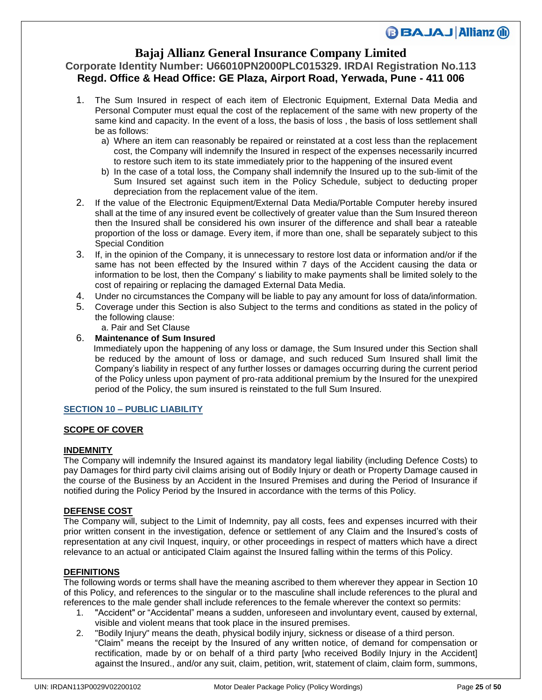## **Bajaj Allianz General Insurance Company Limited**

### **Corporate Identity Number: U66010PN2000PLC015329. IRDAI Registration No.113 Regd. Office & Head Office: GE Plaza, Airport Road, Yerwada, Pune - 411 006**

- 1. The Sum Insured in respect of each item of Electronic Equipment, External Data Media and Personal Computer must equal the cost of the replacement of the same with new property of the same kind and capacity. In the event of a loss, the basis of loss , the basis of loss settlement shall be as follows:
	- a) Where an item can reasonably be repaired or reinstated at a cost less than the replacement cost, the Company will indemnify the Insured in respect of the expenses necessarily incurred to restore such item to its state immediately prior to the happening of the insured event
	- b) In the case of a total loss, the Company shall indemnify the Insured up to the sub-limit of the Sum Insured set against such item in the Policy Schedule, subject to deducting proper depreciation from the replacement value of the item.
- 2. If the value of the Electronic Equipment/External Data Media/Portable Computer hereby insured shall at the time of any insured event be collectively of greater value than the Sum Insured thereon then the Insured shall be considered his own insurer of the difference and shall bear a rateable proportion of the loss or damage. Every item, if more than one, shall be separately subject to this Special Condition
- 3. If, in the opinion of the Company, it is unnecessary to restore lost data or information and/or if the same has not been effected by the Insured within 7 days of the Accident causing the data or information to be lost, then the Company' s liability to make payments shall be limited solely to the cost of repairing or replacing the damaged External Data Media.
- 4. Under no circumstances the Company will be liable to pay any amount for loss of data/information.
- 5. Coverage under this Section is also Subject to the terms and conditions as stated in the policy of the following clause:
	- a. Pair and Set Clause

### 6. **Maintenance of Sum Insured**

 Immediately upon the happening of any loss or damage, the Sum Insured under this Section shall be reduced by the amount of loss or damage, and such reduced Sum Insured shall limit the Company's liability in respect of any further losses or damages occurring during the current period of the Policy unless upon payment of pro-rata additional premium by the Insured for the unexpired period of the Policy, the sum insured is reinstated to the full Sum Insured.

### **SECTION 10 – PUBLIC LIABILITY**

### **SCOPE OF COVER**

#### **INDEMNITY**

The Company will indemnify the Insured against its mandatory legal liability (including Defence Costs) to pay Damages for third party civil claims arising out of Bodily Injury or death or Property Damage caused in the course of the Business by an Accident in the Insured Premises and during the Period of Insurance if notified during the Policy Period by the Insured in accordance with the terms of this Policy.

### **DEFENSE COST**

The Company will, subject to the Limit of Indemnity, pay all costs, fees and expenses incurred with their prior written consent in the investigation, defence or settlement of any Claim and the Insured's costs of representation at any civil Inquest, inquiry, or other proceedings in respect of matters which have a direct relevance to an actual or anticipated Claim against the Insured falling within the terms of this Policy.

#### **DEFINITIONS**

The following words or terms shall have the meaning ascribed to them wherever they appear in Section 10 of this Policy, and references to the singular or to the masculine shall include references to the plural and references to the male gender shall include references to the female wherever the context so permits:

- 1. "Accident" or "Accidental" means a sudden, unforeseen and involuntary event, caused by external, visible and violent means that took place in the insured premises.
- 2. "Bodily Injury" means the death, physical bodily injury, sickness or disease of a third person. "Claim" means the receipt by the Insured of any written notice, of demand for compensation or rectification, made by or on behalf of a third party [who received Bodily Injury in the Accident] against the Insured., and/or any suit, claim, petition, writ, statement of claim, claim form, summons,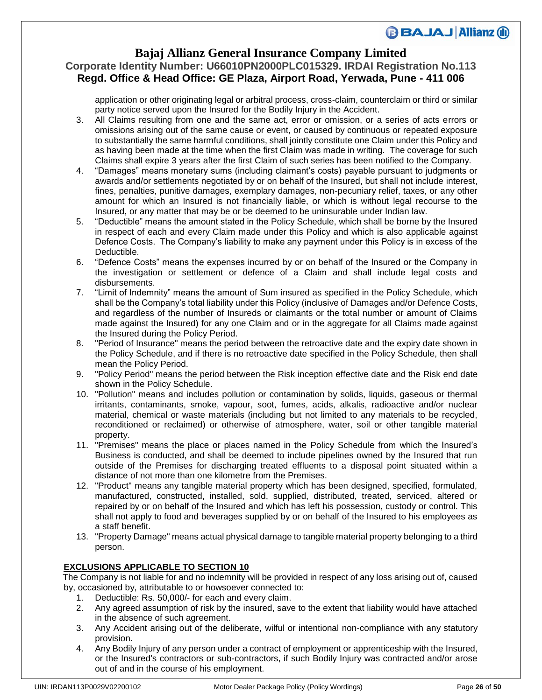### **Bajaj Allianz General Insurance Company Limited**

## **Corporate Identity Number: U66010PN2000PLC015329. IRDAI Registration No.113 Regd. Office & Head Office: GE Plaza, Airport Road, Yerwada, Pune - 411 006**

application or other originating legal or arbitral process, cross-claim, counterclaim or third or similar party notice served upon the Insured for the Bodily Injury in the Accident.

- 3. All Claims resulting from one and the same act, error or omission, or a series of acts errors or omissions arising out of the same cause or event, or caused by continuous or repeated exposure to substantially the same harmful conditions, shall jointly constitute one Claim under this Policy and as having been made at the time when the first Claim was made in writing. The coverage for such Claims shall expire 3 years after the first Claim of such series has been notified to the Company.
- 4. "Damages" means monetary sums (including claimant's costs) payable pursuant to judgments or awards and/or settlements negotiated by or on behalf of the Insured, but shall not include interest, fines, penalties, punitive damages, exemplary damages, non-pecuniary relief, taxes, or any other amount for which an Insured is not financially liable, or which is without legal recourse to the Insured, or any matter that may be or be deemed to be uninsurable under Indian law.
- 5. "Deductible" means the amount stated in the Policy Schedule, which shall be borne by the Insured in respect of each and every Claim made under this Policy and which is also applicable against Defence Costs. The Company's liability to make any payment under this Policy is in excess of the Deductible.
- 6. "Defence Costs" means the expenses incurred by or on behalf of the Insured or the Company in the investigation or settlement or defence of a Claim and shall include legal costs and disbursements.
- 7. "Limit of Indemnity" means the amount of Sum insured as specified in the Policy Schedule, which shall be the Company's total liability under this Policy (inclusive of Damages and/or Defence Costs, and regardless of the number of Insureds or claimants or the total number or amount of Claims made against the Insured) for any one Claim and or in the aggregate for all Claims made against the Insured during the Policy Period.
- 8. "Period of Insurance" means the period between the retroactive date and the expiry date shown in the Policy Schedule, and if there is no retroactive date specified in the Policy Schedule, then shall mean the Policy Period.
- 9. "Policy Period" means the period between the Risk inception effective date and the Risk end date shown in the Policy Schedule.
- 10. "Pollution" means and includes pollution or contamination by solids, liquids, gaseous or thermal irritants, contaminants, smoke, vapour, soot, fumes, acids, alkalis, radioactive and/or nuclear material, chemical or waste materials (including but not limited to any materials to be recycled, reconditioned or reclaimed) or otherwise of atmosphere, water, soil or other tangible material property.
- 11. "Premises" means the place or places named in the Policy Schedule from which the Insured's Business is conducted, and shall be deemed to include pipelines owned by the Insured that run outside of the Premises for discharging treated effluents to a disposal point situated within a distance of not more than one kilometre from the Premises.
- 12. "Product" means any tangible material property which has been designed, specified, formulated, manufactured, constructed, installed, sold, supplied, distributed, treated, serviced, altered or repaired by or on behalf of the Insured and which has left his possession, custody or control. This shall not apply to food and beverages supplied by or on behalf of the Insured to his employees as a staff benefit.
- 13. "Property Damage" means actual physical damage to tangible material property belonging to a third person.

### **EXCLUSIONS APPLICABLE TO SECTION 10**

The Company is not liable for and no indemnity will be provided in respect of any loss arising out of, caused by, occasioned by, attributable to or howsoever connected to:

- 1. Deductible: Rs. 50,000/- for each and every claim.
- 2. Any agreed assumption of risk by the insured, save to the extent that liability would have attached in the absence of such agreement.
- 3. Any Accident arising out of the deliberate, wilful or intentional non-compliance with any statutory provision.
- 4. Any Bodily Injury of any person under a contract of employment or apprenticeship with the Insured, or the Insured's contractors or sub-contractors, if such Bodily Injury was contracted and/or arose out of and in the course of his employment.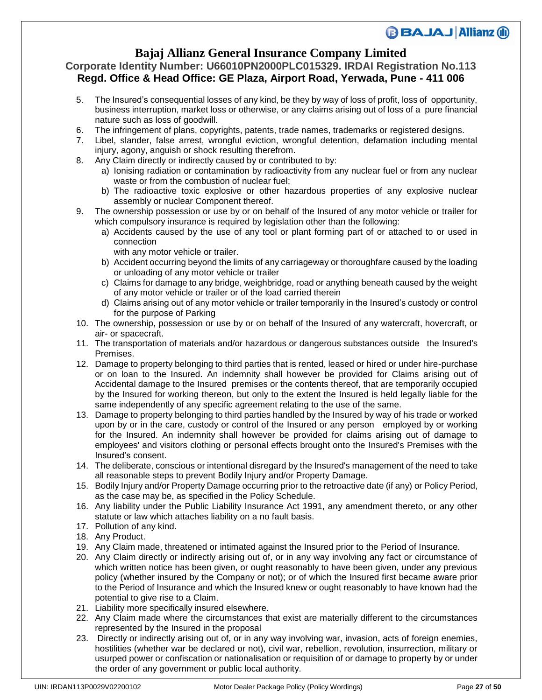## **Bajaj Allianz General Insurance Company Limited**

### **Corporate Identity Number: U66010PN2000PLC015329. IRDAI Registration No.113 Regd. Office & Head Office: GE Plaza, Airport Road, Yerwada, Pune - 411 006**

- 5. The Insured's consequential losses of any kind, be they by way of loss of profit, loss of opportunity, business interruption, market loss or otherwise, or any claims arising out of loss of a pure financial nature such as loss of goodwill.
- 6. The infringement of plans, copyrights, patents, trade names, trademarks or registered designs.
- 7. Libel, slander, false arrest, wrongful eviction, wrongful detention, defamation including mental injury, agony, anguish or shock resulting therefrom.
- 8. Any Claim directly or indirectly caused by or contributed to by:
	- a) Ionising radiation or contamination by radioactivity from any nuclear fuel or from any nuclear waste or from the combustion of nuclear fuel;
	- b) The radioactive toxic explosive or other hazardous properties of any explosive nuclear assembly or nuclear Component thereof.
- 9. The ownership possession or use by or on behalf of the Insured of any motor vehicle or trailer for which compulsory insurance is required by legislation other than the following:
	- a) Accidents caused by the use of any tool or plant forming part of or attached to or used in connection
		- with any motor vehicle or trailer.
	- b) Accident occurring beyond the limits of any carriageway or thoroughfare caused by the loading or unloading of any motor vehicle or trailer
	- c) Claims for damage to any bridge, weighbridge, road or anything beneath caused by the weight of any motor vehicle or trailer or of the load carried therein
	- d) Claims arising out of any motor vehicle or trailer temporarily in the Insured's custody or control for the purpose of Parking
- 10. The ownership, possession or use by or on behalf of the Insured of any watercraft, hovercraft, or air- or spacecraft.
- 11. The transportation of materials and/or hazardous or dangerous substances outside the Insured's Premises.
- 12. Damage to property belonging to third parties that is rented, leased or hired or under hire-purchase or on loan to the Insured. An indemnity shall however be provided for Claims arising out of Accidental damage to the Insured premises or the contents thereof, that are temporarily occupied by the Insured for working thereon, but only to the extent the Insured is held legally liable for the same independently of any specific agreement relating to the use of the same.
- 13. Damage to property belonging to third parties handled by the Insured by way of his trade or worked upon by or in the care, custody or control of the Insured or any person employed by or working for the Insured. An indemnity shall however be provided for claims arising out of damage to employees' and visitors clothing or personal effects brought onto the Insured's Premises with the Insured's consent.
- 14. The deliberate, conscious or intentional disregard by the Insured's management of the need to take all reasonable steps to prevent Bodily Injury and/or Property Damage.
- 15. Bodily Injury and/or Property Damage occurring prior to the retroactive date (if any) or Policy Period, as the case may be, as specified in the Policy Schedule.
- 16. Any liability under the Public Liability Insurance Act 1991, any amendment thereto, or any other statute or law which attaches liability on a no fault basis.
- 17. Pollution of any kind.
- 18. Any Product.
- 19. Any Claim made, threatened or intimated against the Insured prior to the Period of Insurance.
- 20. Any Claim directly or indirectly arising out of, or in any way involving any fact or circumstance of which written notice has been given, or ought reasonably to have been given, under any previous policy (whether insured by the Company or not); or of which the Insured first became aware prior to the Period of Insurance and which the Insured knew or ought reasonably to have known had the potential to give rise to a Claim.
- 21. Liability more specifically insured elsewhere.
- 22. Any Claim made where the circumstances that exist are materially different to the circumstances represented by the Insured in the proposal
- 23. Directly or indirectly arising out of, or in any way involving war, invasion, acts of foreign enemies, hostilities (whether war be declared or not), civil war, rebellion, revolution, insurrection, military or usurped power or confiscation or nationalisation or requisition of or damage to property by or under the order of any government or public local authority.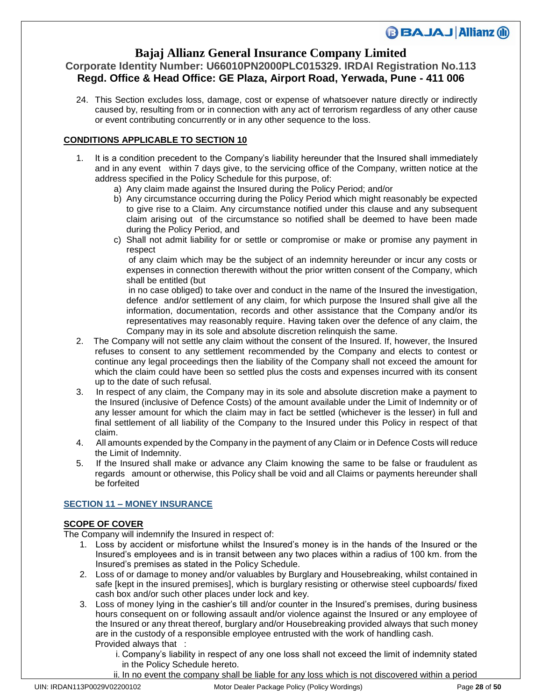## **Bajaj Allianz General Insurance Company Limited**

## **Corporate Identity Number: U66010PN2000PLC015329. IRDAI Registration No.113 Regd. Office & Head Office: GE Plaza, Airport Road, Yerwada, Pune - 411 006**

24. This Section excludes loss, damage, cost or expense of whatsoever nature directly or indirectly caused by, resulting from or in connection with any act of terrorism regardless of any other cause or event contributing concurrently or in any other sequence to the loss.

### **CONDITIONS APPLICABLE TO SECTION 10**

- 1. It is a condition precedent to the Company's liability hereunder that the Insured shall immediately and in any event within 7 days give, to the servicing office of the Company, written notice at the address specified in the Policy Schedule for this purpose, of:
	- a) Any claim made against the Insured during the Policy Period; and/or
	- b) Any circumstance occurring during the Policy Period which might reasonably be expected to give rise to a Claim. Any circumstance notified under this clause and any subsequent claim arising out of the circumstance so notified shall be deemed to have been made during the Policy Period, and
	- c) Shall not admit liability for or settle or compromise or make or promise any payment in respect

 of any claim which may be the subject of an indemnity hereunder or incur any costs or expenses in connection therewith without the prior written consent of the Company, which shall be entitled (but

 in no case obliged) to take over and conduct in the name of the Insured the investigation, defence and/or settlement of any claim, for which purpose the Insured shall give all the information, documentation, records and other assistance that the Company and/or its representatives may reasonably require. Having taken over the defence of any claim, the Company may in its sole and absolute discretion relinquish the same.

- 2. The Company will not settle any claim without the consent of the Insured. If, however, the Insured refuses to consent to any settlement recommended by the Company and elects to contest or continue any legal proceedings then the liability of the Company shall not exceed the amount for which the claim could have been so settled plus the costs and expenses incurred with its consent up to the date of such refusal.
- 3. In respect of any claim, the Company may in its sole and absolute discretion make a payment to the Insured (inclusive of Defence Costs) of the amount available under the Limit of Indemnity or of any lesser amount for which the claim may in fact be settled (whichever is the lesser) in full and final settlement of all liability of the Company to the Insured under this Policy in respect of that claim.
- 4. All amounts expended by the Company in the payment of any Claim or in Defence Costs will reduce the Limit of Indemnity.
- 5. If the Insured shall make or advance any Claim knowing the same to be false or fraudulent as regards amount or otherwise, this Policy shall be void and all Claims or payments hereunder shall be forfeited

### **SECTION 11 – MONEY INSURANCE**

### **SCOPE OF COVER**

The Company will indemnify the Insured in respect of:

- 1. Loss by accident or misfortune whilst the Insured's money is in the hands of the Insured or the Insured's employees and is in transit between any two places within a radius of 100 km. from the Insured's premises as stated in the Policy Schedule.
- 2. Loss of or damage to money and/or valuables by Burglary and Housebreaking, whilst contained in safe [kept in the insured premises], which is burglary resisting or otherwise steel cupboards/ fixed cash box and/or such other places under lock and key.
- 3. Loss of money lying in the cashier's till and/or counter in the Insured's premises, during business hours consequent on or following assault and/or violence against the Insured or any employee of the Insured or any threat thereof, burglary and/or Housebreaking provided always that such money are in the custody of a responsible employee entrusted with the work of handling cash. Provided always that :
	- i. Company's liability in respect of any one loss shall not exceed the limit of indemnity stated in the Policy Schedule hereto.
	- ii. In no event the company shall be liable for any loss which is not discovered within a period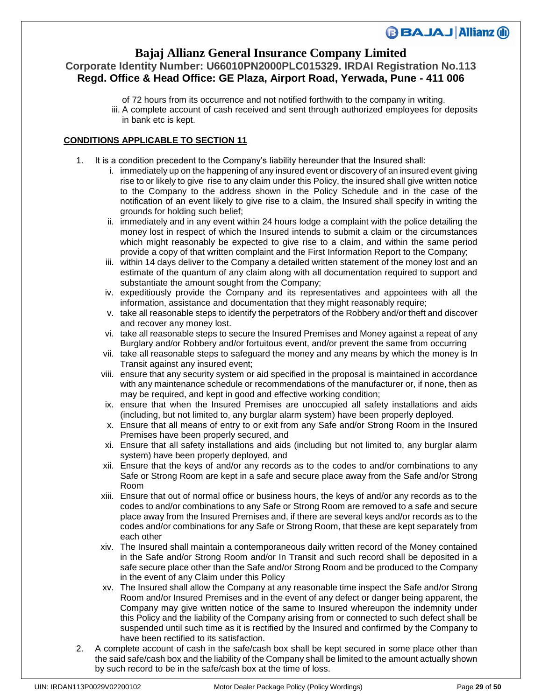### **Bajaj Allianz General Insurance Company Limited**

## **Corporate Identity Number: U66010PN2000PLC015329. IRDAI Registration No.113 Regd. Office & Head Office: GE Plaza, Airport Road, Yerwada, Pune - 411 006**

of 72 hours from its occurrence and not notified forthwith to the company in writing. iii. A complete account of cash received and sent through authorized employees for deposits in bank etc is kept.

### **CONDITIONS APPLICABLE TO SECTION 11**

- 1. It is a condition precedent to the Company's liability hereunder that the Insured shall:
	- i. immediately up on the happening of any insured event or discovery of an insured event giving rise to or likely to give rise to any claim under this Policy, the insured shall give written notice to the Company to the address shown in the Policy Schedule and in the case of the notification of an event likely to give rise to a claim, the Insured shall specify in writing the grounds for holding such belief;
	- ii. immediately and in any event within 24 hours lodge a complaint with the police detailing the money lost in respect of which the Insured intends to submit a claim or the circumstances which might reasonably be expected to give rise to a claim, and within the same period provide a copy of that written complaint and the First Information Report to the Company;
	- iii. within 14 days deliver to the Company a detailed written statement of the money lost and an estimate of the quantum of any claim along with all documentation required to support and substantiate the amount sought from the Company;
	- iv. expeditiously provide the Company and its representatives and appointees with all the information, assistance and documentation that they might reasonably require;
	- v. take all reasonable steps to identify the perpetrators of the Robbery and/or theft and discover and recover any money lost.
	- vi. take all reasonable steps to secure the Insured Premises and Money against a repeat of any Burglary and/or Robbery and/or fortuitous event, and/or prevent the same from occurring
	- vii. take all reasonable steps to safeguard the money and any means by which the money is In Transit against any insured event;
	- viii. ensure that any security system or aid specified in the proposal is maintained in accordance with any maintenance schedule or recommendations of the manufacturer or, if none, then as may be required, and kept in good and effective working condition;
	- ix. ensure that when the Insured Premises are unoccupied all safety installations and aids (including, but not limited to, any burglar alarm system) have been properly deployed.
	- x. Ensure that all means of entry to or exit from any Safe and/or Strong Room in the Insured Premises have been properly secured, and
	- xi. Ensure that all safety installations and aids (including but not limited to, any burglar alarm system) have been properly deployed, and
	- xii. Ensure that the keys of and/or any records as to the codes to and/or combinations to any Safe or Strong Room are kept in a safe and secure place away from the Safe and/or Strong Room
	- xiii. Ensure that out of normal office or business hours, the keys of and/or any records as to the codes to and/or combinations to any Safe or Strong Room are removed to a safe and secure place away from the Insured Premises and, if there are several keys and/or records as to the codes and/or combinations for any Safe or Strong Room, that these are kept separately from each other
	- xiv. The Insured shall maintain a contemporaneous daily written record of the Money contained in the Safe and/or Strong Room and/or In Transit and such record shall be deposited in a safe secure place other than the Safe and/or Strong Room and be produced to the Company in the event of any Claim under this Policy
	- xv. The Insured shall allow the Company at any reasonable time inspect the Safe and/or Strong Room and/or Insured Premises and in the event of any defect or danger being apparent, the Company may give written notice of the same to Insured whereupon the indemnity under this Policy and the liability of the Company arising from or connected to such defect shall be suspended until such time as it is rectified by the Insured and confirmed by the Company to have been rectified to its satisfaction.
- 2. A complete account of cash in the safe/cash box shall be kept secured in some place other than the said safe/cash box and the liability of the Company shall be limited to the amount actually shown by such record to be in the safe/cash box at the time of loss.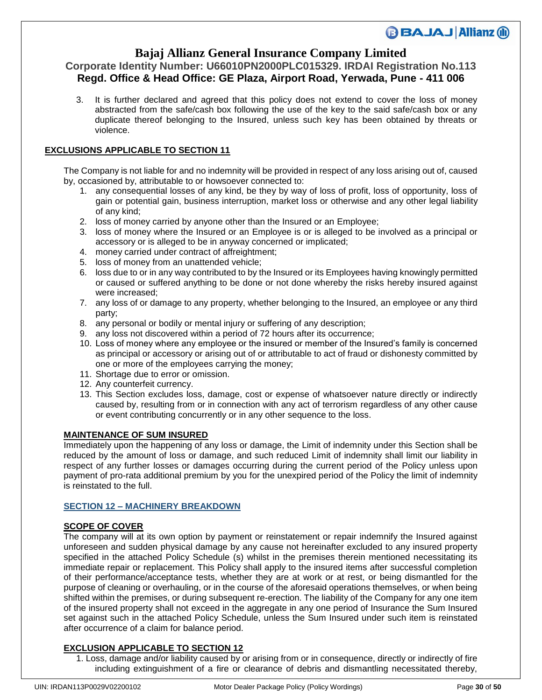## **Bajaj Allianz General Insurance Company Limited**

### **Corporate Identity Number: U66010PN2000PLC015329. IRDAI Registration No.113 Regd. Office & Head Office: GE Plaza, Airport Road, Yerwada, Pune - 411 006**

3. It is further declared and agreed that this policy does not extend to cover the loss of money abstracted from the safe/cash box following the use of the key to the said safe/cash box or any duplicate thereof belonging to the Insured, unless such key has been obtained by threats or violence.

### **EXCLUSIONS APPLICABLE TO SECTION 11**

The Company is not liable for and no indemnity will be provided in respect of any loss arising out of, caused by, occasioned by, attributable to or howsoever connected to:

- 1. any consequential losses of any kind, be they by way of loss of profit, loss of opportunity, loss of gain or potential gain, business interruption, market loss or otherwise and any other legal liability of any kind;
- 2. loss of money carried by anyone other than the Insured or an Employee;
- 3. loss of money where the Insured or an Employee is or is alleged to be involved as a principal or accessory or is alleged to be in anyway concerned or implicated;
- 4. money carried under contract of affreightment;
- 5. loss of money from an unattended vehicle;
- 6. loss due to or in any way contributed to by the Insured or its Employees having knowingly permitted or caused or suffered anything to be done or not done whereby the risks hereby insured against were increased;
- 7. any loss of or damage to any property, whether belonging to the Insured, an employee or any third party;
- 8. any personal or bodily or mental injury or suffering of any description;
- 9. any loss not discovered within a period of 72 hours after its occurrence;
- 10. Loss of money where any employee or the insured or member of the Insured's family is concerned as principal or accessory or arising out of or attributable to act of fraud or dishonesty committed by one or more of the employees carrying the money;
- 11. Shortage due to error or omission.
- 12. Any counterfeit currency.
- 13. This Section excludes loss, damage, cost or expense of whatsoever nature directly or indirectly caused by, resulting from or in connection with any act of terrorism regardless of any other cause or event contributing concurrently or in any other sequence to the loss.

### **MAINTENANCE OF SUM INSURED**

Immediately upon the happening of any loss or damage, the Limit of indemnity under this Section shall be reduced by the amount of loss or damage, and such reduced Limit of indemnity shall limit our liability in respect of any further losses or damages occurring during the current period of the Policy unless upon payment of pro-rata additional premium by you for the unexpired period of the Policy the limit of indemnity is reinstated to the full.

### **SECTION 12 – MACHINERY BREAKDOWN**

### **SCOPE OF COVER**

The company will at its own option by payment or reinstatement or repair indemnify the Insured against unforeseen and sudden physical damage by any cause not hereinafter excluded to any insured property specified in the attached Policy Schedule (s) whilst in the premises therein mentioned necessitating its immediate repair or replacement. This Policy shall apply to the insured items after successful completion of their performance/acceptance tests, whether they are at work or at rest, or being dismantled for the purpose of cleaning or overhauling, or in the course of the aforesaid operations themselves, or when being shifted within the premises, or during subsequent re-erection. The liability of the Company for any one item of the insured property shall not exceed in the aggregate in any one period of Insurance the Sum Insured set against such in the attached Policy Schedule, unless the Sum Insured under such item is reinstated after occurrence of a claim for balance period.

### **EXCLUSION APPLICABLE TO SECTION 12**

1. Loss, damage and/or liability caused by or arising from or in consequence, directly or indirectly of fire including extinguishment of a fire or clearance of debris and dismantling necessitated thereby,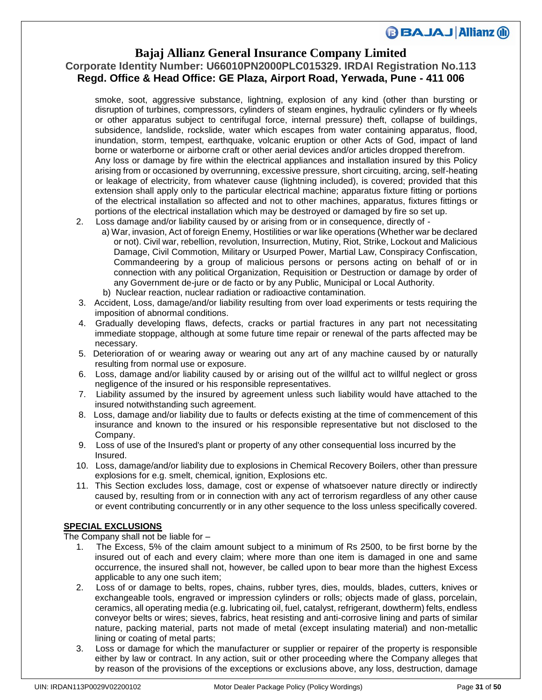### **Bajaj Allianz General Insurance Company Limited**

## **Corporate Identity Number: U66010PN2000PLC015329. IRDAI Registration No.113 Regd. Office & Head Office: GE Plaza, Airport Road, Yerwada, Pune - 411 006**

smoke, soot, aggressive substance, lightning, explosion of any kind (other than bursting or disruption of turbines, compressors, cylinders of steam engines, hydraulic cylinders or fly wheels or other apparatus subject to centrifugal force, internal pressure) theft, collapse of buildings, subsidence, landslide, rockslide, water which escapes from water containing apparatus, flood, inundation, storm, tempest, earthquake, volcanic eruption or other Acts of God, impact of land borne or waterborne or airborne craft or other aerial devices and/or articles dropped therefrom. Any loss or damage by fire within the electrical appliances and installation insured by this Policy arising from or occasioned by overrunning, excessive pressure, short circuiting, arcing, self-heating or leakage of electricity, from whatever cause (lightning included), is covered; provided that this extension shall apply only to the particular electrical machine; apparatus fixture fitting or portions of the electrical installation so affected and not to other machines, apparatus, fixtures fittings or portions of the electrical installation which may be destroyed or damaged by fire so set up.

- 2. Loss damage and/or liability caused by or arising from or in consequence, directly of
	- a) War, invasion, Act of foreign Enemy, Hostilities or war like operations (Whether war be declared or not). Civil war, rebellion, revolution, Insurrection, Mutiny, Riot, Strike, Lockout and Malicious Damage, Civil Commotion, Military or Usurped Power, Martial Law, Conspiracy Confiscation, Commandeering by a group of malicious persons or persons acting on behalf of or in connection with any political Organization, Requisition or Destruction or damage by order of any Government de-jure or de facto or by any Public, Municipal or Local Authority.
	- b) Nuclear reaction, nuclear radiation or radioactive contamination.
- 3. Accident, Loss, damage/and/or liability resulting from over load experiments or tests requiring the imposition of abnormal conditions.
- 4. Gradually developing flaws, defects, cracks or partial fractures in any part not necessitating immediate stoppage, although at some future time repair or renewal of the parts affected may be necessary.
- 5. Deterioration of or wearing away or wearing out any art of any machine caused by or naturally resulting from normal use or exposure.
- 6. Loss, damage and/or liability caused by or arising out of the willful act to willful neglect or gross negligence of the insured or his responsible representatives.
- 7. Liability assumed by the insured by agreement unless such liability would have attached to the insured notwithstanding such agreement.
- 8. Loss, damage and/or liability due to faults or defects existing at the time of commencement of this insurance and known to the insured or his responsible representative but not disclosed to the Company.
- 9. Loss of use of the Insured's plant or property of any other consequential loss incurred by the Insured.
- 10. Loss, damage/and/or liability due to explosions in Chemical Recovery Boilers, other than pressure explosions for e.g. smelt, chemical, ignition, Explosions etc.
- 11. This Section excludes loss, damage, cost or expense of whatsoever nature directly or indirectly caused by, resulting from or in connection with any act of terrorism regardless of any other cause or event contributing concurrently or in any other sequence to the loss unless specifically covered.

### **SPECIAL EXCLUSIONS**

The Company shall not be liable for –

- 1. The Excess, 5% of the claim amount subject to a minimum of Rs 2500, to be first borne by the insured out of each and every claim; where more than one item is damaged in one and same occurrence, the insured shall not, however, be called upon to bear more than the highest Excess applicable to any one such item;
- 2. Loss of or damage to belts, ropes, chains, rubber tyres, dies, moulds, blades, cutters, knives or exchangeable tools, engraved or impression cylinders or rolls; objects made of glass, porcelain, ceramics, all operating media (e.g. lubricating oil, fuel, catalyst, refrigerant, dowtherm) felts, endless conveyor belts or wires; sieves, fabrics, heat resisting and anti-corrosive lining and parts of similar nature, packing material, parts not made of metal (except insulating material) and non-metallic lining or coating of metal parts;
- 3. Loss or damage for which the manufacturer or supplier or repairer of the property is responsible either by law or contract. In any action, suit or other proceeding where the Company alleges that by reason of the provisions of the exceptions or exclusions above, any loss, destruction, damage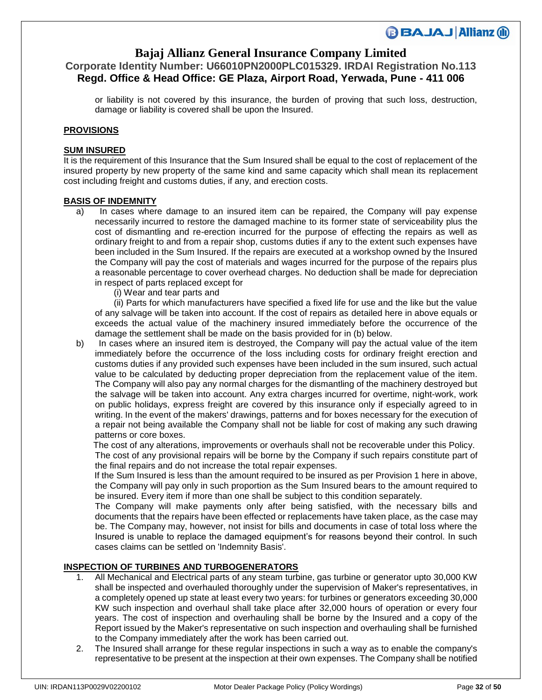## **Bajaj Allianz General Insurance Company Limited**

## **Corporate Identity Number: U66010PN2000PLC015329. IRDAI Registration No.113 Regd. Office & Head Office: GE Plaza, Airport Road, Yerwada, Pune - 411 006**

or liability is not covered by this insurance, the burden of proving that such loss, destruction, damage or liability is covered shall be upon the Insured.

#### **PROVISIONS**

### **SUM INSURED**

It is the requirement of this Insurance that the Sum Insured shall be equal to the cost of replacement of the insured property by new property of the same kind and same capacity which shall mean its replacement cost including freight and customs duties, if any, and erection costs.

### **BASIS OF INDEMNITY**

- a) In cases where damage to an insured item can be repaired, the Company will pay expense necessarily incurred to restore the damaged machine to its former state of serviceability plus the cost of dismantling and re-erection incurred for the purpose of effecting the repairs as well as ordinary freight to and from a repair shop, customs duties if any to the extent such expenses have been included in the Sum Insured. If the repairs are executed at a workshop owned by the Insured the Company will pay the cost of materials and wages incurred for the purpose of the repairs plus a reasonable percentage to cover overhead charges. No deduction shall be made for depreciation in respect of parts replaced except for
	- (i) Wear and tear parts and

(ii) Parts for which manufacturers have specified a fixed life for use and the like but the value of any salvage will be taken into account. If the cost of repairs as detailed here in above equals or exceeds the actual value of the machinery insured immediately before the occurrence of the damage the settlement shall be made on the basis provided for in (b) below.

b) In cases where an insured item is destroyed, the Company will pay the actual value of the item immediately before the occurrence of the loss including costs for ordinary freight erection and customs duties if any provided such expenses have been included in the sum insured, such actual value to be calculated by deducting proper depreciation from the replacement value of the item. The Company will also pay any normal charges for the dismantling of the machinery destroyed but the salvage will be taken into account. Any extra charges incurred for overtime, night-work, work on public holidays, express freight are covered by this insurance only if especially agreed to in writing. In the event of the makers' drawings, patterns and for boxes necessary for the execution of a repair not being available the Company shall not be liable for cost of making any such drawing patterns or core boxes.

 The cost of any alterations, improvements or overhauls shall not be recoverable under this Policy. The cost of any provisional repairs will be borne by the Company if such repairs constitute part of the final repairs and do not increase the total repair expenses.

 If the Sum Insured is less than the amount required to be insured as per Provision 1 here in above, the Company will pay only in such proportion as the Sum Insured bears to the amount required to be insured. Every item if more than one shall be subject to this condition separately.

The Company will make payments only after being satisfied, with the necessary bills and documents that the repairs have been effected or replacements have taken place, as the case may be. The Company may, however, not insist for bills and documents in case of total loss where the Insured is unable to replace the damaged equipment's for reasons beyond their control. In such cases claims can be settled on 'Indemnity Basis'.

### **INSPECTION OF TURBINES AND TURBOGENERATORS**

- 1. All Mechanical and Electrical parts of any steam turbine, gas turbine or generator upto 30,000 KW shall be inspected and overhauled thoroughly under the supervision of Maker's representatives, in a completely opened up state at least every two years: for turbines or generators exceeding 30,000 KW such inspection and overhaul shall take place after 32,000 hours of operation or every four years. The cost of inspection and overhauling shall be borne by the Insured and a copy of the Report issued by the Maker's representative on such inspection and overhauling shall be furnished to the Company immediately after the work has been carried out.
- 2. The Insured shall arrange for these regular inspections in such a way as to enable the company's representative to be present at the inspection at their own expenses. The Company shall be notified

**BBAJAJ Allianz (ii)**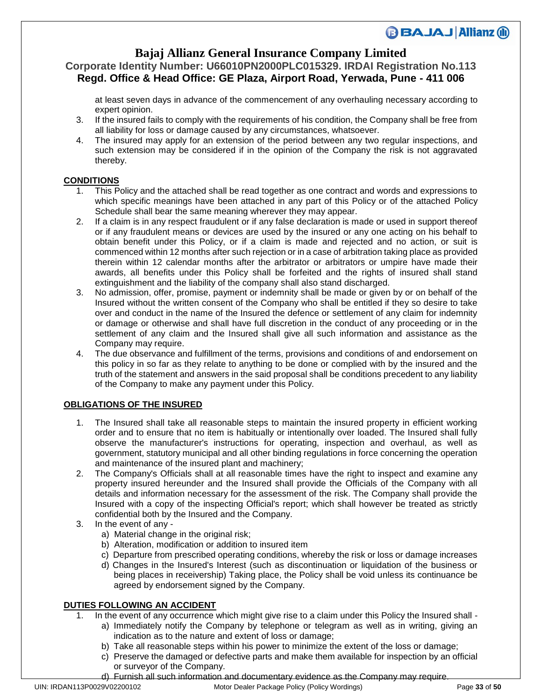## **Bajaj Allianz General Insurance Company Limited**

### **Corporate Identity Number: U66010PN2000PLC015329. IRDAI Registration No.113 Regd. Office & Head Office: GE Plaza, Airport Road, Yerwada, Pune - 411 006**

at least seven days in advance of the commencement of any overhauling necessary according to expert opinion.

- 3. If the insured fails to comply with the requirements of his condition, the Company shall be free from all liability for loss or damage caused by any circumstances, whatsoever.
- 4. The insured may apply for an extension of the period between any two regular inspections, and such extension may be considered if in the opinion of the Company the risk is not aggravated thereby.

### **CONDITIONS**

- 1. This Policy and the attached shall be read together as one contract and words and expressions to which specific meanings have been attached in any part of this Policy or of the attached Policy Schedule shall bear the same meaning wherever they may appear.
- 2. If a claim is in any respect fraudulent or if any false declaration is made or used in support thereof or if any fraudulent means or devices are used by the insured or any one acting on his behalf to obtain benefit under this Policy, or if a claim is made and rejected and no action, or suit is commenced within 12 months after such rejection or in a case of arbitration taking place as provided therein within 12 calendar months after the arbitrator or arbitrators or umpire have made their awards, all benefits under this Policy shall be forfeited and the rights of insured shall stand extinguishment and the liability of the company shall also stand discharged.
- 3. No admission, offer, promise, payment or indemnity shall be made or given by or on behalf of the Insured without the written consent of the Company who shall be entitled if they so desire to take over and conduct in the name of the Insured the defence or settlement of any claim for indemnity or damage or otherwise and shall have full discretion in the conduct of any proceeding or in the settlement of any claim and the Insured shall give all such information and assistance as the Company may require.
- 4. The due observance and fulfillment of the terms, provisions and conditions of and endorsement on this policy in so far as they relate to anything to be done or complied with by the insured and the truth of the statement and answers in the said proposal shall be conditions precedent to any liability of the Company to make any payment under this Policy.

### **OBLIGATIONS OF THE INSURED**

- 1. The Insured shall take all reasonable steps to maintain the insured property in efficient working order and to ensure that no item is habitually or intentionally over loaded. The Insured shall fully observe the manufacturer's instructions for operating, inspection and overhaul, as well as government, statutory municipal and all other binding regulations in force concerning the operation and maintenance of the insured plant and machinery;
- 2. The Company's Officials shall at all reasonable times have the right to inspect and examine any property insured hereunder and the Insured shall provide the Officials of the Company with all details and information necessary for the assessment of the risk. The Company shall provide the Insured with a copy of the inspecting Official's report; which shall however be treated as strictly confidential both by the Insured and the Company.
- 3. In the event of any
	- a) Material change in the original risk;
	- b) Alteration, modification or addition to insured item
	- c) Departure from prescribed operating conditions, whereby the risk or loss or damage increases
	- d) Changes in the Insured's Interest (such as discontinuation or liquidation of the business or being places in receivership) Taking place, the Policy shall be void unless its continuance be agreed by endorsement signed by the Company.

### **DUTIES FOLLOWING AN ACCIDENT**

- 1. In the event of any occurrence which might give rise to a claim under this Policy the Insured shall
	- a) Immediately notify the Company by telephone or telegram as well as in writing, giving an indication as to the nature and extent of loss or damage;
	- b) Take all reasonable steps within his power to minimize the extent of the loss or damage;
	- c) Preserve the damaged or defective parts and make them available for inspection by an official or surveyor of the Company.
	- d) Furnish all such information and documentary evidence as the Company may require.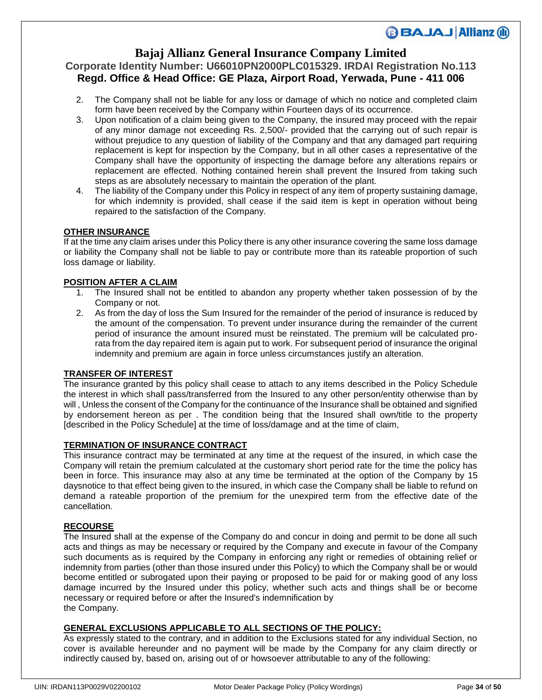## **Bajaj Allianz General Insurance Company Limited**

## **Corporate Identity Number: U66010PN2000PLC015329. IRDAI Registration No.113 Regd. Office & Head Office: GE Plaza, Airport Road, Yerwada, Pune - 411 006**

- 2. The Company shall not be liable for any loss or damage of which no notice and completed claim form have been received by the Company within Fourteen days of its occurrence.
- 3. Upon notification of a claim being given to the Company, the insured may proceed with the repair of any minor damage not exceeding Rs. 2,500/- provided that the carrying out of such repair is without prejudice to any question of liability of the Company and that any damaged part requiring replacement is kept for inspection by the Company, but in all other cases a representative of the Company shall have the opportunity of inspecting the damage before any alterations repairs or replacement are effected. Nothing contained herein shall prevent the Insured from taking such steps as are absolutely necessary to maintain the operation of the plant.
- 4. The liability of the Company under this Policy in respect of any item of property sustaining damage, for which indemnity is provided, shall cease if the said item is kept in operation without being repaired to the satisfaction of the Company.

### **OTHER INSURANCE**

If at the time any claim arises under this Policy there is any other insurance covering the same loss damage or liability the Company shall not be liable to pay or contribute more than its rateable proportion of such loss damage or liability.

### **POSITION AFTER A CLAIM**

- 1. The Insured shall not be entitled to abandon any property whether taken possession of by the Company or not.
- 2. As from the day of loss the Sum Insured for the remainder of the period of insurance is reduced by the amount of the compensation. To prevent under insurance during the remainder of the current period of insurance the amount insured must be reinstated. The premium will be calculated prorata from the day repaired item is again put to work. For subsequent period of insurance the original indemnity and premium are again in force unless circumstances justify an alteration.

### **TRANSFER OF INTEREST**

The insurance granted by this policy shall cease to attach to any items described in the Policy Schedule the interest in which shall pass/transferred from the Insured to any other person/entity otherwise than by will , Unless the consent of the Company for the continuance of the Insurance shall be obtained and signified by endorsement hereon as per . The condition being that the Insured shall own/title to the property [described in the Policy Schedule] at the time of loss/damage and at the time of claim,

#### **TERMINATION OF INSURANCE CONTRACT**

This insurance contract may be terminated at any time at the request of the insured, in which case the Company will retain the premium calculated at the customary short period rate for the time the policy has been in force. This insurance may also at any time be terminated at the option of the Company by 15 daysnotice to that effect being given to the insured, in which case the Company shall be liable to refund on demand a rateable proportion of the premium for the unexpired term from the effective date of the cancellation.

### **RECOURSE**

The Insured shall at the expense of the Company do and concur in doing and permit to be done all such acts and things as may be necessary or required by the Company and execute in favour of the Company such documents as is required by the Company in enforcing any right or remedies of obtaining relief or indemnity from parties (other than those insured under this Policy) to which the Company shall be or would become entitled or subrogated upon their paying or proposed to be paid for or making good of any loss damage incurred by the Insured under this policy, whether such acts and things shall be or become necessary or required before or after the Insured's indemnification by the Company.

### **GENERAL EXCLUSIONS APPLICABLE TO ALL SECTIONS OF THE POLICY:**

As expressly stated to the contrary, and in addition to the Exclusions stated for any individual Section, no cover is available hereunder and no payment will be made by the Company for any claim directly or indirectly caused by, based on, arising out of or howsoever attributable to any of the following: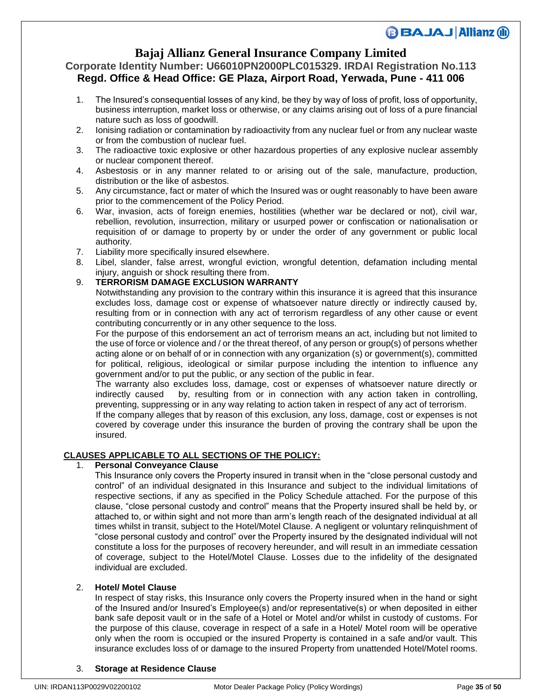## **Bajaj Allianz General Insurance Company Limited**

### **Corporate Identity Number: U66010PN2000PLC015329. IRDAI Registration No.113 Regd. Office & Head Office: GE Plaza, Airport Road, Yerwada, Pune - 411 006**

- 1. The Insured's consequential losses of any kind, be they by way of loss of profit, loss of opportunity, business interruption, market loss or otherwise, or any claims arising out of loss of a pure financial nature such as loss of goodwill.
- 2. Ionising radiation or contamination by radioactivity from any nuclear fuel or from any nuclear waste or from the combustion of nuclear fuel.
- 3. The radioactive toxic explosive or other hazardous properties of any explosive nuclear assembly or nuclear component thereof.
- 4. Asbestosis or in any manner related to or arising out of the sale, manufacture, production, distribution or the like of asbestos.
- 5. Any circumstance, fact or mater of which the Insured was or ought reasonably to have been aware prior to the commencement of the Policy Period.
- 6. War, invasion, acts of foreign enemies, hostilities (whether war be declared or not), civil war, rebellion, revolution, insurrection, military or usurped power or confiscation or nationalisation or requisition of or damage to property by or under the order of any government or public local authority.
- 7. Liability more specifically insured elsewhere.
- 8. Libel, slander, false arrest, wrongful eviction, wrongful detention, defamation including mental injury, anguish or shock resulting there from.

### 9. **TERRORISM DAMAGE EXCLUSION WARRANTY**

 Notwithstanding any provision to the contrary within this insurance it is agreed that this insurance excludes loss, damage cost or expense of whatsoever nature directly or indirectly caused by, resulting from or in connection with any act of terrorism regardless of any other cause or event contributing concurrently or in any other sequence to the loss.

 For the purpose of this endorsement an act of terrorism means an act, including but not limited to the use of force or violence and / or the threat thereof, of any person or group(s) of persons whether acting alone or on behalf of or in connection with any organization (s) or government(s), committed for political, religious, ideological or similar purpose including the intention to influence any government and/or to put the public, or any section of the public in fear.

 The warranty also excludes loss, damage, cost or expenses of whatsoever nature directly or indirectly caused by, resulting from or in connection with any action taken in controlling, preventing, suppressing or in any way relating to action taken in respect of any act of terrorism.

 If the company alleges that by reason of this exclusion, any loss, damage, cost or expenses is not covered by coverage under this insurance the burden of proving the contrary shall be upon the insured.

### **CLAUSES APPLICABLE TO ALL SECTIONS OF THE POLICY:**

### 1. **Personal Conveyance Clause**

This Insurance only covers the Property insured in transit when in the "close personal custody and control" of an individual designated in this Insurance and subject to the individual limitations of respective sections, if any as specified in the Policy Schedule attached. For the purpose of this clause, "close personal custody and control" means that the Property insured shall be held by, or attached to, or within sight and not more than arm's length reach of the designated individual at all times whilst in transit, subject to the Hotel/Motel Clause. A negligent or voluntary relinquishment of "close personal custody and control" over the Property insured by the designated individual will not constitute a loss for the purposes of recovery hereunder, and will result in an immediate cessation of coverage, subject to the Hotel/Motel Clause. Losses due to the infidelity of the designated individual are excluded.

### 2. **Hotel/ Motel Clause**

In respect of stay risks, this Insurance only covers the Property insured when in the hand or sight of the Insured and/or Insured's Employee(s) and/or representative(s) or when deposited in either bank safe deposit vault or in the safe of a Hotel or Motel and/or whilst in custody of customs. For the purpose of this clause, coverage in respect of a safe in a Hotel/ Motel room will be operative only when the room is occupied or the insured Property is contained in a safe and/or vault. This insurance excludes loss of or damage to the insured Property from unattended Hotel/Motel rooms.

#### 3. **Storage at Residence Clause**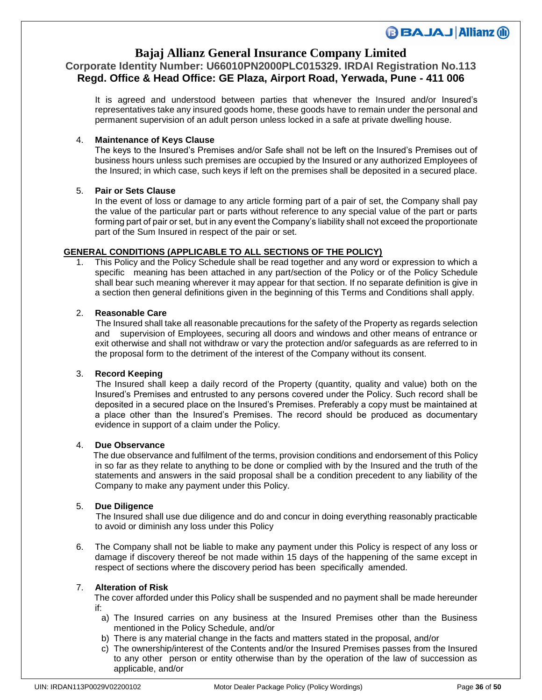## **Bajaj Allianz General Insurance Company Limited**

### **Corporate Identity Number: U66010PN2000PLC015329. IRDAI Registration No.113 Regd. Office & Head Office: GE Plaza, Airport Road, Yerwada, Pune - 411 006**

It is agreed and understood between parties that whenever the Insured and/or Insured's representatives take any insured goods home, these goods have to remain under the personal and permanent supervision of an adult person unless locked in a safe at private dwelling house.

### 4. **Maintenance of Keys Clause**

The keys to the Insured's Premises and/or Safe shall not be left on the Insured's Premises out of business hours unless such premises are occupied by the Insured or any authorized Employees of the Insured; in which case, such keys if left on the premises shall be deposited in a secured place.

### 5. **Pair or Sets Clause**

In the event of loss or damage to any article forming part of a pair of set, the Company shall pay the value of the particular part or parts without reference to any special value of the part or parts forming part of pair or set, but in any event the Company's liability shall not exceed the proportionate part of the Sum Insured in respect of the pair or set.

### **GENERAL CONDITIONS (APPLICABLE TO ALL SECTIONS OF THE POLICY)**

1. This Policy and the Policy Schedule shall be read together and any word or expression to which a specific meaning has been attached in any part/section of the Policy or of the Policy Schedule shall bear such meaning wherever it may appear for that section. If no separate definition is give in a section then general definitions given in the beginning of this Terms and Conditions shall apply.

### 2. **Reasonable Care**

 The Insured shall take all reasonable precautions for the safety of the Property as regards selection and supervision of Employees, securing all doors and windows and other means of entrance or exit otherwise and shall not withdraw or vary the protection and/or safeguards as are referred to in the proposal form to the detriment of the interest of the Company without its consent.

#### 3. **Record Keeping**

 The Insured shall keep a daily record of the Property (quantity, quality and value) both on the Insured's Premises and entrusted to any persons covered under the Policy. Such record shall be deposited in a secured place on the Insured's Premises. Preferably a copy must be maintained at a place other than the Insured's Premises. The record should be produced as documentary evidence in support of a claim under the Policy.

#### 4. **Due Observance**

 The due observance and fulfilment of the terms, provision conditions and endorsement of this Policy in so far as they relate to anything to be done or complied with by the Insured and the truth of the statements and answers in the said proposal shall be a condition precedent to any liability of the Company to make any payment under this Policy.

#### 5. **Due Diligence**

 The Insured shall use due diligence and do and concur in doing everything reasonably practicable to avoid or diminish any loss under this Policy

6. The Company shall not be liable to make any payment under this Policy is respect of any loss or damage if discovery thereof be not made within 15 days of the happening of the same except in respect of sections where the discovery period has been specifically amended.

#### 7. **Alteration of Risk**

 The cover afforded under this Policy shall be suspended and no payment shall be made hereunder if:

- a) The Insured carries on any business at the Insured Premises other than the Business mentioned in the Policy Schedule, and/or
- b) There is any material change in the facts and matters stated in the proposal, and/or
- c) The ownership/interest of the Contents and/or the Insured Premises passes from the Insured to any other person or entity otherwise than by the operation of the law of succession as applicable, and/or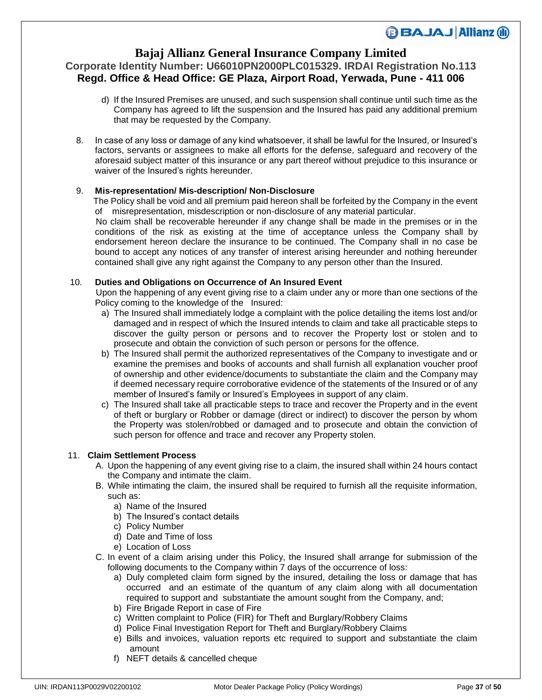### **Bajaj Allianz General Insurance Company Limited**

## **Corporate Identity Number: U66010PN2000PLC015329. IRDAI Registration No.113 Regd. Office & Head Office: GE Plaza, Airport Road, Yerwada, Pune - 411 006**

- d) If the Insured Premises are unused, and such suspension shall continue until such time as the Company has agreed to lift the suspension and the Insured has paid any additional premium that may be requested by the Company.
- 8. In case of any loss or damage of any kind whatsoever, it shall be lawful for the Insured, or Insured's factors, servants or assignees to make all efforts for the defense, safeguard and recovery of the aforesaid subject matter of this insurance or any part thereof without prejudice to this insurance or waiver of the Insured's rights hereunder.

### 9. **Mis-representation/ Mis-description/ Non-Disclosure**

 The Policy shall be void and all premium paid hereon shall be forfeited by the Company in the event of misrepresentation, misdescription or non-disclosure of any material particular.

 No claim shall be recoverable hereunder if any change shall be made in the premises or in the conditions of the risk as existing at the time of acceptance unless the Company shall by endorsement hereon declare the insurance to be continued. The Company shall in no case be bound to accept any notices of any transfer of interest arising hereunder and nothing hereunder contained shall give any right against the Company to any person other than the Insured.

### 10. **Duties and Obligations on Occurrence of An Insured Event**

 Upon the happening of any event giving rise to a claim under any or more than one sections of the Policy coming to the knowledge of the Insured:

- a) The Insured shall immediately lodge a complaint with the police detailing the items lost and/or damaged and in respect of which the Insured intends to claim and take all practicable steps to discover the guilty person or persons and to recover the Property lost or stolen and to prosecute and obtain the conviction of such person or persons for the offence.
- b) The Insured shall permit the authorized representatives of the Company to investigate and or examine the premises and books of accounts and shall furnish all explanation voucher proof of ownership and other evidence/documents to substantiate the claim and the Company may if deemed necessary require corroborative evidence of the statements of the Insured or of any member of Insured's family or Insured's Employees in support of any claim.
- c) The Insured shall take all practicable steps to trace and recover the Property and in the event of theft or burglary or Robber or damage (direct or indirect) to discover the person by whom the Property was stolen/robbed or damaged and to prosecute and obtain the conviction of such person for offence and trace and recover any Property stolen.

### 11. **Claim Settlement Process**

- A. Upon the happening of any event giving rise to a claim, the insured shall within 24 hours contact the Company and intimate the claim.
- B. While intimating the claim, the insured shall be required to furnish all the requisite information, such as:
	- a) Name of the Insured
	- b) The Insured's contact details
	- c) Policy Number
	- d) Date and Time of loss
	- e) Location of Loss
- C. In event of a claim arising under this Policy, the Insured shall arrange for submission of the following documents to the Company within 7 days of the occurrence of loss:
	- a) Duly completed claim form signed by the insured, detailing the loss or damage that has occurred and an estimate of the quantum of any claim along with all documentation required to support and substantiate the amount sought from the Company, and;
	- b) Fire Brigade Report in case of Fire
	- c) Written complaint to Police (FIR) for Theft and Burglary/Robbery Claims
	- d) Police Final Investigation Report for Theft and Burglary/Robbery Claims
	- e) Bills and invoices, valuation reports etc required to support and substantiate the claim amount
	- f) NEFT details & cancelled cheque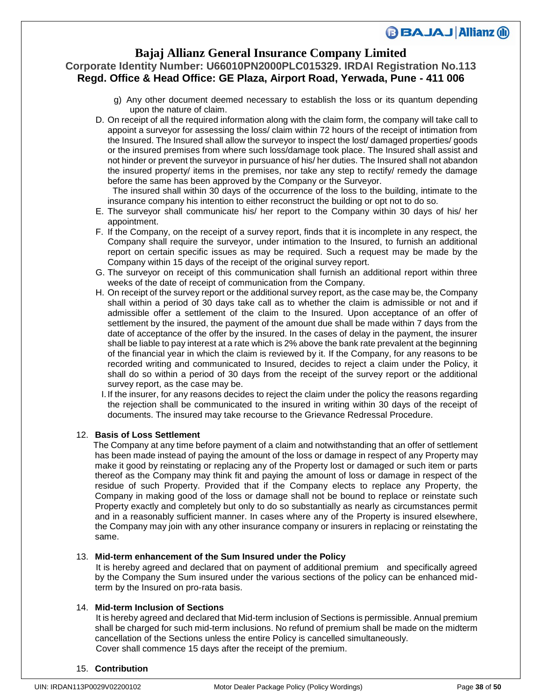### **Bajaj Allianz General Insurance Company Limited**

## **Corporate Identity Number: U66010PN2000PLC015329. IRDAI Registration No.113 Regd. Office & Head Office: GE Plaza, Airport Road, Yerwada, Pune - 411 006**

- g) Any other document deemed necessary to establish the loss or its quantum depending upon the nature of claim.
- D. On receipt of all the required information along with the claim form, the company will take call to appoint a surveyor for assessing the loss/ claim within 72 hours of the receipt of intimation from the Insured. The Insured shall allow the surveyor to inspect the lost/ damaged properties/ goods or the insured premises from where such loss/damage took place. The Insured shall assist and not hinder or prevent the surveyor in pursuance of his/ her duties. The Insured shall not abandon the insured property/ items in the premises, nor take any step to rectify/ remedy the damage before the same has been approved by the Company or the Surveyor.

 The insured shall within 30 days of the occurrence of the loss to the building, intimate to the insurance company his intention to either reconstruct the building or opt not to do so.

- E. The surveyor shall communicate his/ her report to the Company within 30 days of his/ her appointment.
- F. If the Company, on the receipt of a survey report, finds that it is incomplete in any respect, the Company shall require the surveyor, under intimation to the Insured, to furnish an additional report on certain specific issues as may be required. Such a request may be made by the Company within 15 days of the receipt of the original survey report.
- G. The surveyor on receipt of this communication shall furnish an additional report within three weeks of the date of receipt of communication from the Company.
- H. On receipt of the survey report or the additional survey report, as the case may be, the Company shall within a period of 30 days take call as to whether the claim is admissible or not and if admissible offer a settlement of the claim to the Insured. Upon acceptance of an offer of settlement by the insured, the payment of the amount due shall be made within 7 days from the date of acceptance of the offer by the insured. In the cases of delay in the payment, the insurer shall be liable to pay interest at a rate which is 2% above the bank rate prevalent at the beginning of the financial year in which the claim is reviewed by it. If the Company, for any reasons to be recorded writing and communicated to Insured, decides to reject a claim under the Policy, it shall do so within a period of 30 days from the receipt of the survey report or the additional survey report, as the case may be.
- I. If the insurer, for any reasons decides to reject the claim under the policy the reasons regarding the rejection shall be communicated to the insured in writing within 30 days of the receipt of documents. The insured may take recourse to the Grievance Redressal Procedure.

#### 12. **Basis of Loss Settlement**

 The Company at any time before payment of a claim and notwithstanding that an offer of settlement has been made instead of paying the amount of the loss or damage in respect of any Property may make it good by reinstating or replacing any of the Property lost or damaged or such item or parts thereof as the Company may think fit and paying the amount of loss or damage in respect of the residue of such Property. Provided that if the Company elects to replace any Property, the Company in making good of the loss or damage shall not be bound to replace or reinstate such Property exactly and completely but only to do so substantially as nearly as circumstances permit and in a reasonably sufficient manner. In cases where any of the Property is insured elsewhere, the Company may join with any other insurance company or insurers in replacing or reinstating the same.

#### 13. **Mid-term enhancement of the Sum Insured under the Policy**

 It is hereby agreed and declared that on payment of additional premium and specifically agreed by the Company the Sum insured under the various sections of the policy can be enhanced midterm by the Insured on pro-rata basis.

### 14. **Mid-term Inclusion of Sections**

 It is hereby agreed and declared that Mid-term inclusion of Sections is permissible. Annual premium shall be charged for such mid-term inclusions. No refund of premium shall be made on the midterm cancellation of the Sections unless the entire Policy is cancelled simultaneously. Cover shall commence 15 days after the receipt of the premium.

#### 15. **Contribution**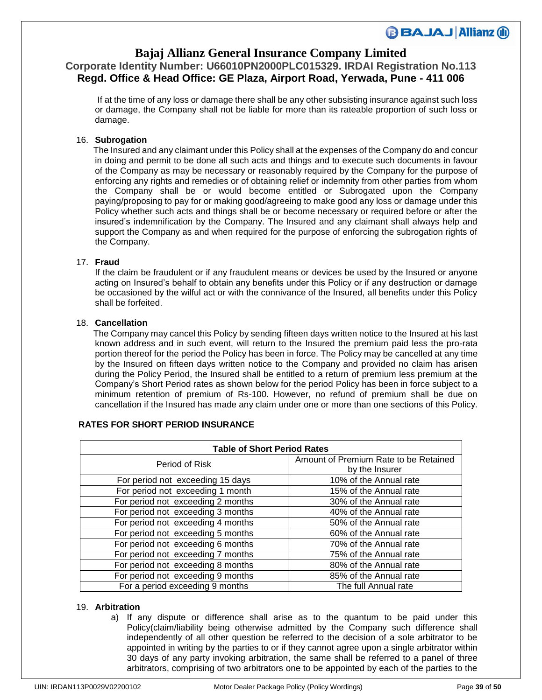## **Bajaj Allianz General Insurance Company Limited**

# **Corporate Identity Number: U66010PN2000PLC015329. IRDAI Registration No.113 Regd. Office & Head Office: GE Plaza, Airport Road, Yerwada, Pune - 411 006**

If at the time of any loss or damage there shall be any other subsisting insurance against such loss or damage, the Company shall not be liable for more than its rateable proportion of such loss or damage.

### 16. **Subrogation**

 The Insured and any claimant under this Policy shall at the expenses of the Company do and concur in doing and permit to be done all such acts and things and to execute such documents in favour of the Company as may be necessary or reasonably required by the Company for the purpose of enforcing any rights and remedies or of obtaining relief or indemnity from other parties from whom the Company shall be or would become entitled or Subrogated upon the Company paying/proposing to pay for or making good/agreeing to make good any loss or damage under this Policy whether such acts and things shall be or become necessary or required before or after the insured's indemnification by the Company. The Insured and any claimant shall always help and support the Company as and when required for the purpose of enforcing the subrogation rights of the Company.

### 17. **Fraud**

If the claim be fraudulent or if any fraudulent means or devices be used by the Insured or anyone acting on Insured's behalf to obtain any benefits under this Policy or if any destruction or damage be occasioned by the wilful act or with the connivance of the Insured, all benefits under this Policy shall be forfeited.

### 18. **Cancellation**

 The Company may cancel this Policy by sending fifteen days written notice to the Insured at his last known address and in such event, will return to the Insured the premium paid less the pro-rata portion thereof for the period the Policy has been in force. The Policy may be cancelled at any time by the Insured on fifteen days written notice to the Company and provided no claim has arisen during the Policy Period, the Insured shall be entitled to a return of premium less premium at the Company's Short Period rates as shown below for the period Policy has been in force subject to a minimum retention of premium of Rs-100. However, no refund of premium shall be due on cancellation if the Insured has made any claim under one or more than one sections of this Policy.

### **RATES FOR SHORT PERIOD INSURANCE**

| <b>Table of Short Period Rates</b> |                                       |
|------------------------------------|---------------------------------------|
| Period of Risk                     | Amount of Premium Rate to be Retained |
|                                    | by the Insurer                        |
| For period not exceeding 15 days   | 10% of the Annual rate                |
| For period not exceeding 1 month   | 15% of the Annual rate                |
| For period not exceeding 2 months  | 30% of the Annual rate                |
| For period not exceeding 3 months  | 40% of the Annual rate                |
| For period not exceeding 4 months  | 50% of the Annual rate                |
| For period not exceeding 5 months  | 60% of the Annual rate                |
| For period not exceeding 6 months  | 70% of the Annual rate                |
| For period not exceeding 7 months  | 75% of the Annual rate                |
| For period not exceeding 8 months  | 80% of the Annual rate                |
| For period not exceeding 9 months  | 85% of the Annual rate                |
| For a period exceeding 9 months    | The full Annual rate                  |

#### 19. **Arbitration**

a) If any dispute or difference shall arise as to the quantum to be paid under this Policy(claim/liability being otherwise admitted by the Company such difference shall independently of all other question be referred to the decision of a sole arbitrator to be appointed in writing by the parties to or if they cannot agree upon a single arbitrator within 30 days of any party invoking arbitration, the same shall be referred to a panel of three arbitrators, comprising of two arbitrators one to be appointed by each of the parties to the

**BBAJAJ Allianz (ii)**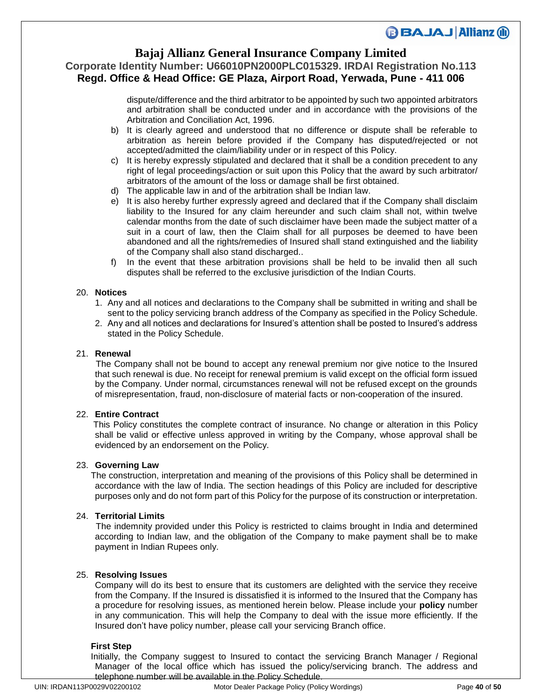### **Bajaj Allianz General Insurance Company Limited**

**Corporate Identity Number: U66010PN2000PLC015329. IRDAI Registration No.113 Regd. Office & Head Office: GE Plaza, Airport Road, Yerwada, Pune - 411 006**

> dispute/difference and the third arbitrator to be appointed by such two appointed arbitrators and arbitration shall be conducted under and in accordance with the provisions of the Arbitration and Conciliation Act, 1996.

- b) It is clearly agreed and understood that no difference or dispute shall be referable to arbitration as herein before provided if the Company has disputed/rejected or not accepted/admitted the claim/liability under or in respect of this Policy.
- c) It is hereby expressly stipulated and declared that it shall be a condition precedent to any right of legal proceedings/action or suit upon this Policy that the award by such arbitrator/ arbitrators of the amount of the loss or damage shall be first obtained.
- d) The applicable law in and of the arbitration shall be Indian law.
- e) It is also hereby further expressly agreed and declared that if the Company shall disclaim liability to the Insured for any claim hereunder and such claim shall not, within twelve calendar months from the date of such disclaimer have been made the subject matter of a suit in a court of law, then the Claim shall for all purposes be deemed to have been abandoned and all the rights/remedies of Insured shall stand extinguished and the liability of the Company shall also stand discharged..
- f) In the event that these arbitration provisions shall be held to be invalid then all such disputes shall be referred to the exclusive jurisdiction of the Indian Courts.

### 20. **Notices**

- 1. Any and all notices and declarations to the Company shall be submitted in writing and shall be sent to the policy servicing branch address of the Company as specified in the Policy Schedule.
- 2. Any and all notices and declarations for Insured's attention shall be posted to Insured's address stated in the Policy Schedule.

### 21. **Renewal**

 The Company shall not be bound to accept any renewal premium nor give notice to the Insured that such renewal is due. No receipt for renewal premium is valid except on the official form issued by the Company. Under normal, circumstances renewal will not be refused except on the grounds of misrepresentation, fraud, non-disclosure of material facts or non-cooperation of the insured.

### 22. **Entire Contract**

 This Policy constitutes the complete contract of insurance. No change or alteration in this Policy shall be valid or effective unless approved in writing by the Company, whose approval shall be evidenced by an endorsement on the Policy.

#### 23. **Governing Law**

 The construction, interpretation and meaning of the provisions of this Policy shall be determined in accordance with the law of India. The section headings of this Policy are included for descriptive purposes only and do not form part of this Policy for the purpose of its construction or interpretation.

#### 24. **Territorial Limits**

 The indemnity provided under this Policy is restricted to claims brought in India and determined according to Indian law, and the obligation of the Company to make payment shall be to make payment in Indian Rupees only.

#### 25. **Resolving Issues**

Company will do its best to ensure that its customers are delighted with the service they receive from the Company. If the Insured is dissatisfied it is informed to the Insured that the Company has a procedure for resolving issues, as mentioned herein below. Please include your **policy** number in any communication. This will help the Company to deal with the issue more efficiently. If the Insured don't have policy number, please call your servicing Branch office.

#### **First Step**

 Initially, the Company suggest to Insured to contact the servicing Branch Manager / Regional Manager of the local office which has issued the policy/servicing branch. The address and telephone number will be available in the Policy Schedule.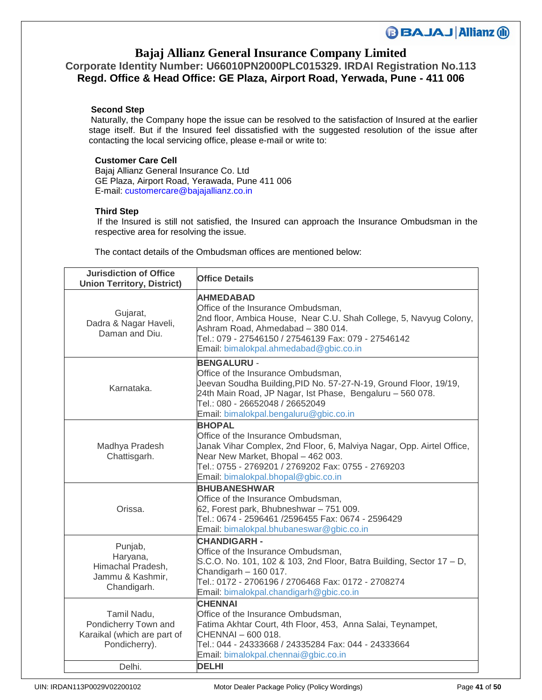# **Bajaj Allianz General Insurance Company Limited**

**BBAJAJ Allianz (ii)** 

## **Corporate Identity Number: U66010PN2000PLC015329. IRDAI Registration No.113 Regd. Office & Head Office: GE Plaza, Airport Road, Yerwada, Pune - 411 006**

### **Second Step**

 Naturally, the Company hope the issue can be resolved to the satisfaction of Insured at the earlier stage itself. But if the Insured feel dissatisfied with the suggested resolution of the issue after contacting the local servicing office, please e-mail or write to:

### **Customer Care Cell**

Bajaj Allianz General Insurance Co. Ltd GE Plaza, Airport Road, Yerawada, Pune 411 006 E-mail: customercare@bajajallianz.co.in

### **Third Step**

 If the Insured is still not satisfied, the Insured can approach the Insurance Ombudsman in the respective area for resolving the issue.

The contact details of the Ombudsman offices are mentioned below:

| <b>Jurisdiction of Office</b><br><b>Union Territory, District)</b>                  | <b>Office Details</b>                                                                                                                                                                                                                                                  |
|-------------------------------------------------------------------------------------|------------------------------------------------------------------------------------------------------------------------------------------------------------------------------------------------------------------------------------------------------------------------|
| Gujarat,<br>Dadra & Nagar Haveli,<br>Daman and Diu.                                 | <b>AHMEDABAD</b><br>Office of the Insurance Ombudsman,<br>2nd floor, Ambica House, Near C.U. Shah College, 5, Navyug Colony,<br>Ashram Road, Ahmedabad - 380 014.<br>Tel.: 079 - 27546150 / 27546139 Fax: 079 - 27546142<br>Email: bimalokpal.ahmedabad@gbic.co.in     |
| Karnataka.                                                                          | <b>BENGALURU -</b><br>Office of the Insurance Ombudsman,<br>Jeevan Soudha Building, PID No. 57-27-N-19, Ground Floor, 19/19,<br>24th Main Road, JP Nagar, Ist Phase, Bengaluru - 560 078.<br>Tel.: 080 - 26652048 / 26652049<br>Email: bimalokpal.bengaluru@gbic.co.in |
| Madhya Pradesh<br>Chattisgarh.                                                      | <b>BHOPAL</b><br>Office of the Insurance Ombudsman,<br>Janak Vihar Complex, 2nd Floor, 6, Malviya Nagar, Opp. Airtel Office,<br>Near New Market, Bhopal - 462 003.<br>Tel.: 0755 - 2769201 / 2769202 Fax: 0755 - 2769203<br>Email: bimalokpal.bhopal@gbic.co.in        |
| Orissa.                                                                             | <b>BHUBANESHWAR</b><br>Office of the Insurance Ombudsman,<br>62, Forest park, Bhubneshwar - 751 009.<br>Tel.: 0674 - 2596461 /2596455 Fax: 0674 - 2596429<br>Email: bimalokpal.bhubaneswar@gbic.co.in                                                                  |
| Punjab,<br>Haryana,<br>Himachal Pradesh,<br>Jammu & Kashmir,<br>Chandigarh.         | <b>CHANDIGARH -</b><br>Office of the Insurance Ombudsman,<br>S.C.O. No. 101, 102 & 103, 2nd Floor, Batra Building, Sector 17 - D,<br>Chandigarh - 160 017.<br>Tel.: 0172 - 2706196 / 2706468 Fax: 0172 - 2708274<br>Email: bimalokpal.chandigarh@gbic.co.in            |
| Tamil Nadu,<br>Pondicherry Town and<br>Karaikal (which are part of<br>Pondicherry). | <b>CHENNAI</b><br>Office of the Insurance Ombudsman,<br>Fatima Akhtar Court, 4th Floor, 453, Anna Salai, Teynampet,<br>CHENNAI - 600 018.<br>Tel.: 044 - 24333668 / 24335284 Fax: 044 - 24333664<br>Email: bimalokpal.chennai@gbic.co.in                               |
| Delhi.                                                                              | <b>DELHI</b>                                                                                                                                                                                                                                                           |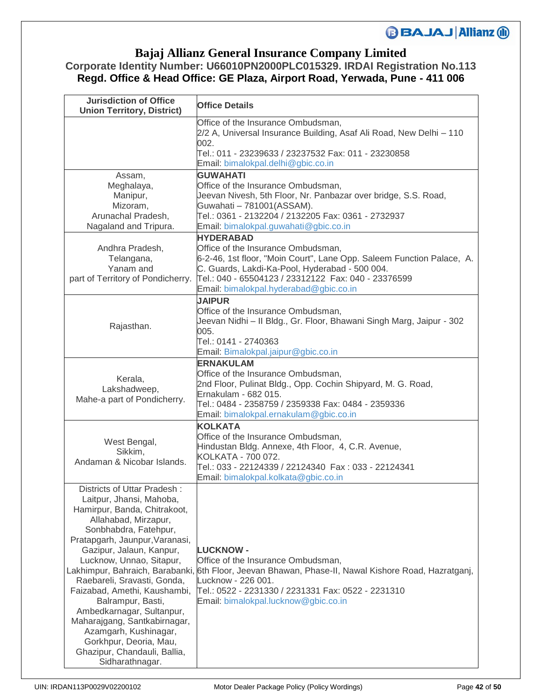## **Bajaj Allianz General Insurance Company Limited**

## **Corporate Identity Number: U66010PN2000PLC015329. IRDAI Registration No.113 Regd. Office & Head Office: GE Plaza, Airport Road, Yerwada, Pune - 411 006**

| <b>Jurisdiction of Office</b><br><b>Union Territory, District)</b>                                                                                                                                                                                                                                                                                                                                                                                                                        | <b>Office Details</b>                                                                                                                                                                                                                                                             |
|-------------------------------------------------------------------------------------------------------------------------------------------------------------------------------------------------------------------------------------------------------------------------------------------------------------------------------------------------------------------------------------------------------------------------------------------------------------------------------------------|-----------------------------------------------------------------------------------------------------------------------------------------------------------------------------------------------------------------------------------------------------------------------------------|
|                                                                                                                                                                                                                                                                                                                                                                                                                                                                                           | Office of the Insurance Ombudsman,<br>2/2 A, Universal Insurance Building, Asaf Ali Road, New Delhi - 110<br>002.<br>Tel.: 011 - 23239633 / 23237532 Fax: 011 - 23230858<br>Email: bimalokpal.delhi@gbic.co.in                                                                    |
| Assam,<br>Meghalaya,<br>Manipur,<br>Mizoram,<br>Arunachal Pradesh,<br>Nagaland and Tripura.                                                                                                                                                                                                                                                                                                                                                                                               | <b>GUWAHATI</b><br>Office of the Insurance Ombudsman,<br>Jeevan Nivesh, 5th Floor, Nr. Panbazar over bridge, S.S. Road,<br>Guwahati - 781001 (ASSAM).<br>Tel.: 0361 - 2132204 / 2132205 Fax: 0361 - 2732937<br>Email: bimalokpal.guwahati@gbic.co.in<br><b>HYDERABAD</b>          |
| Andhra Pradesh,<br>Telangana,<br>Yanam and<br>part of Territory of Pondicherry.                                                                                                                                                                                                                                                                                                                                                                                                           | Office of the Insurance Ombudsman,<br>6-2-46, 1st floor, "Moin Court", Lane Opp. Saleem Function Palace, A.<br>C. Guards, Lakdi-Ka-Pool, Hyderabad - 500 004.<br>Tel.: 040 - 65504123 / 23312122 Fax: 040 - 23376599<br>Email: bimalokpal.hyderabad@gbic.co.in                    |
| Rajasthan.                                                                                                                                                                                                                                                                                                                                                                                                                                                                                | <b>JAIPUR</b><br>Office of the Insurance Ombudsman,<br>Jeevan Nidhi - II Bldg., Gr. Floor, Bhawani Singh Marg, Jaipur - 302<br>005.<br>Tel.: 0141 - 2740363<br>Email: Bimalokpal.jaipur@gbic.co.in                                                                                |
| Kerala,<br>Lakshadweep,<br>Mahe-a part of Pondicherry.                                                                                                                                                                                                                                                                                                                                                                                                                                    | <b>ERNAKULAM</b><br>Office of the Insurance Ombudsman,<br>2nd Floor, Pulinat Bldg., Opp. Cochin Shipyard, M. G. Road,<br>Ernakulam - 682 015.<br>Tel.: 0484 - 2358759 / 2359338 Fax: 0484 - 2359336<br>Email: bimalokpal.ernakulam@gbic.co.in                                     |
| West Bengal,<br>Sikkim,<br>Andaman & Nicobar Islands.                                                                                                                                                                                                                                                                                                                                                                                                                                     | <b>KOLKATA</b><br>Office of the Insurance Ombudsman,<br>Hindustan Bldg. Annexe, 4th Floor, 4, C.R. Avenue,<br>KOLKATA - 700 072.<br>Tel.: 033 - 22124339 / 22124340  Fax: 033 - 22124341<br>Email: bimalokpal.kolkata@gbic.co.in                                                  |
| Districts of Uttar Pradesh:<br>Laitpur, Jhansi, Mahoba,<br>Hamirpur, Banda, Chitrakoot,<br>Allahabad, Mirzapur,<br>Sonbhabdra, Fatehpur,<br>Pratapgarh, Jaunpur, Varanasi,<br>Gazipur, Jalaun, Kanpur,<br>Lucknow, Unnao, Sitapur,<br>Raebareli, Sravasti, Gonda,<br>Faizabad, Amethi, Kaushambi,<br>Balrampur, Basti,<br>Ambedkarnagar, Sultanpur,<br>Maharajgang, Santkabirnagar,<br>Azamgarh, Kushinagar,<br>Gorkhpur, Deoria, Mau,<br>Ghazipur, Chandauli, Ballia,<br>Sidharathnagar. | <b>LUCKNOW -</b><br>Office of the Insurance Ombudsman,<br>Lakhimpur, Bahraich, Barabanki, 6th Floor, Jeevan Bhawan, Phase-II, Nawal Kishore Road, Hazratganj,<br>Lucknow - 226 001.<br>Tel.: 0522 - 2231330 / 2231331 Fax: 0522 - 2231310<br>Email: bimalokpal.lucknow@gbic.co.in |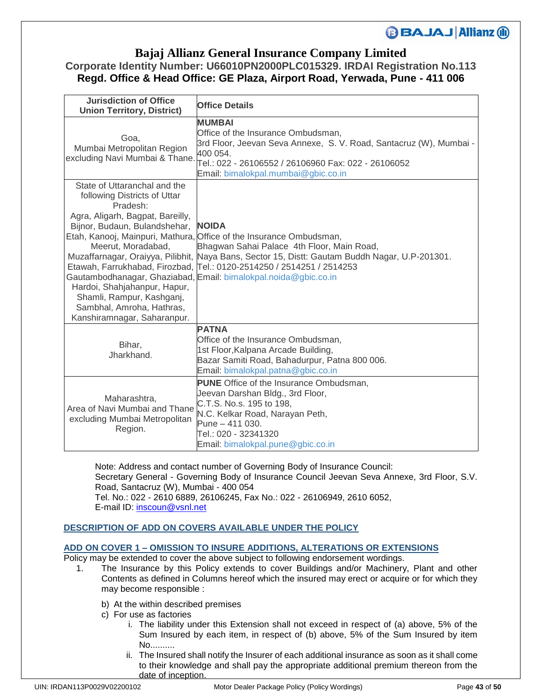### **Bajaj Allianz General Insurance Company Limited**

## **Corporate Identity Number: U66010PN2000PLC015329. IRDAI Registration No.113 Regd. Office & Head Office: GE Plaza, Airport Road, Yerwada, Pune - 411 006**

| <b>Jurisdiction of Office</b><br><b>Union Territory, District)</b>                                                                                                                                                                                                                                 | <b>Office Details</b>                                                                                                                                                                                                                                                                                                                                           |
|----------------------------------------------------------------------------------------------------------------------------------------------------------------------------------------------------------------------------------------------------------------------------------------------------|-----------------------------------------------------------------------------------------------------------------------------------------------------------------------------------------------------------------------------------------------------------------------------------------------------------------------------------------------------------------|
| Goa.<br>Mumbai Metropolitan Region                                                                                                                                                                                                                                                                 | <b>MUMBAI</b><br>Office of the Insurance Ombudsman,<br>3rd Floor, Jeevan Seva Annexe, S. V. Road, Santacruz (W), Mumbai -<br>400 054.<br>excluding Navi Mumbai & Thane. Top 33 ::<br>Tel.: 022 - 26106052 - 26106552 / 26106960 Fax: 022 - 26106052<br>Email: bimalokpal.mumbai@gbic.co.in                                                                      |
| State of Uttaranchal and the<br>following Districts of Uttar<br>Pradesh:<br>Agra, Aligarh, Bagpat, Bareilly,<br>Bijnor, Budaun, Bulandshehar, NOIDA<br>Meerut, Moradabad,<br>Hardoi, Shahjahanpur, Hapur,<br>Shamli, Rampur, Kashganj,<br>Sambhal, Amroha, Hathras,<br>Kanshiramnagar, Saharanpur. | Etah, Kanooj, Mainpuri, Mathura, Office of the Insurance Ombudsman,<br>Bhagwan Sahai Palace 4th Floor, Main Road,<br>Muzaffarnagar, Oraiyya, Pilibhit, Naya Bans, Sector 15, Distt: Gautam Buddh Nagar, U.P-201301.<br>Etawah, Farrukhabad, Firozbad, Tel.: 0120-2514250 / 2514251 / 2514253<br>Gautambodhanagar, Ghaziabad, Email: bimalokpal.noida@gbic.co.in |
| Bihar,<br>Jharkhand.                                                                                                                                                                                                                                                                               | <b>PATNA</b><br>Office of the Insurance Ombudsman,<br>1st Floor, Kalpana Arcade Building,<br>Bazar Samiti Road, Bahadurpur, Patna 800 006.<br>Email: bimalokpal.patna@gbic.co.in                                                                                                                                                                                |
| Maharashtra,<br>Area of Navi Mumbai and Thane<br>excluding Mumbai Metropolitan<br>Region.                                                                                                                                                                                                          | <b>PUNE</b> Office of the Insurance Ombudsman.<br>Jeevan Darshan Bldg., 3rd Floor,<br>C.T.S. No.s. 195 to 198,<br>N.C. Kelkar Road, Narayan Peth,<br>Pune - 411 030.<br>Tel.: 020 - 32341320<br>Email: bimalokpal.pune@gbic.co.in                                                                                                                               |

Note: Address and contact number of Governing Body of Insurance Council: Secretary General - Governing Body of Insurance Council Jeevan Seva Annexe, 3rd Floor, S.V. Road, Santacruz (W), Mumbai - 400 054 Tel. No.: 022 - 2610 6889, 26106245, Fax No.: 022 - 26106949, 2610 6052, E-mail ID: [inscoun@vsnl.net](mailto:inscoun@vsnl.net)

### **DESCRIPTION OF ADD ON COVERS AVAILABLE UNDER THE POLICY**

#### **ADD ON COVER 1 – OMISSION TO INSURE ADDITIONS, ALTERATIONS OR EXTENSIONS**

Policy may be extended to cover the above subject to following endorsement wordings.

- 1. The Insurance by this Policy extends to cover Buildings and/or Machinery, Plant and other Contents as defined in Columns hereof which the insured may erect or acquire or for which they may become responsible :
	- b) At the within described premises
	- c) For use as factories
		- i. The liability under this Extension shall not exceed in respect of (a) above, 5% of the Sum Insured by each item, in respect of (b) above, 5% of the Sum Insured by item No..........
		- ii. The Insured shall notify the Insurer of each additional insurance as soon as it shall come to their knowledge and shall pay the appropriate additional premium thereon from the date of inception.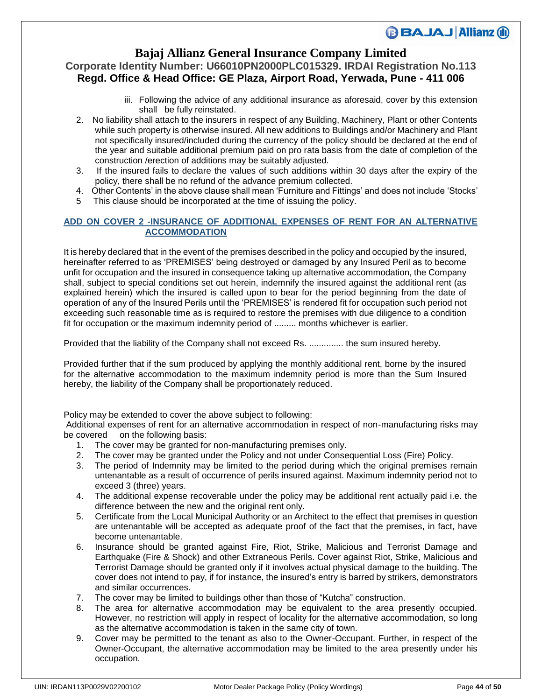### **Bajaj Allianz General Insurance Company Limited**

### **Corporate Identity Number: U66010PN2000PLC015329. IRDAI Registration No.113 Regd. Office & Head Office: GE Plaza, Airport Road, Yerwada, Pune - 411 006**

- iii. Following the advice of any additional insurance as aforesaid, cover by this extension shall be fully reinstated.
- 2. No liability shall attach to the insurers in respect of any Building, Machinery, Plant or other Contents while such property is otherwise insured. All new additions to Buildings and/or Machinery and Plant not specifically insured/included during the currency of the policy should be declared at the end of the year and suitable additional premium paid on pro rata basis from the date of completion of the construction /erection of additions may be suitably adjusted.
- 3. If the insured fails to declare the values of such additions within 30 days after the expiry of the policy, there shall be no refund of the advance premium collected.
- 4. Other Contents' in the above clause shall mean 'Furniture and Fittings' and does not include 'Stocks'
- 5 This clause should be incorporated at the time of issuing the policy.

### **ADD ON COVER 2 -INSURANCE OF ADDITIONAL EXPENSES OF RENT FOR AN ALTERNATIVE ACCOMMODATION**

It is hereby declared that in the event of the premises described in the policy and occupied by the insured, hereinafter referred to as 'PREMISES' being destroyed or damaged by any Insured Peril as to become unfit for occupation and the insured in consequence taking up alternative accommodation, the Company shall, subject to special conditions set out herein, indemnify the insured against the additional rent (as explained herein) which the insured is called upon to bear for the period beginning from the date of operation of any of the Insured Perils until the 'PREMISES' is rendered fit for occupation such period not exceeding such reasonable time as is required to restore the premises with due diligence to a condition fit for occupation or the maximum indemnity period of ......... months whichever is earlier.

Provided that the liability of the Company shall not exceed Rs. .............. the sum insured hereby.

Provided further that if the sum produced by applying the monthly additional rent, borne by the insured for the alternative accommodation to the maximum indemnity period is more than the Sum Insured hereby, the liability of the Company shall be proportionately reduced.

Policy may be extended to cover the above subject to following:

Additional expenses of rent for an alternative accommodation in respect of non-manufacturing risks may be covered on the following basis:

- 1. The cover may be granted for non-manufacturing premises only.
- 2. The cover may be granted under the Policy and not under Consequential Loss (Fire) Policy.
- 3. The period of Indemnity may be limited to the period during which the original premises remain untenantable as a result of occurrence of perils insured against. Maximum indemnity period not to exceed 3 (three) years.
- 4. The additional expense recoverable under the policy may be additional rent actually paid i.e. the difference between the new and the original rent only.
- 5. Certificate from the Local Municipal Authority or an Architect to the effect that premises in question are untenantable will be accepted as adequate proof of the fact that the premises, in fact, have become untenantable.
- 6. Insurance should be granted against Fire, Riot, Strike, Malicious and Terrorist Damage and Earthquake (Fire & Shock) and other Extraneous Perils. Cover against Riot, Strike, Malicious and Terrorist Damage should be granted only if it involves actual physical damage to the building. The cover does not intend to pay, if for instance, the insured's entry is barred by strikers, demonstrators and similar occurrences.
- 7. The cover may be limited to buildings other than those of "Kutcha" construction.
- 8. The area for alternative accommodation may be equivalent to the area presently occupied. However, no restriction will apply in respect of locality for the alternative accommodation, so long as the alternative accommodation is taken in the same city of town.
- 9. Cover may be permitted to the tenant as also to the Owner-Occupant. Further, in respect of the Owner-Occupant, the alternative accommodation may be limited to the area presently under his occupation.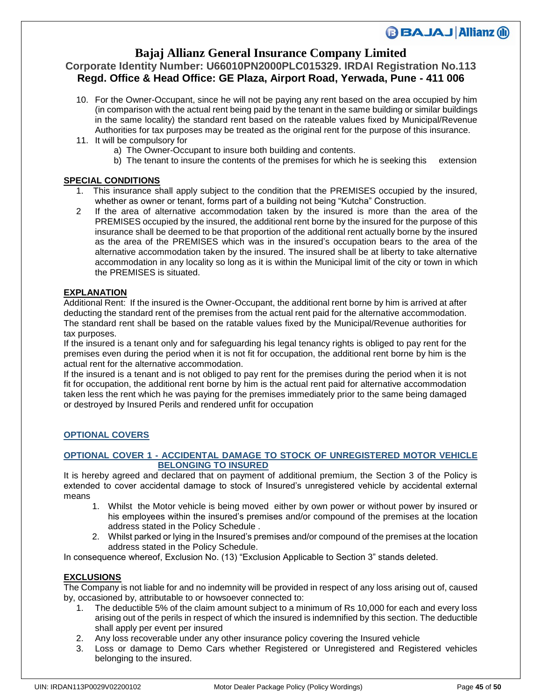## **Bajaj Allianz General Insurance Company Limited**

### **Corporate Identity Number: U66010PN2000PLC015329. IRDAI Registration No.113 Regd. Office & Head Office: GE Plaza, Airport Road, Yerwada, Pune - 411 006**

- 10. For the Owner-Occupant, since he will not be paying any rent based on the area occupied by him (in comparison with the actual rent being paid by the tenant in the same building or similar buildings in the same locality) the standard rent based on the rateable values fixed by Municipal/Revenue Authorities for tax purposes may be treated as the original rent for the purpose of this insurance.
- 11. It will be compulsory for
	- a) The Owner-Occupant to insure both building and contents.
	- b) The tenant to insure the contents of the premises for which he is seeking this extension

### **SPECIAL CONDITIONS**

- 1. This insurance shall apply subject to the condition that the PREMISES occupied by the insured, whether as owner or tenant, forms part of a building not being "Kutcha" Construction.
- 2 If the area of alternative accommodation taken by the insured is more than the area of the PREMISES occupied by the insured, the additional rent borne by the insured for the purpose of this insurance shall be deemed to be that proportion of the additional rent actually borne by the insured as the area of the PREMISES which was in the insured's occupation bears to the area of the alternative accommodation taken by the insured. The insured shall be at liberty to take alternative accommodation in any locality so long as it is within the Municipal limit of the city or town in which the PREMISES is situated.

### **EXPLANATION**

Additional Rent: If the insured is the Owner-Occupant, the additional rent borne by him is arrived at after deducting the standard rent of the premises from the actual rent paid for the alternative accommodation. The standard rent shall be based on the ratable values fixed by the Municipal/Revenue authorities for tax purposes.

If the insured is a tenant only and for safeguarding his legal tenancy rights is obliged to pay rent for the premises even during the period when it is not fit for occupation, the additional rent borne by him is the actual rent for the alternative accommodation.

If the insured is a tenant and is not obliged to pay rent for the premises during the period when it is not fit for occupation, the additional rent borne by him is the actual rent paid for alternative accommodation taken less the rent which he was paying for the premises immediately prior to the same being damaged or destroyed by Insured Perils and rendered unfit for occupation

### **OPTIONAL COVERS**

### **OPTIONAL COVER 1 - ACCIDENTAL DAMAGE TO STOCK OF UNREGISTERED MOTOR VEHICLE BELONGING TO INSURED**

It is hereby agreed and declared that on payment of additional premium, the Section 3 of the Policy is extended to cover accidental damage to stock of Insured's unregistered vehicle by accidental external means

- 1. Whilst the Motor vehicle is being moved either by own power or without power by insured or his employees within the insured's premises and/or compound of the premises at the location address stated in the Policy Schedule .
- 2. Whilst parked or lying in the Insured's premises and/or compound of the premises at the location address stated in the Policy Schedule.

In consequence whereof, Exclusion No. (13) "Exclusion Applicable to Section 3" stands deleted.

### **EXCLUSIONS**

The Company is not liable for and no indemnity will be provided in respect of any loss arising out of, caused by, occasioned by, attributable to or howsoever connected to:

- 1. The deductible 5% of the claim amount subject to a minimum of Rs 10,000 for each and every loss arising out of the perils in respect of which the insured is indemnified by this section. The deductible shall apply per event per insured
- 2. Any loss recoverable under any other insurance policy covering the Insured vehicle
- 3. Loss or damage to Demo Cars whether Registered or Unregistered and Registered vehicles belonging to the insured.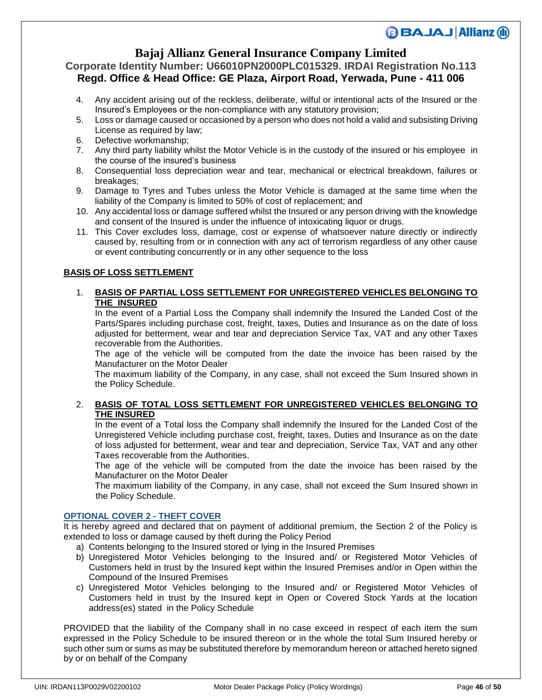## **Bajaj Allianz General Insurance Company Limited**

### **Corporate Identity Number: U66010PN2000PLC015329. IRDAI Registration No.113 Regd. Office & Head Office: GE Plaza, Airport Road, Yerwada, Pune - 411 006**

- 4. Any accident arising out of the reckless, deliberate, wilful or intentional acts of the Insured or the Insured's Employees or the non-compliance with any statutory provision;
- 5. Loss or damage caused or occasioned by a person who does not hold a valid and subsisting Driving License as required by law;
- 6. Defective workmanship;
- 7. Any third party liability whilst the Motor Vehicle is in the custody of the insured or his employee in the course of the insured's business
- 8. Consequential loss depreciation wear and tear, mechanical or electrical breakdown, failures or breakages;
- 9. Damage to Tyres and Tubes unless the Motor Vehicle is damaged at the same time when the liability of the Company is limited to 50% of cost of replacement; and
- 10. Any accidental loss or damage suffered whilst the Insured or any person driving with the knowledge and consent of the Insured is under the influence of intoxicating liquor or drugs.
- 11. This Cover excludes loss, damage, cost or expense of whatsoever nature directly or indirectly caused by, resulting from or in connection with any act of terrorism regardless of any other cause or event contributing concurrently or in any other sequence to the loss

### **BASIS OF LOSS SETTLEMENT**

### 1. **BASIS OF PARTIAL LOSS SETTLEMENT FOR UNREGISTERED VEHICLES BELONGING TO THE INSURED**

In the event of a Partial Loss the Company shall indemnify the Insured the Landed Cost of the Parts/Spares including purchase cost, freight, taxes, Duties and Insurance as on the date of loss adjusted for betterment, wear and tear and depreciation Service Tax, VAT and any other Taxes recoverable from the Authorities.

The age of the vehicle will be computed from the date the invoice has been raised by the Manufacturer on the Motor Dealer

The maximum liability of the Company, in any case, shall not exceed the Sum Insured shown in the Policy Schedule.

### 2. **BASIS OF TOTAL LOSS SETTLEMENT FOR UNREGISTERED VEHICLES BELONGING TO THE INSURED**

In the event of a Total loss the Company shall indemnify the Insured for the Landed Cost of the Unregistered Vehicle including purchase cost, freight, taxes, Duties and Insurance as on the date of loss adjusted for betterment, wear and tear and depreciation, Service Tax, VAT and any other Taxes recoverable from the Authorities.

The age of the vehicle will be computed from the date the invoice has been raised by the Manufacturer on the Motor Dealer

The maximum liability of the Company, in any case, shall not exceed the Sum Insured shown in the Policy Schedule.

### **OPTIONAL COVER 2 - THEFT COVER**

It is hereby agreed and declared that on payment of additional premium, the Section 2 of the Policy is extended to loss or damage caused by theft during the Policy Period

- a) Contents belonging to the Insured stored or lying in the Insured Premises
- b) Unregistered Motor Vehicles belonging to the Insured and/ or Registered Motor Vehicles of Customers held in trust by the Insured kept within the Insured Premises and/or in Open within the Compound of the Insured Premises
- c) Unregistered Motor Vehicles belonging to the Insured and/ or Registered Motor Vehicles of Customers held in trust by the Insured kept in Open or Covered Stock Yards at the location address(es) stated in the Policy Schedule

PROVIDED that the liability of the Company shall in no case exceed in respect of each item the sum expressed in the Policy Schedule to be insured thereon or in the whole the total Sum Insured hereby or such other sum or sums as may be substituted therefore by memorandum hereon or attached hereto signed by or on behalf of the Company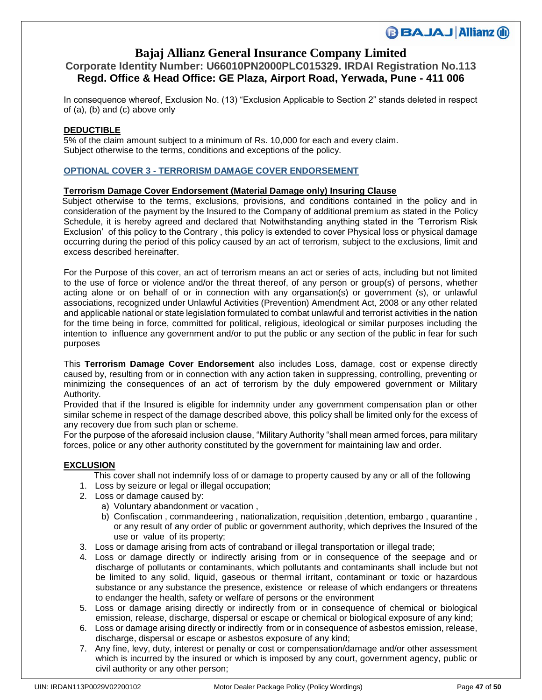# **Bajaj Allianz General Insurance Company Limited**

## **Corporate Identity Number: U66010PN2000PLC015329. IRDAI Registration No.113 Regd. Office & Head Office: GE Plaza, Airport Road, Yerwada, Pune - 411 006**

In consequence whereof, Exclusion No. (13) "Exclusion Applicable to Section 2" stands deleted in respect of (a), (b) and (c) above only

### **DEDUCTIBLE**

5% of the claim amount subject to a minimum of Rs. 10,000 for each and every claim. Subject otherwise to the terms, conditions and exceptions of the policy.

### **OPTIONAL COVER 3 - TERRORISM DAMAGE COVER ENDORSEMENT**

### **Terrorism Damage Cover Endorsement (Material Damage only) Insuring Clause**

Subject otherwise to the terms, exclusions, provisions, and conditions contained in the policy and in consideration of the payment by the Insured to the Company of additional premium as stated in the Policy Schedule, it is hereby agreed and declared that Notwithstanding anything stated in the 'Terrorism Risk Exclusion' of this policy to the Contrary , this policy is extended to cover Physical loss or physical damage occurring during the period of this policy caused by an act of terrorism, subject to the exclusions, limit and excess described hereinafter.

For the Purpose of this cover, an act of terrorism means an act or series of acts, including but not limited to the use of force or violence and/or the threat thereof, of any person or group(s) of persons, whether acting alone or on behalf of or in connection with any organsation(s) or government (s), or unlawful associations, recognized under Unlawful Activities (Prevention) Amendment Act, 2008 or any other related and applicable national or state legislation formulated to combat unlawful and terrorist activities in the nation for the time being in force, committed for political, religious, ideological or similar purposes including the intention to influence any government and/or to put the public or any section of the public in fear for such purposes

This **Terrorism Damage Cover Endorsement** also includes Loss, damage, cost or expense directly caused by, resulting from or in connection with any action taken in suppressing, controlling, preventing or minimizing the consequences of an act of terrorism by the duly empowered government or Military Authority.

Provided that if the Insured is eligible for indemnity under any government compensation plan or other similar scheme in respect of the damage described above, this policy shall be limited only for the excess of any recovery due from such plan or scheme.

For the purpose of the aforesaid inclusion clause, "Military Authority "shall mean armed forces, para military forces, police or any other authority constituted by the government for maintaining law and order.

### **EXCLUSION**

- This cover shall not indemnify loss of or damage to property caused by any or all of the following
- 1. Loss by seizure or legal or illegal occupation;
- 2. Loss or damage caused by:
	- a) Voluntary abandonment or vacation ,
	- b) Confiscation , commandeering , nationalization, requisition ,detention, embargo , quarantine , or any result of any order of public or government authority, which deprives the Insured of the use or value of its property;
- 3. Loss or damage arising from acts of contraband or illegal transportation or illegal trade;
- 4. Loss or damage directly or indirectly arising from or in consequence of the seepage and or discharge of pollutants or contaminants, which pollutants and contaminants shall include but not be limited to any solid, liquid, gaseous or thermal irritant, contaminant or toxic or hazardous substance or any substance the presence, existence or release of which endangers or threatens to endanger the health, safety or welfare of persons or the environment
- 5. Loss or damage arising directly or indirectly from or in consequence of chemical or biological emission, release, discharge, dispersal or escape or chemical or biological exposure of any kind;
- 6. Loss or damage arising directly or indirectly from or in consequence of asbestos emission, release, discharge, dispersal or escape or asbestos exposure of any kind;
- 7. Any fine, levy, duty, interest or penalty or cost or compensation/damage and/or other assessment which is incurred by the insured or which is imposed by any court, government agency, public or civil authority or any other person;

**BBAJAJ Allianz (ii)**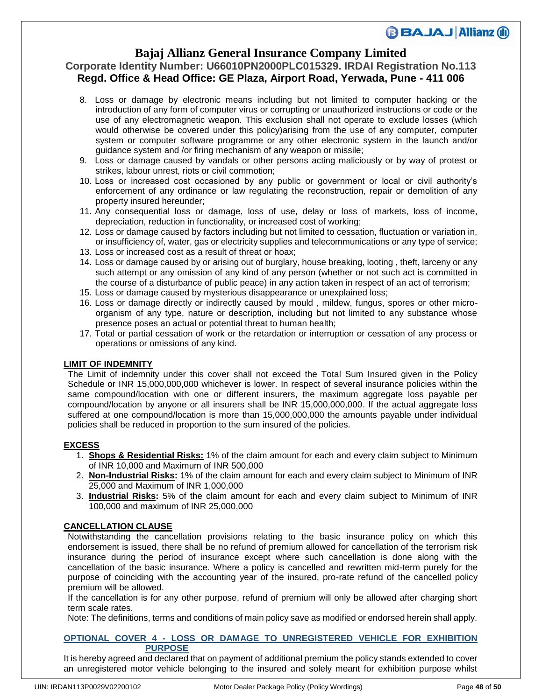### **Bajaj Allianz General Insurance Company Limited**

### **Corporate Identity Number: U66010PN2000PLC015329. IRDAI Registration No.113 Regd. Office & Head Office: GE Plaza, Airport Road, Yerwada, Pune - 411 006**

- 8. Loss or damage by electronic means including but not limited to computer hacking or the introduction of any form of computer virus or corrupting or unauthorized instructions or code or the use of any electromagnetic weapon. This exclusion shall not operate to exclude losses (which would otherwise be covered under this policy)arising from the use of any computer, computer system or computer software programme or any other electronic system in the launch and/or guidance system and /or firing mechanism of any weapon or missile;
- 9. Loss or damage caused by vandals or other persons acting maliciously or by way of protest or strikes, labour unrest, riots or civil commotion;
- 10. Loss or increased cost occasioned by any public or government or local or civil authority's enforcement of any ordinance or law regulating the reconstruction, repair or demolition of any property insured hereunder;
- 11. Any consequential loss or damage, loss of use, delay or loss of markets, loss of income, depreciation, reduction in functionality, or increased cost of working;
- 12. Loss or damage caused by factors including but not limited to cessation, fluctuation or variation in, or insufficiency of, water, gas or electricity supplies and telecommunications or any type of service;
- 13. Loss or increased cost as a result of threat or hoax;
- 14. Loss or damage caused by or arising out of burglary, house breaking, looting , theft, larceny or any such attempt or any omission of any kind of any person (whether or not such act is committed in the course of a disturbance of public peace) in any action taken in respect of an act of terrorism;
- 15. Loss or damage caused by mysterious disappearance or unexplained loss;
- 16. Loss or damage directly or indirectly caused by mould , mildew, fungus, spores or other microorganism of any type, nature or description, including but not limited to any substance whose presence poses an actual or potential threat to human health;
- 17. Total or partial cessation of work or the retardation or interruption or cessation of any process or operations or omissions of any kind.

### **LIMIT OF INDEMNITY**

The Limit of indemnity under this cover shall not exceed the Total Sum Insured given in the Policy Schedule or INR 15,000,000,000 whichever is lower. In respect of several insurance policies within the same compound/location with one or different insurers, the maximum aggregate loss payable per compound/location by anyone or all insurers shall be INR 15,000,000,000. If the actual aggregate loss suffered at one compound/location is more than 15,000,000,000 the amounts payable under individual policies shall be reduced in proportion to the sum insured of the policies.

### **EXCESS**

- 1. **Shops & Residential Risks:** 1% of the claim amount for each and every claim subject to Minimum of INR 10,000 and Maximum of INR 500,000
- 2. **Non-Industrial Risks:** 1% of the claim amount for each and every claim subject to Minimum of INR 25,000 and Maximum of INR 1,000,000
- 3. **Industrial Risks:** 5% of the claim amount for each and every claim subject to Minimum of INR 100,000 and maximum of INR 25,000,000

### **CANCELLATION CLAUSE**

Notwithstanding the cancellation provisions relating to the basic insurance policy on which this endorsement is issued, there shall be no refund of premium allowed for cancellation of the terrorism risk insurance during the period of insurance except where such cancellation is done along with the cancellation of the basic insurance. Where a policy is cancelled and rewritten mid-term purely for the purpose of coinciding with the accounting year of the insured, pro-rate refund of the cancelled policy premium will be allowed.

If the cancellation is for any other purpose, refund of premium will only be allowed after charging short term scale rates.

Note: The definitions, terms and conditions of main policy save as modified or endorsed herein shall apply.

### **OPTIONAL COVER 4 - LOSS OR DAMAGE TO UNREGISTERED VEHICLE FOR EXHIBITION PURPOSE**

It is hereby agreed and declared that on payment of additional premium the policy stands extended to cover an unregistered motor vehicle belonging to the insured and solely meant for exhibition purpose whilst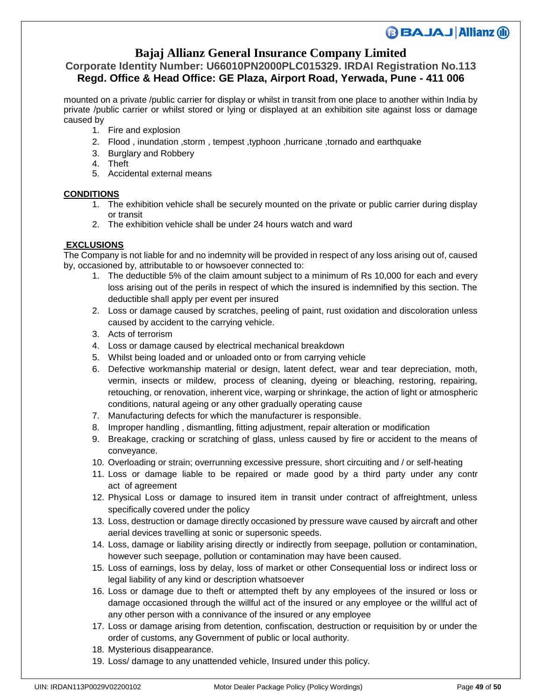## **Bajaj Allianz General Insurance Company Limited**

### **Corporate Identity Number: U66010PN2000PLC015329. IRDAI Registration No.113 Regd. Office & Head Office: GE Plaza, Airport Road, Yerwada, Pune - 411 006**

mounted on a private /public carrier for display or whilst in transit from one place to another within India by private /public carrier or whilst stored or lying or displayed at an exhibition site against loss or damage caused by

- 1. Fire and explosion
- 2. Flood , inundation ,storm , tempest ,typhoon ,hurricane ,tornado and earthquake
- 3. Burglary and Robbery
- 4. Theft
- 5. Accidental external means

### **CONDITIONS**

- 1. The exhibition vehicle shall be securely mounted on the private or public carrier during display or transit
- 2. The exhibition vehicle shall be under 24 hours watch and ward

### **EXCLUSIONS**

The Company is not liable for and no indemnity will be provided in respect of any loss arising out of, caused by, occasioned by, attributable to or howsoever connected to:

- 1. The deductible 5% of the claim amount subject to a minimum of Rs 10,000 for each and every loss arising out of the perils in respect of which the insured is indemnified by this section. The deductible shall apply per event per insured
- 2. Loss or damage caused by scratches, peeling of paint, rust oxidation and discoloration unless caused by accident to the carrying vehicle.
- 3. Acts of terrorism
- 4. Loss or damage caused by electrical mechanical breakdown
- 5. Whilst being loaded and or unloaded onto or from carrying vehicle
- 6. Defective workmanship material or design, latent defect, wear and tear depreciation, moth, vermin, insects or mildew, process of cleaning, dyeing or bleaching, restoring, repairing, retouching, or renovation, inherent vice, warping or shrinkage, the action of light or atmospheric conditions, natural ageing or any other gradually operating cause
- 7. Manufacturing defects for which the manufacturer is responsible.
- 8. Improper handling , dismantling, fitting adjustment, repair alteration or modification
- 9. Breakage, cracking or scratching of glass, unless caused by fire or accident to the means of conveyance.
- 10. Overloading or strain; overrunning excessive pressure, short circuiting and / or self-heating
- 11. Loss or damage liable to be repaired or made good by a third party under any contr act of agreement
- 12. Physical Loss or damage to insured item in transit under contract of affreightment, unless specifically covered under the policy
- 13. Loss, destruction or damage directly occasioned by pressure wave caused by aircraft and other aerial devices travelling at sonic or supersonic speeds.
- 14. Loss, damage or liability arising directly or indirectly from seepage, pollution or contamination, however such seepage, pollution or contamination may have been caused.
- 15. Loss of earnings, loss by delay, loss of market or other Consequential loss or indirect loss or legal liability of any kind or description whatsoever
- 16. Loss or damage due to theft or attempted theft by any employees of the insured or loss or damage occasioned through the willful act of the insured or any employee or the willful act of any other person with a connivance of the insured or any employee
- 17. Loss or damage arising from detention, confiscation, destruction or requisition by or under the order of customs, any Government of public or local authority.
- 18. Mysterious disappearance.
- 19. Loss/ damage to any unattended vehicle, Insured under this policy.